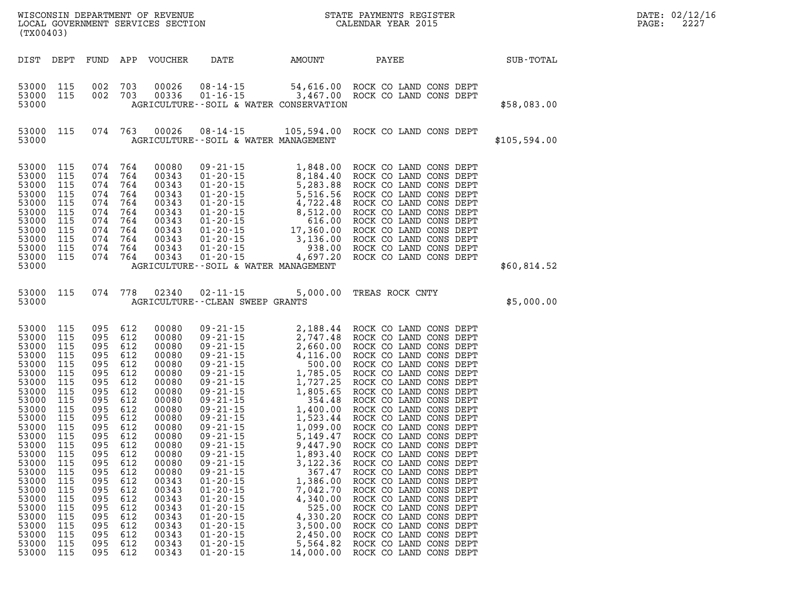| (TX00403)                                                                                                                                                                                                                              |                                                                                                                                                                                    |                                                                                                                                                                             |                                                                                                                                                                                        |                                                                                                                                                                                                                                        | WISCONSIN DEPARTMENT OF REVENUE<br>LOCAL GOVERNMENT SERVICES SECTION<br>(TY00403)                                                                                                                                                                                                                                                                                                                                                                                                      |                                                                                                                               | STATE PAYMENTS REGISTER<br>CALENDAR YEAR 2015                                                                                                                                                                                                                                                                                                                                                                                                                                                                                                                                                                                                                                                                      |              |
|----------------------------------------------------------------------------------------------------------------------------------------------------------------------------------------------------------------------------------------|------------------------------------------------------------------------------------------------------------------------------------------------------------------------------------|-----------------------------------------------------------------------------------------------------------------------------------------------------------------------------|----------------------------------------------------------------------------------------------------------------------------------------------------------------------------------------|----------------------------------------------------------------------------------------------------------------------------------------------------------------------------------------------------------------------------------------|----------------------------------------------------------------------------------------------------------------------------------------------------------------------------------------------------------------------------------------------------------------------------------------------------------------------------------------------------------------------------------------------------------------------------------------------------------------------------------------|-------------------------------------------------------------------------------------------------------------------------------|--------------------------------------------------------------------------------------------------------------------------------------------------------------------------------------------------------------------------------------------------------------------------------------------------------------------------------------------------------------------------------------------------------------------------------------------------------------------------------------------------------------------------------------------------------------------------------------------------------------------------------------------------------------------------------------------------------------------|--------------|
| DIST                                                                                                                                                                                                                                   | DEPT                                                                                                                                                                               | FUND                                                                                                                                                                        | APP                                                                                                                                                                                    | VOUCHER                                                                                                                                                                                                                                | <b>DATE</b>                                                                                                                                                                                                                                                                                                                                                                                                                                                                            | AMOUNT                                                                                                                        | PAYEE                                                                                                                                                                                                                                                                                                                                                                                                                                                                                                                                                                                                                                                                                                              | SUB-TOTAL    |
| 53000<br>53000<br>53000                                                                                                                                                                                                                | 115<br>115                                                                                                                                                                         | 002<br>002                                                                                                                                                                  | 703<br>703                                                                                                                                                                             |                                                                                                                                                                                                                                        | AGRICULTURE--SOIL & WATER CONSERVATION                                                                                                                                                                                                                                                                                                                                                                                                                                                 |                                                                                                                               | 00026  08-14-15  54,616.00  ROCK CO LAND CONS DEPT  00336  01-16-15  3,467.00  ROCK CO LAND CONS DEPT                                                                                                                                                                                                                                                                                                                                                                                                                                                                                                                                                                                                              | \$58,083.00  |
| 53000<br>53000                                                                                                                                                                                                                         | 115                                                                                                                                                                                | 074                                                                                                                                                                         | 763                                                                                                                                                                                    |                                                                                                                                                                                                                                        | AGRICULTURE--SOIL & WATER MANAGEMENT                                                                                                                                                                                                                                                                                                                                                                                                                                                   |                                                                                                                               | 00026 08-14-15 105,594.00 ROCK CO LAND CONS DEPT                                                                                                                                                                                                                                                                                                                                                                                                                                                                                                                                                                                                                                                                   | \$105,594.00 |
| 53000<br>53000<br>53000<br>53000<br>53000<br>53000<br>53000<br>53000<br>53000<br>53000<br>53000<br>53000                                                                                                                               | 115<br>115<br>115<br>115<br>115<br>115<br>115<br>115<br>115<br>115<br>115                                                                                                          | 074<br>074<br>074<br>074<br>074<br>074<br>074<br>074<br>074<br>074<br>074                                                                                                   | 764<br>764<br>764<br>764<br>764<br>764<br>764<br>764<br>764<br>764<br>764                                                                                                              | 00080<br>00343<br>00343<br>00343<br>00343<br>00343<br>00343<br>00343<br>00343<br>00343<br>00343                                                                                                                                        | AGRICULTURE--SOIL & WATER MANAGEMENT                                                                                                                                                                                                                                                                                                                                                                                                                                                   |                                                                                                                               | 09 - 21 - 15<br>01 - 20 - 15<br>0.1 - 20 - 15<br>0.1 - 20 - 15<br>0.1 - 20 - 15<br>0.1 - 20 - 15<br>5 , 283 . 88<br>ROCK CO LAND CONS DEPT<br>01 - 20 - 15<br>4 , 722 . 48<br>ROCK CO LAND CONS DEPT<br>01 - 20 - 15<br>0.1 - 20 - 15<br>0.                                                                                                                                                                                                                                                                                                                                                                                                                                                                        | \$60,814.52  |
| 53000<br>53000                                                                                                                                                                                                                         | 115                                                                                                                                                                                | 074                                                                                                                                                                         | 778                                                                                                                                                                                    | 02340                                                                                                                                                                                                                                  | $02 - 11 - 15$<br>AGRICULTURE - - CLEAN SWEEP GRANTS                                                                                                                                                                                                                                                                                                                                                                                                                                   | 5,000.00                                                                                                                      | TREAS ROCK CNTY                                                                                                                                                                                                                                                                                                                                                                                                                                                                                                                                                                                                                                                                                                    | \$5,000.00   |
| 53000<br>53000<br>53000<br>53000<br>53000<br>53000<br>53000<br>53000<br>53000<br>53000<br>53000<br>53000<br>53000<br>53000<br>53000<br>53000<br>53000<br>53000<br>53000<br>53000<br>53000<br>53000<br>53000<br>53000<br>53000<br>53000 | 115<br>115<br>115<br>115<br>115<br>115<br>115<br>115<br>115<br>115<br>115<br>115<br>115<br>115<br>115<br>115<br>115<br>115<br>115<br>115<br>115<br>115<br>115<br>115<br>115<br>115 | 095<br>095<br>095<br>095<br>095<br>095<br>095<br>095<br>095<br>095<br>095<br>095<br>095<br>095<br>095<br>095<br>095<br>095<br>095<br>095<br>095<br>095<br>095<br>095<br>095 | 612<br>612<br>612<br>612<br>612<br>612<br>612<br>612<br>612<br>612<br>612<br>612<br>612<br>612<br>095 612<br>612<br>612<br>612<br>612<br>612<br>612<br>612<br>612<br>612<br>612<br>612 | 00080<br>00080<br>00080<br>00080<br>00080<br>00080<br>00080<br>00080<br>00080<br>00080<br>00080<br>00080<br>00080<br>00080<br>00080<br>00080<br>00080<br>00343<br>00343<br>00343<br>00343<br>00343<br>00343<br>00343<br>00343<br>00343 | 09 - 21 - 15<br>09 - 21 - 15<br>09 - 21 - 15<br>09 - 21 - 15<br>09 - 21 - 15<br>09 - 21 - 15<br>4, 116.00<br>09 - 21 - 15<br>09 - 21 - 15<br>1, 785.05<br>09 - 21 - 15<br>09 - 21 - 15<br>09 - 21 - 15<br>09 - 21 - 15<br>09 - 21 - 15<br>1, 400.00<br>09 - 21<br>$09 - 21 - 15$<br>$09 - 21 - 15$<br>$09 - 21 - 15$<br>$01 - 20 - 15$<br>$01 - 20 - 15$<br>$01 - 20 - 15$<br>$01 - 20 - 15$<br>$01 - 20 - 15$<br>$01 - 20 - 15$<br>$01 - 20 - 15$<br>$01 - 20 - 15$<br>$01 - 20 - 15$ | 3,122.36<br>367.47<br>1,386.00<br>7,042.70<br>4,340.00<br>525.00<br>4,330.20<br>3,500.00<br>2,450.00<br>5,564.82<br>14,000.00 | 2,188.44 ROCK CO LAND CONS DEPT<br>ROCK CO LAND CONS DEPT<br>ROCK CO LAND CONS DEPT<br>ROCK CO LAND CONS DEPT<br>ROCK CO LAND CONS DEPT<br>ROCK CO LAND CONS DEPT<br>ROCK CO LAND CONS DEPT<br>ROCK CO LAND CONS DEPT<br>ROCK CO LAND CONS DEPT<br>ROCK CO LAND CONS DEPT<br>ROCK CO LAND CONS DEPT<br>ROCK CO LAND CONS DEPT<br>ROCK CO LAND CONS DEPT<br>ROCK CO LAND CONS DEPT<br>1,893.40 ROCK CO LAND CONS DEPT<br>ROCK CO LAND CONS DEPT<br>ROCK CO LAND CONS DEPT<br>ROCK CO LAND CONS DEPT<br>ROCK CO LAND CONS DEPT<br>ROCK CO LAND CONS DEPT<br>ROCK CO LAND CONS DEPT<br>ROCK CO LAND CONS DEPT<br>ROCK CO LAND CONS DEPT<br>ROCK CO LAND CONS DEPT<br>ROCK CO LAND CONS DEPT<br>ROCK CO LAND CONS DEPT |              |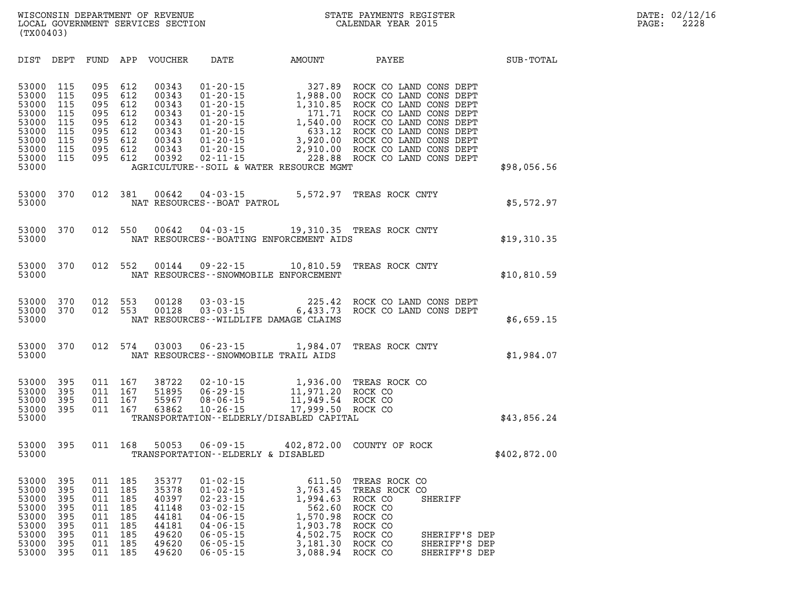| DIST                                                                                   | DEPT                                                        | FUND                                                        | APP                                                         | <b>VOUCHER</b>                                                                | DATE                                                                                                                                                           | <b>AMOUNT</b>                                                                                                                                         | PAYEE                                                                                                                                                                                                                                  | SUB-TOTAL    |
|----------------------------------------------------------------------------------------|-------------------------------------------------------------|-------------------------------------------------------------|-------------------------------------------------------------|-------------------------------------------------------------------------------|----------------------------------------------------------------------------------------------------------------------------------------------------------------|-------------------------------------------------------------------------------------------------------------------------------------------------------|----------------------------------------------------------------------------------------------------------------------------------------------------------------------------------------------------------------------------------------|--------------|
| 53000<br>53000<br>53000<br>53000<br>53000<br>53000<br>53000<br>53000<br>53000<br>53000 | 115<br>115<br>115<br>115<br>115<br>115<br>115<br>115<br>115 | 095<br>095<br>095<br>095<br>095<br>095<br>095<br>095<br>095 | 612<br>612<br>612<br>612<br>612<br>612<br>612<br>612<br>612 | 00343<br>00343<br>00343<br>00343<br>00343<br>00343<br>00343<br>00343<br>00392 | $01 - 20 - 15$<br>$01 - 20 - 15$<br>$01 - 20 - 15$<br>$01 - 20 - 15$<br>$01 - 20 - 15$<br>$01 - 20 - 15$<br>$01 - 20 - 15$<br>$01 - 20 - 15$<br>$02 - 11 - 15$ | 327.89<br>327.89<br>1,988.00<br>1,310.85<br>171.71<br>1,540.00<br>633.12<br>3,920.00<br>2,910.00<br>228.88<br>AGRICULTURE--SOIL & WATER RESOURCE MGMT | ROCK CO LAND CONS DEPT<br>ROCK CO LAND CONS DEPT<br>ROCK CO LAND CONS DEPT<br>ROCK CO LAND CONS DEPT<br>ROCK CO LAND CONS DEPT<br>ROCK CO LAND CONS DEPT<br>ROCK CO LAND CONS DEPT<br>ROCK CO LAND CONS DEPT<br>ROCK CO LAND CONS DEPT | \$98,056.56  |
| 53000<br>53000                                                                         | 370                                                         | 012                                                         | 381                                                         | 00642                                                                         | 04 - 03 - 15<br>NAT RESOURCES - - BOAT PATROL                                                                                                                  | 5,572.97                                                                                                                                              | TREAS ROCK CNTY                                                                                                                                                                                                                        | \$5,572.97   |
| 53000<br>53000                                                                         | 370                                                         | 012                                                         | 550                                                         | 00642                                                                         |                                                                                                                                                                | NAT RESOURCES - - BOATING ENFORCEMENT AIDS                                                                                                            | 04-03-15 19,310.35 TREAS ROCK CNTY                                                                                                                                                                                                     | \$19,310.35  |
| 53000<br>53000                                                                         | 370                                                         | 012                                                         | 552                                                         | 00144                                                                         |                                                                                                                                                                | $09 - 22 - 15$ 10,810.59<br>NAT RESOURCES - - SNOWMOBILE ENFORCEMENT                                                                                  | TREAS ROCK CNTY                                                                                                                                                                                                                        | \$10,810.59  |
| 53000<br>53000<br>53000                                                                | 370<br>370                                                  | 012<br>012                                                  | 553<br>553                                                  | 00128<br>00128                                                                | $03 - 03 - 15$<br>$03 - 03 - 15$                                                                                                                               | 225.42<br>6,433.73<br>NAT RESOURCES--WILDLIFE DAMAGE CLAIMS                                                                                           | ROCK CO LAND CONS DEPT<br>ROCK CO LAND CONS DEPT                                                                                                                                                                                       | \$6,659.15   |
| 53000<br>53000                                                                         | 370                                                         | 012                                                         | 574                                                         | 03003                                                                         | $06 - 23 - 15$                                                                                                                                                 | 1,984.07<br>NAT RESOURCES - - SNOWMOBILE TRAIL AIDS                                                                                                   | TREAS ROCK CNTY                                                                                                                                                                                                                        | \$1,984.07   |
| 53000<br>53000<br>53000<br>53000<br>53000                                              | 395<br>395<br>395<br>395                                    | 011<br>011<br>011<br>011                                    | 167<br>167<br>167<br>167                                    | 38722<br>51895<br>55967<br>63862                                              | $02 - 10 - 15$<br>$06 - 29 - 15$<br>$08 - 06 - 15$<br>$10 - 26 - 15$                                                                                           | 1,936.00<br>11,971.20<br>11,949.54<br>17,999.50<br>TRANSPORTATION - - ELDERLY/DISABLED CAPITAL                                                        | TREAS ROCK CO<br>ROCK CO<br>ROCK CO<br>ROCK CO                                                                                                                                                                                         | \$43,856.24  |
| 53000<br>53000                                                                         | 395                                                         | 011                                                         | 168                                                         | 50053                                                                         | $06 - 09 - 15$<br>TRANSPORTATION--ELDERLY & DISABLED                                                                                                           | 402,872.00                                                                                                                                            | COUNTY OF ROCK                                                                                                                                                                                                                         | \$402,872.00 |
| 53000<br>53000<br>53000<br>53000<br>53000<br>53000<br>53000<br>53000                   | 395<br>395<br>395<br>395<br>395<br>395<br>395<br>395        | 011<br>011<br>011<br>011<br>011<br>011<br>011<br>011        | 185<br>185<br>185<br>185<br>185<br>185<br>185<br>185        | 35377<br>35378<br>40397<br>41148<br>44181<br>44181<br>49620<br>49620          | $01 - 02 - 15$<br>$01 - 02 - 15$<br>$02 - 23 - 15$<br>$03 - 02 - 15$<br>$04 - 06 - 15$<br>$04 - 06 - 15$<br>$06 - 05 - 15$<br>$06 - 05 - 15$                   | 611.50<br>3,763.45<br>1,994.63<br>562.60<br>1,570.98<br>1,903.78<br>4,502.75<br>3,181.30                                                              | TREAS ROCK CO<br>TREAS ROCK CO<br>ROCK CO<br>SHERIFF<br>ROCK CO<br>ROCK CO<br>ROCK CO<br>ROCK CO<br>SHERIFF'S DEP<br>ROCK CO<br>SHERIFF'S DEP                                                                                          |              |

**53000 395 011 185 49620 06-05-15 3,088.94 ROCK CO SHERIFF'S DEP**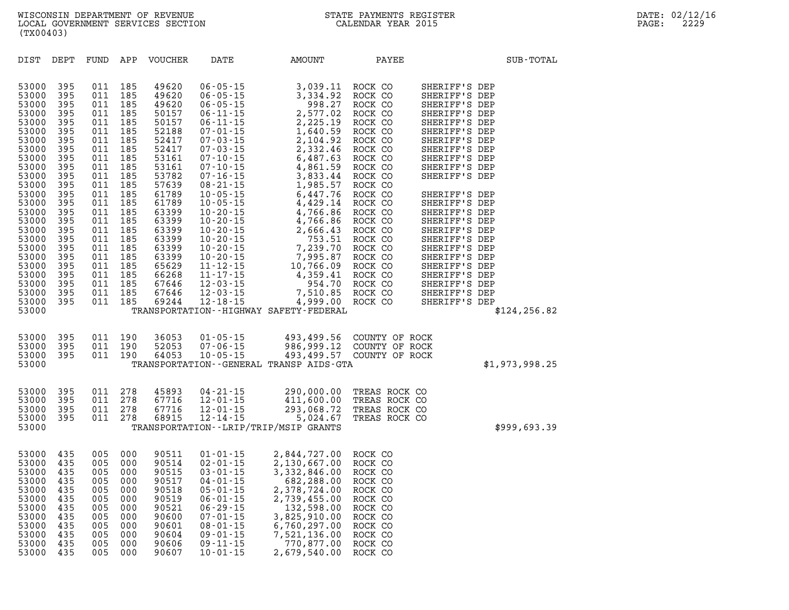| DIST                                                                                                                                                                                                                                   | DEPT                                                                                                                                                                        | FUND                                                                                                                                                                        | APP                                                                                                                                                                         | <b>VOUCHER</b>                                                                                                                                                                                                                | DATE                                                                                                                                                                                                                                                                                                                                                                                                                                                           | AMOUNT                                                                                                                                                                                                                                                                                                                                             | PAYEE                                                                                                                                                                                                                                                                           | SUB-TOTAL                                                                                                                                                                                                                                                                                                                                                                                                                             |
|----------------------------------------------------------------------------------------------------------------------------------------------------------------------------------------------------------------------------------------|-----------------------------------------------------------------------------------------------------------------------------------------------------------------------------|-----------------------------------------------------------------------------------------------------------------------------------------------------------------------------|-----------------------------------------------------------------------------------------------------------------------------------------------------------------------------|-------------------------------------------------------------------------------------------------------------------------------------------------------------------------------------------------------------------------------|----------------------------------------------------------------------------------------------------------------------------------------------------------------------------------------------------------------------------------------------------------------------------------------------------------------------------------------------------------------------------------------------------------------------------------------------------------------|----------------------------------------------------------------------------------------------------------------------------------------------------------------------------------------------------------------------------------------------------------------------------------------------------------------------------------------------------|---------------------------------------------------------------------------------------------------------------------------------------------------------------------------------------------------------------------------------------------------------------------------------|---------------------------------------------------------------------------------------------------------------------------------------------------------------------------------------------------------------------------------------------------------------------------------------------------------------------------------------------------------------------------------------------------------------------------------------|
| 53000<br>53000<br>53000<br>53000<br>53000<br>53000<br>53000<br>53000<br>53000<br>53000<br>53000<br>53000<br>53000<br>53000<br>53000<br>53000<br>53000<br>53000<br>53000<br>53000<br>53000<br>53000<br>53000<br>53000<br>53000<br>53000 | 395<br>395<br>395<br>395<br>395<br>395<br>395<br>395<br>395<br>395<br>395<br>395<br>395<br>395<br>395<br>395<br>395<br>395<br>395<br>395<br>395<br>395<br>395<br>395<br>395 | 011<br>011<br>011<br>011<br>011<br>011<br>011<br>011<br>011<br>011<br>011<br>011<br>011<br>011<br>011<br>011<br>011<br>011<br>011<br>011<br>011<br>011<br>011<br>011<br>011 | 185<br>185<br>185<br>185<br>185<br>185<br>185<br>185<br>185<br>185<br>185<br>185<br>185<br>185<br>185<br>185<br>185<br>185<br>185<br>185<br>185<br>185<br>185<br>185<br>185 | 49620<br>49620<br>49620<br>50157<br>50157<br>52188<br>52417<br>52417<br>53161<br>53161<br>53782<br>57639<br>61789<br>61789<br>63399<br>63399<br>63399<br>63399<br>63399<br>63399<br>65629<br>66268<br>67646<br>67646<br>69244 | $06 - 05 - 15$<br>$06 - 05 - 15$<br>$06 - 05 - 15$<br>$06 - 11 - 15$<br>$06 - 11 - 15$<br>$07 - 01 - 15$<br>$07 - 03 - 15$<br>$07 - 03 - 15$<br>$07 - 10 - 15$<br>$07 - 10 - 15$<br>$07 - 16 - 15$<br>$08 - 21 - 15$<br>$10 - 05 - 15$<br>$10 - 05 - 15$<br>$10 - 20 - 15$<br>$10 - 20 - 15$<br>$10 - 20 - 15$<br>$10 - 20 - 15$<br>$10 - 20 - 15$<br>$10 - 20 - 15$<br>$11 - 12 - 15$<br>$11 - 17 - 15$<br>$12 - 03 - 15$<br>$12 - 03 - 15$<br>$12 - 18 - 15$ | 3,039.11<br>3,334.92<br>998.27<br>2,577.02<br>2,225.19<br>1,640.59<br>2,104.92<br>2,332.46<br>6,487.63<br>4,861.59<br>3,833.44<br>1,985.57<br>6,447.76<br>4,429.14<br>4,766.86<br>4,766.86<br>2,666.43<br>753.51<br>7,239.70<br>7,995.87<br>10,766.09<br>4,359.41<br>954.70<br>7,510.85<br>4,999.00<br>TRANSPORTATION - - HIGHWAY SAFETY - FEDERAL | ROCK CO<br>ROCK CO<br>ROCK CO<br>ROCK CO<br>ROCK CO<br>ROCK CO<br>ROCK CO<br>ROCK CO<br>ROCK CO<br>ROCK CO<br>ROCK CO<br>ROCK CO<br>ROCK CO<br>ROCK CO<br>ROCK CO<br>ROCK CO<br>ROCK CO<br>ROCK CO<br>ROCK CO<br>ROCK CO<br>ROCK CO<br>ROCK CO<br>ROCK CO<br>ROCK CO<br>ROCK CO | SHERIFF'S DEP<br>SHERIFF'S DEP<br>SHERIFF'S DEP<br>SHERIFF'S DEP<br>SHERIFF'S DEP<br>SHERIFF'S DEP<br>SHERIFF'S DEP<br>SHERIFF'S DEP<br>SHERIFF'S DEP<br>SHERIFF'S DEP<br>SHERIFF'S DEP<br>SHERIFF'S DEP<br>SHERIFF'S DEP<br>SHERIFF'S DEP<br>SHERIFF'S DEP<br>SHERIFF'S DEP<br>SHERIFF'S DEP<br>SHERIFF'S DEP<br>SHERIFF'S DEP<br>SHERIFF'S DEP<br>SHERIFF'S DEP<br>SHERIFF'S DEP<br>SHERIFF'S DEP<br>SHERIFF'S DEP<br>\$124, 256.82 |
| 53000<br>53000<br>53000<br>53000                                                                                                                                                                                                       | 395<br>395<br>395                                                                                                                                                           | 011<br>011<br>011                                                                                                                                                           | 190<br>190<br>190                                                                                                                                                           | 36053<br>52053<br>64053                                                                                                                                                                                                       | $01 - 05 - 15$<br>$07 - 06 - 15$<br>$10 - 05 - 15$                                                                                                                                                                                                                                                                                                                                                                                                             | 493,499.56<br>986,999.12<br>493,499.57<br>TRANSPORTATION--GENERAL TRANSP AIDS-GTA                                                                                                                                                                                                                                                                  | COUNTY OF ROCK<br>COUNTY OF ROCK<br>COUNTY OF ROCK                                                                                                                                                                                                                              | \$1,973,998.25                                                                                                                                                                                                                                                                                                                                                                                                                        |
| 53000<br>53000<br>53000<br>53000<br>53000                                                                                                                                                                                              | 395<br>395<br>395<br>395                                                                                                                                                    | 011<br>011<br>011<br>011                                                                                                                                                    | 278<br>278<br>278<br>278                                                                                                                                                    | 45893<br>67716<br>67716<br>68915                                                                                                                                                                                              | $04 - 21 - 15$<br>$12 - 01 - 15$<br>$12 - 01 - 15$<br>$12 - 14 - 15$                                                                                                                                                                                                                                                                                                                                                                                           | 290,000.00<br>411,600.00<br>293,068.72<br>5,024.67<br>TRANSPORTATION - - LRIP/TRIP/MSIP GRANTS                                                                                                                                                                                                                                                     | TREAS ROCK CO<br>TREAS ROCK CO<br>TREAS ROCK CO<br>TREAS ROCK CO                                                                                                                                                                                                                | \$999,693.39                                                                                                                                                                                                                                                                                                                                                                                                                          |
| 53000<br>53000<br>53000<br>53000<br>53000<br>53000<br>53000<br>53000<br>53000<br>53000                                                                                                                                                 | 435<br>435<br>435<br>435<br>435<br>435<br>435<br>435<br>435<br>435                                                                                                          | 005<br>005<br>005<br>005<br>005<br>005<br>005<br>005<br>005<br>005                                                                                                          | 000<br>000<br>000<br>000<br>000<br>000<br>000<br>000<br>000<br>000                                                                                                          | 90511<br>90514<br>90515<br>90517<br>90518<br>90519<br>90521<br>90600<br>90601<br>90604                                                                                                                                        | $01 - 01 - 15$<br>$02 - 01 - 15$<br>$03 - 01 - 15$<br>$04 - 01 - 15$<br>$05 - 01 - 15$<br>$06 - 01 - 15$<br>$06 - 29 - 15$<br>$07 - 01 - 15$<br>$08 - 01 - 15$<br>$09 - 01 - 15$                                                                                                                                                                                                                                                                               | 2,844,727.00<br>2,130,667.00<br>3,332,846.00<br>682,288.00<br>2,378,724.00<br>2,739,455.00<br>132,598.00<br>3,825,910.00<br>6,760,297.00<br>7,521,136.00                                                                                                                                                                                           | ROCK CO<br>ROCK CO<br>ROCK CO<br>ROCK CO<br>ROCK CO<br>ROCK CO<br>ROCK CO<br>ROCK CO<br>ROCK CO<br>ROCK CO                                                                                                                                                                      |                                                                                                                                                                                                                                                                                                                                                                                                                                       |

**53000 435 005 000 90606 09-11-15 770,877.00 ROCK CO 53000 435 005 000 90607 10-01-15 2,679,540.00 ROCK CO**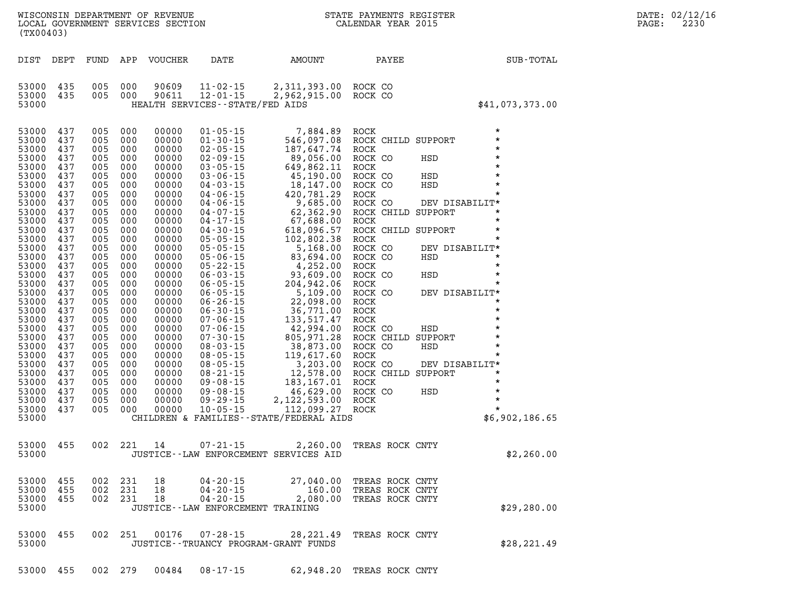| (TX00403)      |            |            |            | WISCONSIN DEPARTMENT OF REVENUE<br>LOCAL GOVERNMENT SERVICES SECTION |                                                        |                                                                                                                                                                                                                                                                      | STATE PAYMENTS REGISTER<br>CALENDAR YEAR 2015 |                                  |                 |
|----------------|------------|------------|------------|----------------------------------------------------------------------|--------------------------------------------------------|----------------------------------------------------------------------------------------------------------------------------------------------------------------------------------------------------------------------------------------------------------------------|-----------------------------------------------|----------------------------------|-----------------|
| DIST           | DEPT       | FUND       | APP        | VOUCHER                                                              | DATE                                                   | AMOUNT                                                                                                                                                                                                                                                               | PAYEE                                         |                                  | SUB-TOTAL       |
| 53000          | 435<br>435 | 005<br>005 | 000<br>000 | 90609<br>90611                                                       | $11 - 02 - 15$                                         | 2,311,393.00<br>2,962,915.00                                                                                                                                                                                                                                         | ROCK CO<br>ROCK CO                            |                                  |                 |
| 53000<br>53000 |            |            |            |                                                                      | $12 - 01 - 15$<br>HEALTH SERVICES - - STATE/FED AIDS   |                                                                                                                                                                                                                                                                      |                                               |                                  | \$41,073,373.00 |
| 53000          | 437        | 005        | 000        | 00000                                                                | $01 - 05 - 15$                                         | 7,884.89                                                                                                                                                                                                                                                             | <b>ROCK</b>                                   | $\star$                          |                 |
| 53000          | 437        | 005        | 000        | 00000                                                                | $01 - 30 - 15$                                         | 546,097.08                                                                                                                                                                                                                                                           | ROCK CHILD SUPPORT                            | $\star$<br>$\star$               |                 |
| 53000<br>53000 | 437<br>437 | 005<br>005 | 000<br>000 | 00000<br>00000                                                       | $02 - 05 - 15$<br>$02 - 09 - 15$                       |                                                                                                                                                                                                                                                                      | <b>ROCK</b><br>ROCK CO                        | HSD<br>$\star$                   |                 |
| 53000          | 437        | 005        | 000        | 00000                                                                | $03 - 05 - 15$                                         |                                                                                                                                                                                                                                                                      | ROCK                                          | $\star$                          |                 |
| 53000          | 437        | 005        | 000        | 00000                                                                | $03 - 06 - 15$                                         |                                                                                                                                                                                                                                                                      | ROCK CO                                       | $\star$<br>HSD                   |                 |
| 53000          | 437        | 005        | 000        | 00000                                                                | $04 - 03 - 15$                                         |                                                                                                                                                                                                                                                                      | ROCK CO                                       | HSD<br>$\star$                   |                 |
| 53000<br>53000 | 437<br>437 | 005<br>005 | 000<br>000 | 00000<br>00000                                                       | $04 - 06 - 15$                                         |                                                                                                                                                                                                                                                                      | ROCK                                          | $\star$                          |                 |
| 53000          | 437        | 005        | 000        | 00000                                                                | $04 - 06 - 15$<br>$04 - 07 - 15$                       | 7,884.89<br>546,097.08<br>187,647.74<br>89,056.00<br>649,862.11<br>45,190.00<br>18,147.00<br>420,781.29<br>9,685.00<br>67,688.00<br>67,688.00<br>67,688.00<br>67,688.00<br>67,688.00<br>67,688.00<br>67,882.00<br>67,882.00<br>67,882.00<br>618,096.57<br>102,802.38 | ROCK CO<br>ROCK CHILD SUPPORT                 | DEV DISABILIT*<br>$\star$        |                 |
| 53000          | 437        | 005        | 000        | 00000                                                                | $04 - 17 - 15$                                         |                                                                                                                                                                                                                                                                      | <b>ROCK</b>                                   | $\star$                          |                 |
| 53000          | 437        | 005        | 000        | 00000                                                                | $04 - 30 - 15$                                         |                                                                                                                                                                                                                                                                      | ROCK CHILD SUPPORT                            | $\star$                          |                 |
| 53000          | 437        | 005        | 000        | 00000                                                                | $05 - 05 - 15$                                         |                                                                                                                                                                                                                                                                      | ROCK                                          | $\star$                          |                 |
| 53000<br>53000 | 437<br>437 | 005<br>005 | 000<br>000 | 00000<br>00000                                                       | $05 - 05 - 15$<br>$05 - 06 - 15$                       |                                                                                                                                                                                                                                                                      | ROCK CO<br>ROCK CO                            | DEV DISABILIT*<br>$\star$<br>HSD |                 |
| 53000          | 437        | 005        | 000        | 00000                                                                | $05 - 22 - 15$                                         |                                                                                                                                                                                                                                                                      | <b>ROCK</b>                                   | $\star$                          |                 |
| 53000          | 437        | 005        | 000        | 00000                                                                | $06 - 03 - 15$                                         |                                                                                                                                                                                                                                                                      | ROCK CO                                       | HSD<br>$\star$                   |                 |
| 53000          | 437        | 005        | 000        | 00000                                                                | $06 - 05 - 15$                                         |                                                                                                                                                                                                                                                                      | ROCK                                          | $^\star$                         |                 |
| 53000          | 437        | 005        | 000        | 00000                                                                | $06 - 05 - 15$                                         |                                                                                                                                                                                                                                                                      | ROCK CO                                       | DEV DISABILIT*<br>$\star$        |                 |
| 53000<br>53000 | 437<br>437 | 005<br>005 | 000<br>000 | 00000<br>00000                                                       | $06 - 26 - 15$<br>$06 - 30 - 15$                       |                                                                                                                                                                                                                                                                      | ROCK<br>ROCK                                  | $\star$                          |                 |
| 53000          | 437        | 005        | 000        | 00000                                                                | $07 - 06 - 15$                                         |                                                                                                                                                                                                                                                                      | ROCK                                          | $\star$                          |                 |
| 53000          | 437        | 005        | 000        | 00000                                                                | $07 - 06 - 15$                                         |                                                                                                                                                                                                                                                                      | ROCK CO                                       | HSD<br>$\star$                   |                 |
| 53000          | 437        | 005        | 000        | 00000                                                                | $07 - 30 - 15$                                         |                                                                                                                                                                                                                                                                      | ROCK CHILD SUPPORT                            | $\star$                          |                 |
| 53000          | 437<br>437 | 005<br>005 | 000<br>000 | 00000<br>00000                                                       | $08 - 03 - 15$                                         |                                                                                                                                                                                                                                                                      | ROCK CO                                       | HSD<br>$\star$<br>$\star$        |                 |
| 53000<br>53000 | 437        | 005        | 000        | 00000                                                                | $08 - 05 - 15$<br>$08 - 05 - 15$                       |                                                                                                                                                                                                                                                                      | ROCK<br>ROCK CO                               | DEV DISABILIT*                   |                 |
| 53000          | 437        | 005        | 000        | 00000                                                                | $08 - 21 - 15$                                         |                                                                                                                                                                                                                                                                      | ROCK CHILD SUPPORT                            | $\star$                          |                 |
| 53000          | 437        | 005        | 000        | 00000                                                                | $09 - 08 - 15$                                         |                                                                                                                                                                                                                                                                      | ROCK                                          | $\star$                          |                 |
| 53000          | 437        | 005        | 000        | 00000                                                                | $09 - 08 - 15$                                         |                                                                                                                                                                                                                                                                      | ROCK CO                                       | $\star$<br>HSD<br>$\star$        |                 |
| 53000<br>53000 | 437<br>437 | 005<br>005 | 000<br>000 | 00000<br>00000                                                       | $09 - 29 - 15$<br>$10 - 05 - 15$                       | 112,099.27                                                                                                                                                                                                                                                           | ROCK<br>ROCK                                  | $\star$                          |                 |
| 53000          |            |            |            |                                                                      |                                                        | CHILDREN & FAMILIES - - STATE/FEDERAL AIDS                                                                                                                                                                                                                           |                                               |                                  | \$6,902,186.65  |
| 53000          | 455        | 002        | 221        | 14                                                                   | $07 - 21 - 15$                                         | 2,260.00                                                                                                                                                                                                                                                             | TREAS ROCK CNTY                               |                                  |                 |
| 53000          |            |            |            |                                                                      |                                                        | JUSTICE -- LAW ENFORCEMENT SERVICES AID                                                                                                                                                                                                                              |                                               |                                  | \$2,260.00      |
| 53000          | 455        |            | 002 231    | 18                                                                   | $04 - 20 - 15$                                         | 27,040.00                                                                                                                                                                                                                                                            | TREAS ROCK CNTY                               |                                  |                 |
| 53000<br>53000 | 455        | 002        | 231        | 18                                                                   | $04 - 20 - 15$                                         | 160.00                                                                                                                                                                                                                                                               | TREAS ROCK CNTY                               |                                  |                 |
| 53000          | 455        | 002        | 231        | 18                                                                   | $04 - 20 - 15$<br>JUSTICE - - LAW ENFORCEMENT TRAINING | 2,080.00                                                                                                                                                                                                                                                             | TREAS ROCK CNTY                               |                                  | \$29, 280.00    |
| 53000          | 455        | 002        | 251        | 00176                                                                | $07 - 28 - 15$                                         |                                                                                                                                                                                                                                                                      | 28, 221.49 TREAS ROCK CNTY                    |                                  |                 |
| 53000          |            |            |            |                                                                      | JUSTICE - - TRUANCY PROGRAM - GRANT FUNDS              |                                                                                                                                                                                                                                                                      |                                               |                                  | \$28, 221.49    |
|                | 53000 455  |            | 002 279    | 00484                                                                | $08 - 17 - 15$                                         |                                                                                                                                                                                                                                                                      | 62,948.20 TREAS ROCK CNTY                     |                                  |                 |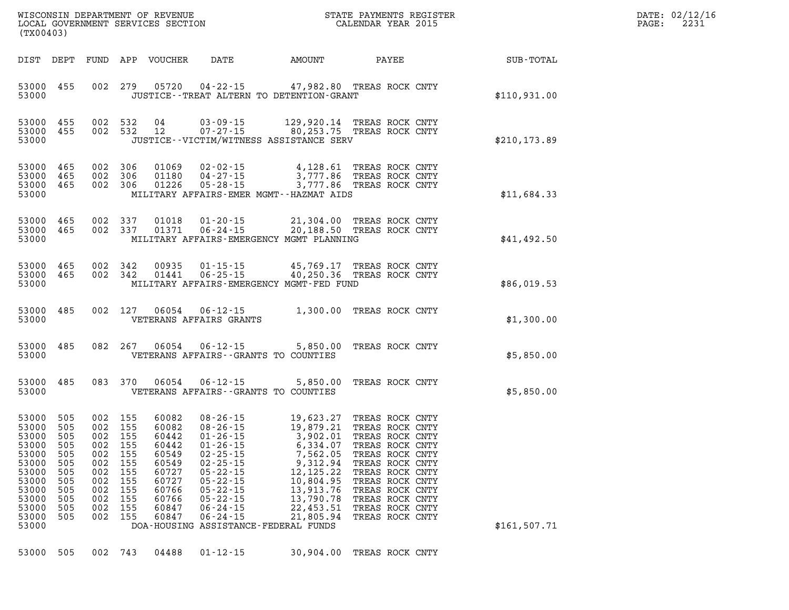| DATE: | 02/12/16 |
|-------|----------|
| PAGE: | 2231     |

| (TX00403)                                                                                                                                                                                       |                                                                                                                                                                                                                                                                                                                                                                                                                                         | STATE PAYMENTS REGISTER                                                                                                                                                                                                                                                                                                                                                                                                                                                             |               | DATE: 02/12/1<br>2231<br>PAGE: |
|-------------------------------------------------------------------------------------------------------------------------------------------------------------------------------------------------|-----------------------------------------------------------------------------------------------------------------------------------------------------------------------------------------------------------------------------------------------------------------------------------------------------------------------------------------------------------------------------------------------------------------------------------------|-------------------------------------------------------------------------------------------------------------------------------------------------------------------------------------------------------------------------------------------------------------------------------------------------------------------------------------------------------------------------------------------------------------------------------------------------------------------------------------|---------------|--------------------------------|
|                                                                                                                                                                                                 | DIST DEPT FUND APP VOUCHER<br><b>DATE</b>                                                                                                                                                                                                                                                                                                                                                                                               |                                                                                                                                                                                                                                                                                                                                                                                                                                                                                     |               |                                |
| 53000 455<br>53000                                                                                                                                                                              | JUSTICE - - TREAT ALTERN TO DETENTION - GRANT                                                                                                                                                                                                                                                                                                                                                                                           | 002 279 05720 04-22-15 47,982.80 TREAS ROCK CNTY                                                                                                                                                                                                                                                                                                                                                                                                                                    | \$110,931.00  |                                |
| 53000 455<br>53000 455<br>53000                                                                                                                                                                 | 002 532 04<br>JUSTICE - - VICTIM/WITNESS ASSISTANCE SERV                                                                                                                                                                                                                                                                                                                                                                                | 002 532 04 03-09-15 129,920.14 TREAS ROCK CNTY<br>002 532 12 07-27-15 80,253.75 TREAS ROCK CNTY                                                                                                                                                                                                                                                                                                                                                                                     | \$210, 173.89 |                                |
| 53000 465<br>53000 465<br>53000 465<br>53000                                                                                                                                                    | 002 306<br>002 306<br>002 306<br>MILITARY AFFAIRS-EMER MGMT--HAZMAT AIDS                                                                                                                                                                                                                                                                                                                                                                | 01069  02-02-15  4,128.61 TREAS ROCK CNTY<br>01180  04-27-15  3,777.86 TREAS ROCK CNTY<br>01226  05-28-15  3,777.86 TREAS ROCK CNTY                                                                                                                                                                                                                                                                                                                                                 | \$11,684.33   |                                |
| 53000 465<br>53000 465<br>53000                                                                                                                                                                 | 002 337<br>01018<br>002 337<br>01371   06-24-15<br>MILITARY AFFAIRS-EMERGENCY MGMT PLANNING                                                                                                                                                                                                                                                                                                                                             | 01-20-15 21,304.00 TREAS ROCK CNTY<br>20,188.50 TREAS ROCK CNTY                                                                                                                                                                                                                                                                                                                                                                                                                     | \$41,492.50   |                                |
| 53000 465<br>53000 465<br>53000                                                                                                                                                                 | 002 342<br>002 342 01441<br>MILITARY AFFAIRS-EMERGENCY MGMT-FED FUND                                                                                                                                                                                                                                                                                                                                                                    | 00935 01-15-15 45,769.17 TREAS ROCK CNTY<br>06-25-15 40,250.36 TREAS ROCK CNTY                                                                                                                                                                                                                                                                                                                                                                                                      | \$86,019.53   |                                |
| 53000 485<br>53000                                                                                                                                                                              | VETERANS AFFAIRS GRANTS                                                                                                                                                                                                                                                                                                                                                                                                                 | 002 127 06054 06-12-15 1,300.00 TREAS ROCK CNTY                                                                                                                                                                                                                                                                                                                                                                                                                                     | \$1,300.00    |                                |
| 53000 485<br>53000                                                                                                                                                                              | VETERANS AFFAIRS -- GRANTS TO COUNTIES                                                                                                                                                                                                                                                                                                                                                                                                  | 082  267  06054  06-12-15  5,850.00  TREAS ROCK CNTY                                                                                                                                                                                                                                                                                                                                                                                                                                | \$5,850.00    |                                |
| 53000 485<br>53000                                                                                                                                                                              | VETERANS AFFAIRS -- GRANTS TO COUNTIES                                                                                                                                                                                                                                                                                                                                                                                                  | 083 370 06054 06-12-15 5,850.00 TREAS ROCK CNTY                                                                                                                                                                                                                                                                                                                                                                                                                                     | \$5,850.00    |                                |
| 53000 505<br>53000<br>505<br>53000<br>505<br>53000<br>505<br>53000 505<br>505<br>53000<br>53000<br>505<br>53000<br>505<br>53000<br>505<br>53000<br>505<br>53000<br>505<br>53000<br>505<br>53000 | 002 155<br>60082<br>002 155<br>60082<br>002 155<br>60442<br>002 155<br>60442<br>002 155<br>60549<br>002<br>155<br>60549<br>$02 - 25 - 15$<br>002<br>155<br>60727<br>$05 - 22 - 15$<br>$05 - 22 - 15$<br>002<br>155<br>60727<br>002<br>155<br>60766<br>$05 - 22 - 15$<br>$05 - 22 - 15$<br>002<br>155<br>60766<br>$06 - 24 - 15$<br>002<br>155<br>60847<br>002<br>155<br>60847<br>$06 - 24 - 15$<br>DOA-HOUSING ASSISTANCE-FEDERAL FUNDS | 08-26-15<br>08-26-15<br>08-26-15<br>01-26-15<br>01-26-15<br>02-25-15<br>02-25-15<br>02-25-15<br>02-25-15<br>02-25-15<br>02-25-15<br>03.962.05<br>03.002.07<br>02-25-15<br>02-25-15<br>02-25-15<br>03.962.05<br>03.002.07<br>02-25-15<br>02.05<br>0<br>9,312.94<br>TREAS ROCK CNTY<br>12, 125. 22<br>TREAS ROCK CNTY<br>10,804.95<br>TREAS ROCK CNTY<br>13,913.76<br>TREAS ROCK CNTY<br>13,790.78<br>TREAS ROCK CNTY<br>22,453.51<br>TREAS ROCK CNTY<br>21,805.94<br>TREAS ROCK CNTY | \$161,507.71  |                                |
| 53000<br>505                                                                                                                                                                                    | 002 743<br>04488<br>$01 - 12 - 15$                                                                                                                                                                                                                                                                                                                                                                                                      | 30,904.00<br>TREAS ROCK CNTY                                                                                                                                                                                                                                                                                                                                                                                                                                                        |               |                                |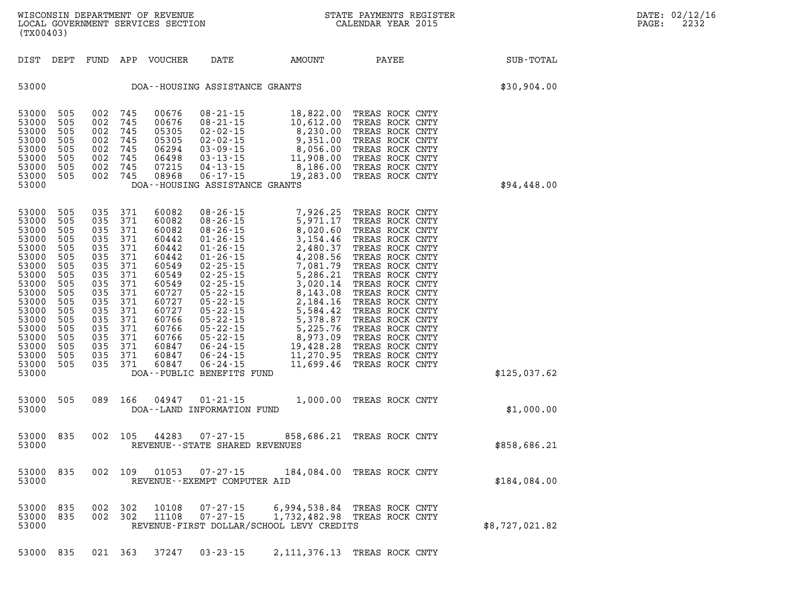| (TX00403)                                                                                                                                                               |                                                                                                                            |                                                                                                                            |                                                                                                                            | WISCONSIN DEPARTMENT OF REVENUE<br>LOCAL GOVERNMENT SERVICES SECTION                                                                                           |                                                                                                                                                                                                                                                                                                                                       | $\mathbf{S}^{\prime}$                                                                                                                                                                                      | STATE PAYMENTS REGISTER<br>CALENDAR YEAR 2015                                                                                                                                                                                                                                                                                                                |                | DATE: 02/12/16<br>PAGE:<br>2232 |
|-------------------------------------------------------------------------------------------------------------------------------------------------------------------------|----------------------------------------------------------------------------------------------------------------------------|----------------------------------------------------------------------------------------------------------------------------|----------------------------------------------------------------------------------------------------------------------------|----------------------------------------------------------------------------------------------------------------------------------------------------------------|---------------------------------------------------------------------------------------------------------------------------------------------------------------------------------------------------------------------------------------------------------------------------------------------------------------------------------------|------------------------------------------------------------------------------------------------------------------------------------------------------------------------------------------------------------|--------------------------------------------------------------------------------------------------------------------------------------------------------------------------------------------------------------------------------------------------------------------------------------------------------------------------------------------------------------|----------------|---------------------------------|
| DIST DEPT                                                                                                                                                               |                                                                                                                            |                                                                                                                            |                                                                                                                            | FUND APP VOUCHER                                                                                                                                               | DATE                                                                                                                                                                                                                                                                                                                                  | AMOUNT                                                                                                                                                                                                     | PAYEE                                                                                                                                                                                                                                                                                                                                                        | SUB-TOTAL      |                                 |
| 53000                                                                                                                                                                   |                                                                                                                            |                                                                                                                            |                                                                                                                            |                                                                                                                                                                | DOA--HOUSING ASSISTANCE GRANTS                                                                                                                                                                                                                                                                                                        |                                                                                                                                                                                                            |                                                                                                                                                                                                                                                                                                                                                              | \$30,904.00    |                                 |
| 53000<br>53000<br>53000<br>53000<br>53000<br>53000<br>53000<br>53000<br>53000                                                                                           | 505<br>505<br>505<br>505<br>505<br>505<br>505<br>505                                                                       | 002<br>002<br>002<br>002<br>002<br>002<br>002<br>002                                                                       | 745<br>745<br>745<br>745<br>745<br>745<br>745<br>745                                                                       | 00676<br>00676<br>05305<br>05305<br>06294<br>06498<br>07215<br>08968                                                                                           | $08 - 21 - 15$<br>$08 - 21 - 15$<br>$02 - 02 - 15$<br>$02 - 02 - 15$<br>$03 - 09 - 15$<br>$03 - 13 - 15$<br>$04 - 13 - 15$<br>$06 - 17 - 15$<br>DOA--HOUSING ASSISTANCE GRANTS                                                                                                                                                        | 18,822.00<br>10,612.00<br>8,230.00<br>$9,351.00$<br>8,056.00<br>11,908.00<br>8,186.00<br>19,283.00                                                                                                         | TREAS ROCK CNTY<br>TREAS ROCK CNTY<br>TREAS ROCK CNTY<br>TREAS ROCK CNTY<br>TREAS ROCK CNTY<br>TREAS ROCK CNTY<br>TREAS ROCK CNTY<br>TREAS ROCK CNTY                                                                                                                                                                                                         | \$94,448.00    |                                 |
| 53000<br>53000<br>53000<br>53000<br>53000<br>53000<br>53000<br>53000<br>53000<br>53000<br>53000<br>53000<br>53000<br>53000<br>53000<br>53000<br>53000<br>53000<br>53000 | 505<br>505<br>505<br>505<br>505<br>505<br>505<br>505<br>505<br>505<br>505<br>505<br>505<br>505<br>505<br>505<br>505<br>505 | 035<br>035<br>035<br>035<br>035<br>035<br>035<br>035<br>035<br>035<br>035<br>035<br>035<br>035<br>035<br>035<br>035<br>035 | 371<br>371<br>371<br>371<br>371<br>371<br>371<br>371<br>371<br>371<br>371<br>371<br>371<br>371<br>371<br>371<br>371<br>371 | 60082<br>60082<br>60082<br>60442<br>60442<br>60442<br>60549<br>60549<br>60549<br>60727<br>60727<br>60727<br>60766<br>60766<br>60766<br>60847<br>60847<br>60847 | $08 - 26 - 15$<br>$08 - 26 - 15$<br>$08 - 26 - 15$<br>$01 - 26 - 15$<br>$01 - 26 - 15$<br>$01 - 26 - 15$<br>$02 - 25 - 15$<br>$02 - 25 - 15$<br>$02 - 25 - 15$<br>05-22-15<br>$05 - 22 - 15$<br>$05 - 22 - 15$<br>05-22-15<br>05-22-15<br>$05 - 22 - 15$<br>06-24-15<br>$06 - 24 - 15$<br>$06 - 24 - 15$<br>DOA--PUBLIC BENEFITS FUND | 7,926.25<br>5,971.17<br>8,020.60<br>3,154.46<br>2,480.37<br>4,208.56<br>7,081.79<br>5,286.21<br>3,020.14<br>8,143.08<br>2,184.16<br>5,584.42<br>5,378.87<br>5,225.76<br>8,973.09<br>19,428.28<br>11,270.95 | TREAS ROCK CNTY<br>TREAS ROCK CNTY<br>TREAS ROCK CNTY<br>TREAS ROCK CNTY<br>TREAS ROCK CNTY<br>TREAS ROCK CNTY<br>TREAS ROCK CNTY<br>TREAS ROCK CNTY<br>TREAS ROCK CNTY<br>TREAS ROCK CNTY<br>TREAS ROCK CNTY<br>TREAS ROCK CNTY<br>TREAS ROCK CNTY<br>TREAS ROCK CNTY<br>TREAS ROCK CNTY<br>TREAS ROCK CNTY<br>TREAS ROCK CNTY<br>11,699.46 TREAS ROCK CNTY | \$125,037.62   |                                 |
| 53000<br>53000                                                                                                                                                          | 505                                                                                                                        | 089                                                                                                                        | 166                                                                                                                        | 04947                                                                                                                                                          | $01 - 21 - 15$<br>DOA--LAND INFORMATION FUND                                                                                                                                                                                                                                                                                          |                                                                                                                                                                                                            | 1,000.00 TREAS ROCK CNTY                                                                                                                                                                                                                                                                                                                                     | \$1,000.00     |                                 |
| 53000<br>53000                                                                                                                                                          | 835                                                                                                                        | 002                                                                                                                        | 105                                                                                                                        | 44283                                                                                                                                                          | $07 - 27 - 15$<br>REVENUE--STATE SHARED REVENUES                                                                                                                                                                                                                                                                                      |                                                                                                                                                                                                            | 858,686.21 TREAS ROCK CNTY                                                                                                                                                                                                                                                                                                                                   | \$858,686.21   |                                 |
| 53000 835<br>53000                                                                                                                                                      |                                                                                                                            |                                                                                                                            | 002 109                                                                                                                    | 01053                                                                                                                                                          | 07-27-15<br>REVENUE--EXEMPT COMPUTER AID                                                                                                                                                                                                                                                                                              |                                                                                                                                                                                                            | 184,084.00 TREAS ROCK CNTY                                                                                                                                                                                                                                                                                                                                   | \$184,084.00   |                                 |
| 53000<br>53000<br>53000                                                                                                                                                 | 835<br>835                                                                                                                 |                                                                                                                            | 002 302<br>002 302                                                                                                         | 10108<br>11108                                                                                                                                                 | $07 - 27 - 15$<br>$07 - 27 - 15$                                                                                                                                                                                                                                                                                                      | REVENUE-FIRST DOLLAR/SCHOOL LEVY CREDITS                                                                                                                                                                   | 6,994,538.84 TREAS ROCK CNTY<br>1,732,482.98 TREAS ROCK CNTY                                                                                                                                                                                                                                                                                                 | \$8,727,021.82 |                                 |
| 53000 835                                                                                                                                                               |                                                                                                                            |                                                                                                                            | 021 363                                                                                                                    | 37247                                                                                                                                                          | $03 - 23 - 15$                                                                                                                                                                                                                                                                                                                        |                                                                                                                                                                                                            | 2, 111, 376.13 TREAS ROCK CNTY                                                                                                                                                                                                                                                                                                                               |                |                                 |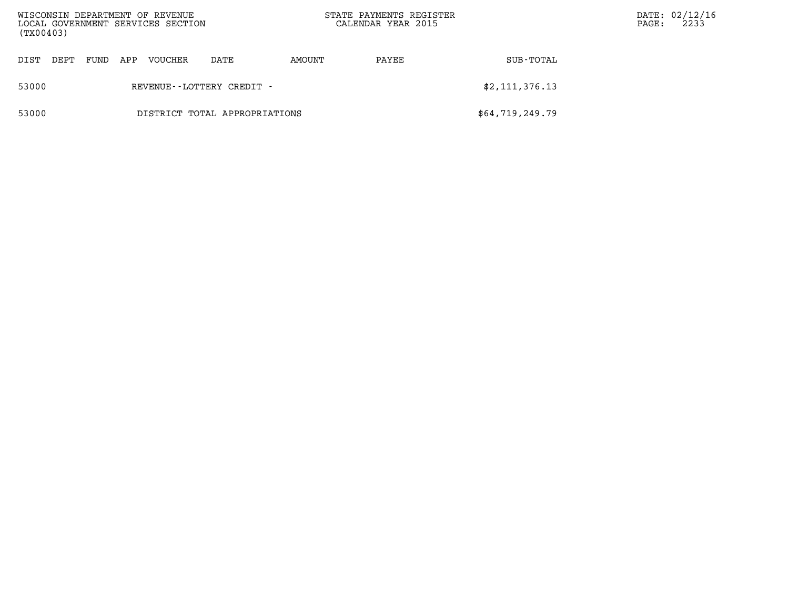| (TX00403) |      |      |     | WISCONSIN DEPARTMENT OF REVENUE<br>LOCAL GOVERNMENT SERVICES SECTION |      |        | STATE PAYMENTS REGISTER<br>CALENDAR YEAR 2015 | DATE: 02/12/16<br>2233<br>PAGE: |  |
|-----------|------|------|-----|----------------------------------------------------------------------|------|--------|-----------------------------------------------|---------------------------------|--|
| DIST      | DEPT | FUND | APP | VOUCHER                                                              | DATE | AMOUNT | PAYEE                                         | SUB-TOTAL                       |  |
| 53000     |      |      |     | REVENUE - - LOTTERY CREDIT -                                         |      |        |                                               | \$2,111,376.13                  |  |
| 53000     |      |      |     | DISTRICT TOTAL APPROPRIATIONS                                        |      |        |                                               | \$64,719,249.79                 |  |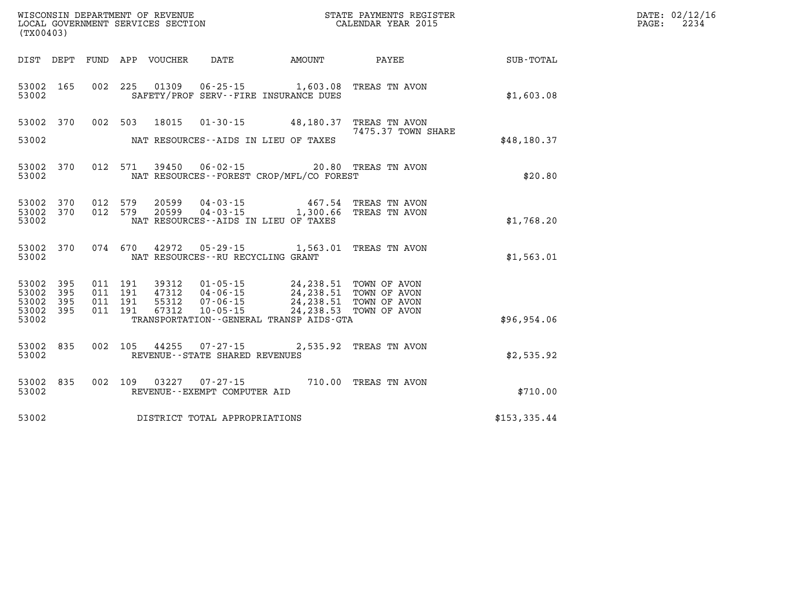|                    |     |                    |                            | UNDEXIGATIVE DE REVENUE<br>LOCAL GOVERNMENT SERVICES SECTION<br>(TX00403) |                                                                                           | STATE PAYMENTS REGISTER<br>CALENDAR YEAR 2015 |               | DATE: 02/12/16<br>$\mathtt{PAGE:}$<br>2234 |
|--------------------|-----|--------------------|----------------------------|---------------------------------------------------------------------------|-------------------------------------------------------------------------------------------|-----------------------------------------------|---------------|--------------------------------------------|
|                    |     |                    | DIST DEPT FUND APP VOUCHER |                                                                           | DATE AMOUNT                                                                               | <b>PAYEE</b>                                  | SUB-TOTAL     |                                            |
| 53002 165<br>53002 |     |                    |                            |                                                                           | 002 225 01309 06-25-15 1,603.08 TREAS TN AVON<br>SAFETY/PROF SERV--FIRE INSURANCE DUES    |                                               | \$1,603.08    |                                            |
| 53002              | 370 |                    | 002 503 18015              |                                                                           | 01-30-15 48,180.37 TREAS TN AVON                                                          | 7475.37 TOWN SHARE                            |               |                                            |
| 53002              |     |                    |                            |                                                                           | NAT RESOURCES--AIDS IN LIEU OF TAXES                                                      |                                               | \$48,180.37   |                                            |
| 53002<br>53002     | 370 |                    |                            |                                                                           | 012 571 39450 06-02-15 20.80 TREAS TN AVON<br>NAT RESOURCES--FOREST CROP/MFL/CO FOREST    |                                               | \$20.80       |                                            |
| 53002<br>53002 370 | 370 |                    |                            |                                                                           | 012 579 20599 04-03-15 467.54 TREAS TN AVON 012 579 20599 04-03-15 1,300.66 TREAS TN AVON |                                               |               |                                            |
| 53002              |     |                    |                            |                                                                           | NAT RESOURCES -- AIDS IN LIEU OF TAXES                                                    |                                               | \$1,768.20    |                                            |
| 53002<br>53002     | 370 | 074 670            | 42972                      | NAT RESOURCES - - RU RECYCLING GRANT                                      |                                                                                           |                                               | \$1,563.01    |                                            |
| 53002 395<br>53002 | 395 | 011 191<br>011 191 | 39312<br>47312             |                                                                           | 01-05-15 24, 238.51 TOWN OF AVON                                                          |                                               |               |                                            |
| 53002<br>53002 395 | 395 | 011 191<br>011 191 | 55312<br>67312             |                                                                           | 04-06-15<br>07-06-15 24,238.51 TOWN OF AVON<br>10-05-15 24,238.53 TOWN OF AVON            |                                               |               |                                            |
| 53002              |     |                    |                            |                                                                           | TRANSPORTATION--GENERAL TRANSP AIDS-GTA                                                   |                                               | \$96,954.06   |                                            |
| 53002<br>53002     | 835 |                    |                            | REVENUE - - STATE SHARED REVENUES                                         | 002 105 44255 07-27-15 2,535.92 TREAS TN AVON                                             |                                               | \$2,535.92    |                                            |
| 53002<br>53002     | 835 |                    | 002 109 03227              | REVENUE--EXEMPT COMPUTER AID                                              | 07-27-15 710.00 TREAS TN AVON                                                             |                                               | \$710.00      |                                            |
| 53002              |     |                    |                            | DISTRICT TOTAL APPROPRIATIONS                                             |                                                                                           |                                               | \$153, 335.44 |                                            |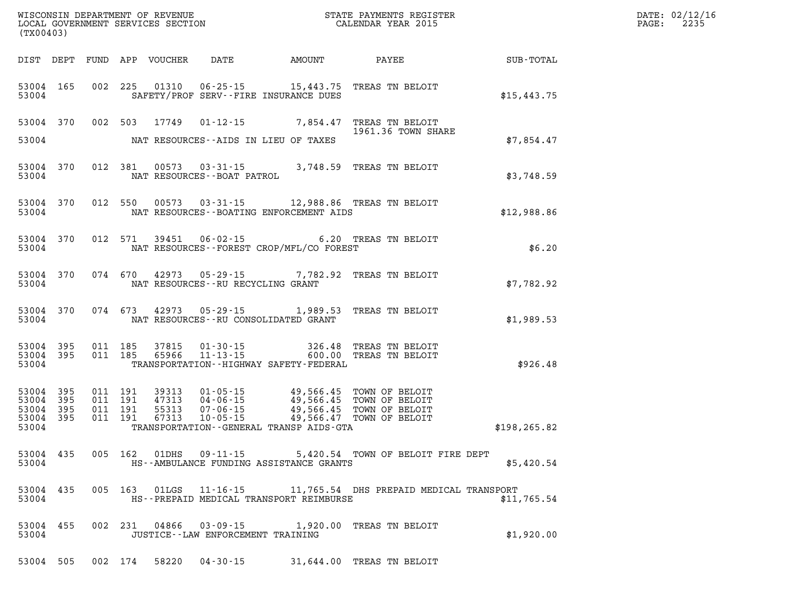| (TX00403) |                        |                    |                                         |                                             | WISCONSIN DEPARTMENT OF REVENUE<br>LOCAL GOVERNMENT SERVICES SECTION FOR THE STATE PAYMENTS REGISTER<br>CALENDAR YEAR 2015                                                           |               | DATE: 02/12/16<br>2235<br>$\mathtt{PAGE:}$ |
|-----------|------------------------|--------------------|-----------------------------------------|---------------------------------------------|--------------------------------------------------------------------------------------------------------------------------------------------------------------------------------------|---------------|--------------------------------------------|
|           |                        |                    |                                         |                                             |                                                                                                                                                                                      |               |                                            |
|           | 53004 165<br>53004     |                    |                                         | SAFETY/PROF SERV--FIRE INSURANCE DUES       | 002 225 01310 06-25-15 15,443.75 TREAS TN BELOIT                                                                                                                                     | \$15,443.75   |                                            |
|           |                        |                    |                                         |                                             | 53004 370 002 503 17749 01-12-15 7,854.47 TREAS TN BELOIT 1961.36 TOWN SHA<br>1961.36 TOWN SHARE                                                                                     |               |                                            |
|           | 53004                  |                    |                                         | NAT RESOURCES--AIDS IN LIEU OF TAXES        |                                                                                                                                                                                      | \$7,854.47    |                                            |
|           | 53004 370<br>53004     |                    |                                         |                                             | 012 381 00573 03-31-15 3,748.59 TREAS TN BELOIT NAT RESOURCES--BOAT PATROL                                                                                                           | \$3,748.59    |                                            |
|           | 53004                  |                    |                                         | NAT RESOURCES--BOATING ENFORCEMENT AIDS     | 53004 370 012 550 00573 03-31-15 12,988.86 TREAS TN BELOIT                                                                                                                           | \$12,988.86   |                                            |
|           | 53004 370<br>53004     |                    |                                         | NAT RESOURCES--FOREST CROP/MFL/CO FOREST    | 012 571 39451 06-02-15 6.20 TREAS TN BELOIT<br>NAT RESOURCES--FOREST CROP/MFL/CO FOREST                                                                                              | \$6.20        |                                            |
|           | 53004 370              |                    | 53004 NAT RESOURCES--RU RECYCLING GRANT |                                             | 074 670 42973 05-29-15 7,782.92 TREAS TN BELOIT                                                                                                                                      | \$7,782.92    |                                            |
|           |                        |                    |                                         | 53004 NAT RESOURCES--RU CONSOLIDATED GRANT  | 53004 370 074 673 42973 05-29-15 1,989.53 TREAS TN BELOIT                                                                                                                            | \$1,989.53    |                                            |
| 53004     | 53004 395<br>53004 395 |                    |                                         | TRANSPORTATION - - HIGHWAY SAFETY - FEDERAL | 011 185 37815 01-30-15 326.48 TREAS TN BELOIT<br>011 185 65966 11-13-15 600.00 TREAS TN BELOIT                                                                                       | \$926.48      |                                            |
|           | 53004 395<br>53004 395 | 011 191<br>011 191 |                                         |                                             | 39313  01-05-15  49,566.45  TOWN OF BELOIT<br>47313  04-06-15  49,566.45  TOWN OF BELOIT<br>55313  07-06-15  49,566.45  TOWN OF BELOIT<br>67313  10-05-15  49,566.47  TOWN OF BELOIT |               |                                            |
|           | 53004 395<br>53004 395 | 011 191<br>011 191 |                                         |                                             | 53004 TRANSPORTATION - GENERAL TRANSP AIDS - GTA                                                                                                                                     | \$198, 265.82 |                                            |
| 53004     | 53004 435              |                    |                                         | HS--AMBULANCE FUNDING ASSISTANCE GRANTS     | 005 162 01DHS 09-11-15 5,420.54 TOWN OF BELOIT FIRE DEPT                                                                                                                             | \$5,420.54    |                                            |
| 53004     | 53004 435              |                    |                                         | HS--PREPAID MEDICAL TRANSPORT REIMBURSE     | 005 163 01LGS 11-16-15 11,765.54 DHS PREPAID MEDICAL TRANSPORT                                                                                                                       | \$11,765.54   |                                            |
| 53004     | 53004 455              |                    | JUSTICE -- LAW ENFORCEMENT TRAINING     |                                             | 002 231 04866 03-09-15 1,920.00 TREAS TN BELOIT                                                                                                                                      | \$1,920.00    |                                            |
|           | 53004 505              |                    | 002 174 58220 04-30-15                  |                                             | 31,644.00 TREAS TN BELOIT                                                                                                                                                            |               |                                            |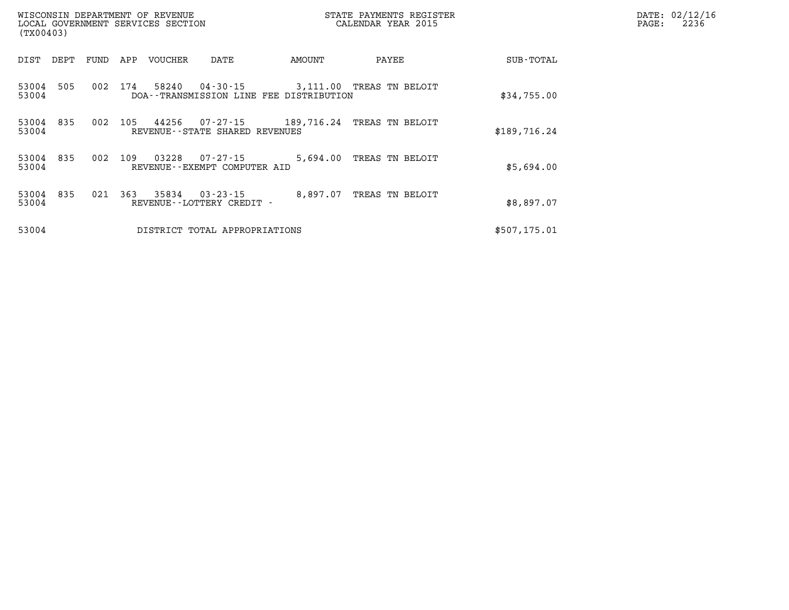| (TX00403)      |      |      |     | WISCONSIN DEPARTMENT OF REVENUE<br>LOCAL GOVERNMENT SERVICES SECTION |                                                |                                                                     | STATE PAYMENTS REGISTER<br>CALENDAR YEAR 2015 |                 | DATE: 02/12/16<br>PAGE: | 2236 |  |
|----------------|------|------|-----|----------------------------------------------------------------------|------------------------------------------------|---------------------------------------------------------------------|-----------------------------------------------|-----------------|-------------------------|------|--|
| DIST           | DEPT | FUND | APP | VOUCHER                                                              | DATE                                           | AMOUNT                                                              |                                               | PAYEE           | SUB-TOTAL               |      |  |
| 53004<br>53004 | 505  | 002  | 174 | 58240                                                                | 04-30-15                                       | 3,111.00 TREAS TN BELOIT<br>DOA--TRANSMISSION LINE FEE DISTRIBUTION |                                               |                 | \$34,755.00             |      |  |
| 53004<br>53004 | 835  | 002  | 105 | 44256                                                                | 07-27-15<br>REVENUE - - STATE SHARED REVENUES  | 189,716.24                                                          |                                               | TREAS TN BELOIT | \$189,716.24            |      |  |
| 53004<br>53004 | 835  | 002  | 109 | 03228                                                                | 07-27-15<br>REVENUE--EXEMPT COMPUTER AID       | 5,694.00                                                            |                                               | TREAS TN BELOIT | \$5,694.00              |      |  |
| 53004<br>53004 | 835  | 021  | 363 | 35834                                                                | $03 - 23 - 15$<br>REVENUE - - LOTTERY CREDIT - | 8,897.07                                                            |                                               | TREAS TN BELOIT | \$8,897.07              |      |  |
| 53004          |      |      |     |                                                                      | DISTRICT TOTAL APPROPRIATIONS                  |                                                                     |                                               |                 | \$507,175.01            |      |  |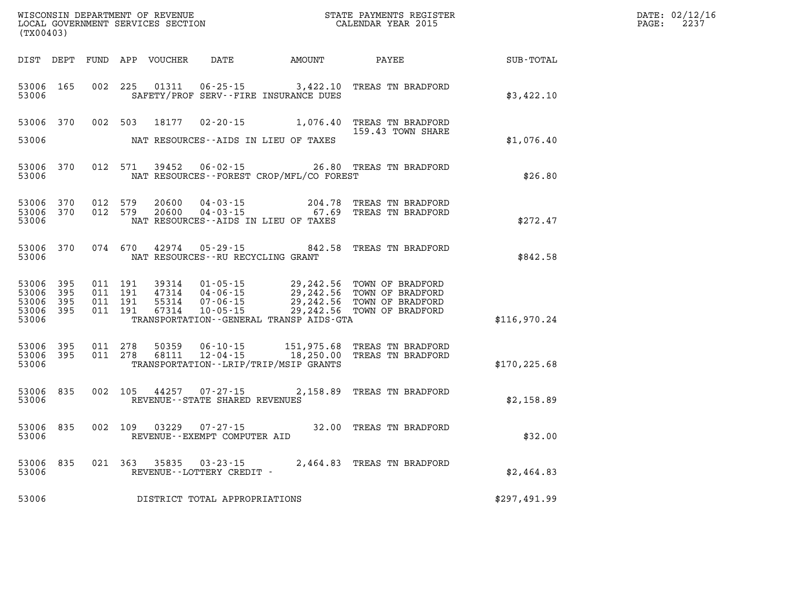| WISCONSIN DEPARTMENT OF REVENUE   | PAYMENTS REGISTER<br>3TATE | DATE: | 02/12/16       |
|-----------------------------------|----------------------------|-------|----------------|
| LOCAL GOVERNMENT SERVICES SECTION | CALENDAR YEAR 2015         | PAGE  | $\cap$<br>-445 |

|                                               | LOCAL GOVERNMENT SERVICES SECTION<br>(TX00403) |  |                                          |                                  |                                   |                                              | CALENDAR YEAR 2015                                                                                                                                       |               | PAGE: | 2237 |
|-----------------------------------------------|------------------------------------------------|--|------------------------------------------|----------------------------------|-----------------------------------|----------------------------------------------|----------------------------------------------------------------------------------------------------------------------------------------------------------|---------------|-------|------|
|                                               |                                                |  |                                          |                                  |                                   | DIST DEPT FUND APP VOUCHER DATE AMOUNT PAYEE |                                                                                                                                                          | SUB-TOTAL     |       |      |
| 53006 165<br>53006                            |                                                |  |                                          |                                  |                                   | SAFETY/PROF SERV--FIRE INSURANCE DUES        | 002 225 01311 06-25-15 3,422.10 TREAS TN BRADFORD                                                                                                        | \$3,422.10    |       |      |
| 53006                                         |                                                |  |                                          | 53006 370 002 503 18177          |                                   | NAT RESOURCES--AIDS IN LIEU OF TAXES         | 02-20-15 1,076.40 TREAS TN BRADFORD<br>159.43 TOWN SHARE                                                                                                 | \$1,076.40    |       |      |
|                                               |                                                |  |                                          |                                  |                                   |                                              |                                                                                                                                                          |               |       |      |
| 53006                                         |                                                |  |                                          | 53006 370 012 571 39452          |                                   | NAT RESOURCES--FOREST CROP/MFL/CO FOREST     | 06-02-15 26.80 TREAS TN BRADFORD                                                                                                                         | \$26.80       |       |      |
| 53006 370<br>53006                            | 53006 370                                      |  | 012 579<br>012 579                       | 20600<br>20600                   |                                   | NAT RESOURCES -- AIDS IN LIEU OF TAXES       | 04-03-15 204.78 TREAS TN BRADFORD<br>04-03-15 67.69 TREAS TN BRADFORD                                                                                    | \$272.47      |       |      |
| 53006                                         | 53006 370                                      |  |                                          |                                  | NAT RESOURCES--RU RECYCLING GRANT |                                              | 074 670 42974 05-29-15 842.58 TREAS TN BRADFORD                                                                                                          | \$842.58      |       |      |
| 53006<br>53006<br>53006<br>53006 395<br>53006 | 395<br>- 395<br>- 395                          |  | 011 191<br>011 191<br>011 191<br>011 191 | 39314<br>47314<br>55314<br>67314 |                                   | TRANSPORTATION--GENERAL TRANSP AIDS-GTA      | 01-05-15 29,242.56 TOWN OF BRADFORD<br>04-06-15 29,242.56 TOWN OF BRADFORD<br>07-06-15 29,242.56 TOWN OF BRADFORD<br>10-05-15 29,242.56 TOWN OF BRADFORD | \$116,970.24  |       |      |
| 53006 395<br>53006                            | 53006 395                                      |  | 011 278                                  | 011 278 50359<br>68111           | $12 - 04 - 15$                    | TRANSPORTATION - - LRIP/TRIP/MSIP GRANTS     | 06-10-15 151,975.68 TREAS TN BRADFORD<br>18,250.00 TREAS TN BRADFORD                                                                                     | \$170, 225.68 |       |      |
| 53006                                         | 53006 835                                      |  |                                          |                                  | REVENUE - - STATE SHARED REVENUES |                                              | 002 105 44257 07-27-15 2,158.89 TREAS TN BRADFORD                                                                                                        | \$2,158.89    |       |      |
| 53006 835<br>53006                            |                                                |  |                                          | 002 109 03229                    | REVENUE--EXEMPT COMPUTER AID      |                                              | 07-27-15 32.00 TREAS TN BRADFORD                                                                                                                         | \$32.00       |       |      |
| 53006                                         |                                                |  |                                          | 53006 835 021 363 35835          | REVENUE--LOTTERY CREDIT -         |                                              | 03-23-15 2,464.83 TREAS TN BRADFORD                                                                                                                      | \$2,464.83    |       |      |
| 53006                                         |                                                |  |                                          |                                  | DISTRICT TOTAL APPROPRIATIONS     |                                              |                                                                                                                                                          | \$297,491.99  |       |      |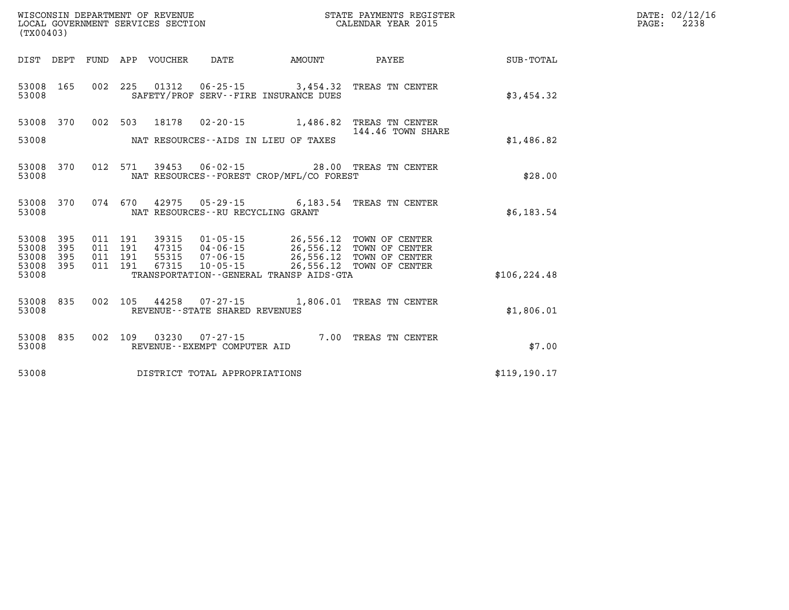| DATE: | 02/12/16 |
|-------|----------|
| PAGE: | 2238     |

| WISCONSIN DEPARTMENT OF REVENUE<br>(TX00403) | LOCAL GOVERNMENT SERVICES SECTION                                            | STATE PAYMENTS REGISTER<br>CALENDAR YEAR 2015               |               |
|----------------------------------------------|------------------------------------------------------------------------------|-------------------------------------------------------------|---------------|
| DIST<br>DEPT<br>FUND                         | APP<br><b>DATE</b><br>VOUCHER<br><b>AMOUNT</b>                               | PAYEE                                                       | SUB-TOTAL     |
| 002<br>53008<br>165<br>53008                 | 225<br>01312<br>$06 - 25 - 15$<br>SAFETY/PROF SERV--FIRE INSURANCE DUES      | 3,454.32<br>TREAS TN CENTER                                 | \$3,454.32    |
| 53008<br>370<br>002                          | 503<br>18178<br>$02 - 20 - 15$                                               | 1,486.82<br>TREAS TN CENTER<br>144.46 TOWN SHARE            |               |
| 53008                                        | NAT RESOURCES -- AIDS IN LIEU OF TAXES                                       |                                                             | \$1,486.82    |
| 012<br>53008<br>370<br>53008                 | 571<br>$06 - 02 - 15$<br>39453<br>NAT RESOURCES -- FOREST CROP/MFL/CO FOREST | 28.00<br>TREAS TN CENTER                                    | \$28.00       |
| 370<br>074<br>53008<br>53008                 | 670<br>42975<br>05 - 29 - 15<br>NAT RESOURCES - - RU RECYCLING GRANT         | 6,183.54<br>TREAS TN CENTER                                 | \$6,183.54    |
| 53008<br>395<br>011<br>395<br>53008<br>011   | 191<br>39315<br>$01 - 05 - 15$<br>191<br>47315<br>$04 - 06 - 15$             | 26,556.12<br>TOWN OF CENTER<br>26, 556.12<br>TOWN OF CENTER |               |
| 53008<br>395<br>011<br>53008<br>395<br>011   | 191<br>55315<br>$07 - 06 - 15$<br>67315<br>191<br>$10 - 05 - 15$             | 26,556.12<br>TOWN OF CENTER<br>26,556.12<br>TOWN OF CENTER  |               |
| 53008                                        | TRANSPORTATION--GENERAL TRANSP AIDS-GTA                                      |                                                             | \$106, 224.48 |
| 002<br>53008<br>835<br>53008                 | 105<br>44258<br>$07 - 27 - 15$<br>REVENUE - - STATE SHARED REVENUES          | 1,806.01<br>TREAS TN CENTER                                 | \$1,806.01    |
| 835<br>002<br>53008<br>53008                 | 109<br>03230<br>$07 - 27 - 15$<br>REVENUE--EXEMPT COMPUTER AID               | 7.00<br>TREAS TN CENTER                                     | \$7.00        |
| 53008                                        | DISTRICT TOTAL APPROPRIATIONS                                                |                                                             | \$119, 190.17 |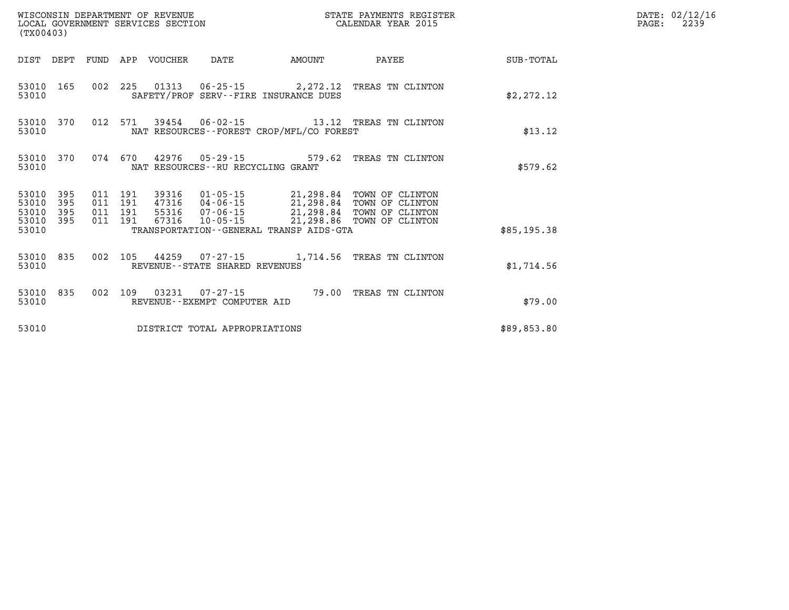| (TX00403)               |                   |  |         |                  |                                   |                                             | STATE PAYMENTS REGISTER                                                                                                                                       |             | DATE: 02/12/16<br>$\mathtt{PAGE}$ :<br>2239 |
|-------------------------|-------------------|--|---------|------------------|-----------------------------------|---------------------------------------------|---------------------------------------------------------------------------------------------------------------------------------------------------------------|-------------|---------------------------------------------|
| DIST DEPT               |                   |  |         | FUND APP VOUCHER | DATE                              | AMOUNT                                      | PAYEE                                                                                                                                                         | SUB-TOTAL   |                                             |
| 53010 165<br>53010      |                   |  |         |                  |                                   | SAFETY/PROF SERV--FIRE INSURANCE DUES       | 002 225 01313 06-25-15 2,272.12 TREAS TN CLINTON                                                                                                              | \$2,272.12  |                                             |
| 53010 370<br>53010      |                   |  |         |                  |                                   | NAT RESOURCES - - FOREST CROP/MFL/CO FOREST | 012 571 39454 06-02-15 13.12 TREAS TN CLINTON                                                                                                                 | \$13.12     |                                             |
| 53010 370<br>53010      |                   |  |         |                  | NAT RESOURCES--RU RECYCLING GRANT |                                             | 074 670 42976 05-29-15 579.62 TREAS TN CLINTON                                                                                                                | \$579.62    |                                             |
| 53010<br>53010<br>53010 | 395<br>395<br>395 |  |         |                  |                                   |                                             | 011  191  39316  01-05-15  21,298.84  TOWN OF CLINTON<br>011 191 47316 04-06-15 21,298.84 TOWN OF CLINTON<br>011 191 55316 07-06-15 21,298.84 TOWN OF CLINTON |             |                                             |
| 53010<br>53010          | 395               |  | 011 191 | 67316            | 10-05-15                          | TRANSPORTATION--GENERAL TRANSP AIDS-GTA     | 21,298.86 TOWN OF CLINTON                                                                                                                                     | \$85,195.38 |                                             |
| 53010 835<br>53010      |                   |  |         |                  | REVENUE--STATE SHARED REVENUES    |                                             | 002 105 44259 07-27-15 1,714.56 TREAS TN CLINTON                                                                                                              | \$1,714.56  |                                             |
| 53010 835<br>53010      |                   |  |         |                  | REVENUE--EXEMPT COMPUTER AID      |                                             | 002 109 03231 07-27-15 79.00 TREAS TN CLINTON                                                                                                                 | \$79.00     |                                             |
| 53010                   |                   |  |         |                  | DISTRICT TOTAL APPROPRIATIONS     |                                             |                                                                                                                                                               | \$89,853.80 |                                             |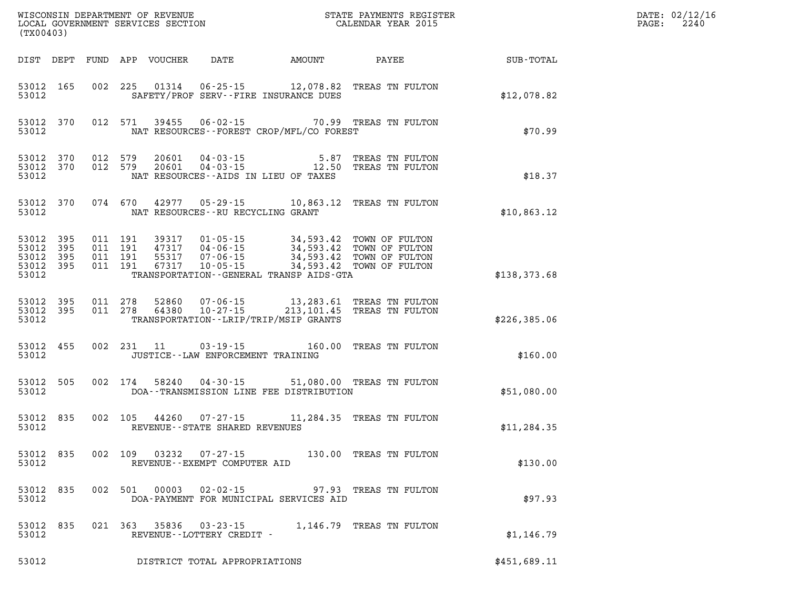| (TX00403)                                                 |                    |         |         |       |                                           |                                             | WISCONSIN DEPARTMENT OF REVENUE<br>LOCAL GOVERNMENT SERVICES SECTION<br>(TYO0403)                                                                           | DATE: 02/12/16<br>$\mathtt{PAGE}$ :<br>2240 |  |
|-----------------------------------------------------------|--------------------|---------|---------|-------|-------------------------------------------|---------------------------------------------|-------------------------------------------------------------------------------------------------------------------------------------------------------------|---------------------------------------------|--|
|                                                           |                    |         |         |       |                                           |                                             |                                                                                                                                                             |                                             |  |
| 53012 165<br>53012                                        |                    |         |         |       |                                           | SAFETY/PROF SERV--FIRE INSURANCE DUES       | 002 225 01314 06-25-15 12,078.82 TREAS TN FULTON                                                                                                            | \$12,078.82                                 |  |
| 53012                                                     | 53012 370          |         |         |       |                                           | NAT RESOURCES - - FOREST CROP/MFL/CO FOREST | 012 571 39455 06-02-15 70.99 TREAS TN FULTON                                                                                                                | \$70.99                                     |  |
| 53012 370<br>53012                                        | 53012 370 012 579  |         | 012 579 |       |                                           | NAT RESOURCES--AIDS IN LIEU OF TAXES        | $\begin{array}{cccc} 20601 & 04\cdot 03\cdot 15 & 5.87 & \text{TREAS TN FULTON} \\ 20601 & 04\cdot 03\cdot 15 & 12.50 & \text{TREAS TN FULTON} \end{array}$ | \$18.37                                     |  |
|                                                           | 53012 370          |         |         |       | 53012 NAT RESOURCES--RU RECYCLING GRANT   |                                             | 074 670 42977 05-29-15 10,863.12 TREAS TN FULTON                                                                                                            | \$10,863.12                                 |  |
| 53012 395<br>53012 395<br>53012 395<br>53012 395<br>53012 |                    |         |         |       |                                           | TRANSPORTATION--GENERAL TRANSP AIDS-GTA     |                                                                                                                                                             | \$138,373.68                                |  |
| 53012 395<br>53012 395                                    | 53012              | 011 278 |         |       |                                           | TRANSPORTATION - - LRIP/TRIP/MSIP GRANTS    | 011  278  52860  07-06-15  13,283.61  TREAS TN FULTON<br>011  278  64380  10-27-15  213,101.45  TREAS TN FULTON                                             | \$226,385.06                                |  |
|                                                           | 53012 455<br>53012 |         |         |       | JUSTICE -- LAW ENFORCEMENT TRAINING       |                                             | 002 231 11 03-19-15 160.00 TREAS TN FULTON                                                                                                                  | \$160.00                                    |  |
|                                                           | 53012 505<br>53012 |         | 002 174 |       |                                           | DOA--TRANSMISSION LINE FEE DISTRIBUTION     | 58240  04-30-15  51,080.00  TREAS TN FULTON                                                                                                                 | \$51,080.00                                 |  |
|                                                           | 53012 835<br>53012 |         |         |       | REVENUE--STATE SHARED REVENUES            |                                             | 002 105 44260 07-27-15 11,284.35 TREAS TN FULTON                                                                                                            | \$11, 284.35                                |  |
| 53012                                                     |                    |         |         |       | REVENUE - - EXEMPT COMPUTER AID           |                                             | 53012 835 002 109 03232 07-27-15 130.00 TREAS TN FULTON                                                                                                     | \$130.00                                    |  |
| 53012 835<br>53012                                        |                    |         | 002 501 | 00003 | $02 - 02 - 15$                            | DOA-PAYMENT FOR MUNICIPAL SERVICES AID      | 97.93 TREAS TN FULTON                                                                                                                                       | \$97.93                                     |  |
| 53012 835<br>53012                                        |                    |         | 021 363 | 35836 | 03 - 23 - 15<br>REVENUE--LOTTERY CREDIT - |                                             | 1,146.79 TREAS TN FULTON                                                                                                                                    | \$1,146.79                                  |  |
| 53012                                                     |                    |         |         |       | DISTRICT TOTAL APPROPRIATIONS             |                                             |                                                                                                                                                             | \$451,689.11                                |  |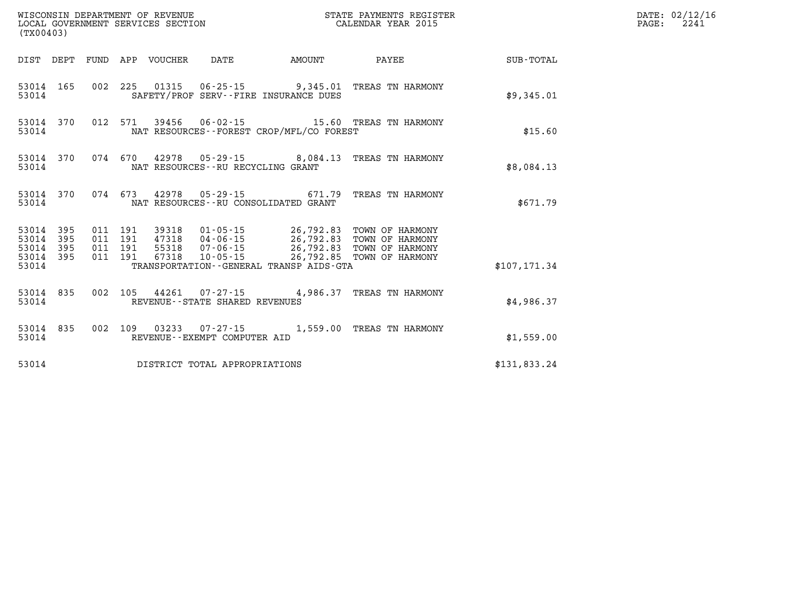| %WISCONSIN DEPARTMENT OF REVENUE $$\tt STATE~~PAYMENTS~REGISTER~LOCAL~GOVERNMENT~SERVICES~SECTION~CALENDAR~YEAR~2015$<br>(TX00403) |  |  |                                          |  |                                   |                                              |                                                                                                                                                                                          |               | DATE: 02/12/16<br>PAGE:<br>2241 |
|------------------------------------------------------------------------------------------------------------------------------------|--|--|------------------------------------------|--|-----------------------------------|----------------------------------------------|------------------------------------------------------------------------------------------------------------------------------------------------------------------------------------------|---------------|---------------------------------|
|                                                                                                                                    |  |  |                                          |  |                                   |                                              | DIST DEPT FUND APP VOUCHER DATE     AMOUNT     PAYEE                                                                                                                                     | SUB-TOTAL     |                                 |
| 53014 165<br>53014                                                                                                                 |  |  |                                          |  |                                   | SAFETY/PROF SERV--FIRE INSURANCE DUES        | 002 225 01315 06-25-15 9,345.01 TREAS TN HARMONY                                                                                                                                         | \$9,345.01    |                                 |
| 53014 370<br>53014                                                                                                                 |  |  |                                          |  |                                   | NAT RESOURCES - - FOREST CROP/MFL/CO FOREST  | 012 571 39456 06-02-15 15.60 TREAS TN HARMONY                                                                                                                                            | \$15.60       |                                 |
| 53014 370<br>53014                                                                                                                 |  |  |                                          |  | NAT RESOURCES--RU RECYCLING GRANT |                                              | 074 670 42978 05-29-15 8,084.13 TREAS TN HARMONY                                                                                                                                         | \$8,084.13    |                                 |
| 53014 370<br>53014                                                                                                                 |  |  |                                          |  |                                   | NAT RESOURCES--RU CONSOLIDATED GRANT         | 074 673 42978 05-29-15 671.79 TREAS TN HARMONY                                                                                                                                           | \$671.79      |                                 |
| 53014 395<br>53014 395<br>53014 395<br>53014 395                                                                                   |  |  | 011 191<br>011 191<br>011 191<br>011 191 |  |                                   |                                              | 39318  01-05-15  26,792.83  TOWN OF HARMONY<br>47318  04-06-15  26,792.83  TOWN OF HARMONY<br>55318  07-06-15  26,792.83  TOWN OF HARMONY<br>67318  10-05-15  26,792.85  TOWN OF HARMONY |               |                                 |
| 53014                                                                                                                              |  |  |                                          |  |                                   | TRANSPORTATION - - GENERAL TRANSP AIDS - GTA |                                                                                                                                                                                          | \$107, 171.34 |                                 |
| 53014 835<br>53014                                                                                                                 |  |  |                                          |  | REVENUE - - STATE SHARED REVENUES |                                              | 002 105 44261 07-27-15 4,986.37 TREAS TN HARMONY                                                                                                                                         | \$4,986.37    |                                 |
| 53014 835<br>53014                                                                                                                 |  |  |                                          |  | REVENUE--EXEMPT COMPUTER AID      |                                              | 002 109 03233 07-27-15 1,559.00 TREAS TN HARMONY                                                                                                                                         | \$1,559.00    |                                 |
| 53014                                                                                                                              |  |  |                                          |  | DISTRICT TOTAL APPROPRIATIONS     |                                              |                                                                                                                                                                                          | \$131,833.24  |                                 |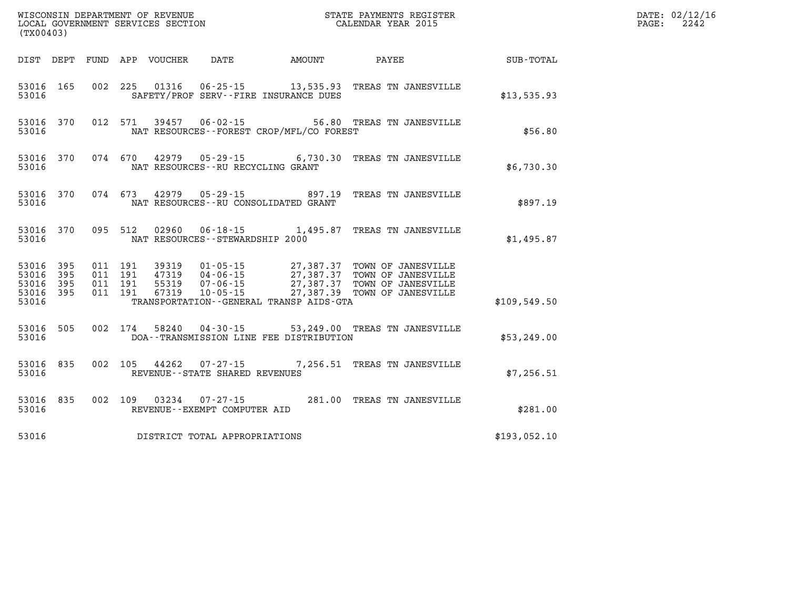| (TX00403)                                    |           |                                          |  |                                     |                                             | WISCONSIN DEPARTMENT OF REVENUE<br>LOCAL GOVERNMENT SERVICES SECTION THE STATE PAYMENTS REGIST<br>(TYA04403)<br>STATE PAYMENTS REGISTER                                                          |              | DATE: 02/12/16<br>$\mathtt{PAGE:}$<br>2242 |
|----------------------------------------------|-----------|------------------------------------------|--|-------------------------------------|---------------------------------------------|--------------------------------------------------------------------------------------------------------------------------------------------------------------------------------------------------|--------------|--------------------------------------------|
|                                              |           |                                          |  |                                     |                                             | DIST DEPT FUND APP VOUCHER DATE AMOUNT PAYEE PAYEE SUB-TOTAL                                                                                                                                     |              |                                            |
| 53016                                        | 53016 165 |                                          |  |                                     | SAFETY/PROF SERV--FIRE INSURANCE DUES       | 002 225 01316 06-25-15 13,535.93 TREAS TN JANESVILLE                                                                                                                                             | \$13,535.93  |                                            |
| 53016                                        |           |                                          |  |                                     | NAT RESOURCES - - FOREST CROP/MFL/CO FOREST | 53016 370 012 571 39457 06-02-15 56.80 TREAS TN JANESVILLE                                                                                                                                       | \$56.80      |                                            |
| 53016                                        |           |                                          |  | NAT RESOURCES -- RU RECYCLING GRANT |                                             | 53016 370 074 670 42979 05-29-15 6,730.30 TREAS TN JANESVILLE                                                                                                                                    | \$6,730.30   |                                            |
| 53016                                        |           |                                          |  |                                     | NAT RESOURCES -- RU CONSOLIDATED GRANT      | 53016 370 074 673 42979 05-29-15 897.19 TREAS TN JANESVILLE                                                                                                                                      | \$897.19     |                                            |
| 53016                                        |           |                                          |  | NAT RESOURCES--STEWARDSHIP 2000     |                                             | 53016 370 095 512 02960 06-18-15 1,495.87 TREAS TN JANESVILLE                                                                                                                                    | \$1,495.87   |                                            |
| 53016 395<br>53016 395<br>53016 395<br>53016 | 53016 395 | 011 191<br>011 191<br>011 191<br>011 191 |  |                                     | TRANSPORTATION--GENERAL TRANSP AIDS-GTA     | 39319  01-05-15  27,387.37 TOWN OF JANESVILLE<br>47319  04-06-15  27,387.37 TOWN OF JANESVILLE<br>55319  07-06-15  27,387.37 TOWN OF JANESVILLE<br>67319  10-05-15  27,387.39 TOWN OF JANESVILLE | \$109,549.50 |                                            |
| 53016                                        | 53016 505 |                                          |  |                                     | DOA--TRANSMISSION LINE FEE DISTRIBUTION     | 002 174 58240 04-30-15 53,249.00 TREAS TN JANESVILLE                                                                                                                                             | \$53,249.00  |                                            |
| 53016                                        | 53016 835 |                                          |  | REVENUE--STATE SHARED REVENUES      |                                             | 002 105 44262 07-27-15 7,256.51 TREAS TN JANESVILLE                                                                                                                                              | \$7,256.51   |                                            |
| 53016                                        |           | 53016 835 002 109                        |  | REVENUE--EXEMPT COMPUTER AID        |                                             | 03234  07-27-15  281.00 TREAS TN JANESVILLE                                                                                                                                                      | \$281.00     |                                            |
| 53016                                        |           |                                          |  | DISTRICT TOTAL APPROPRIATIONS       |                                             |                                                                                                                                                                                                  | \$193,052.10 |                                            |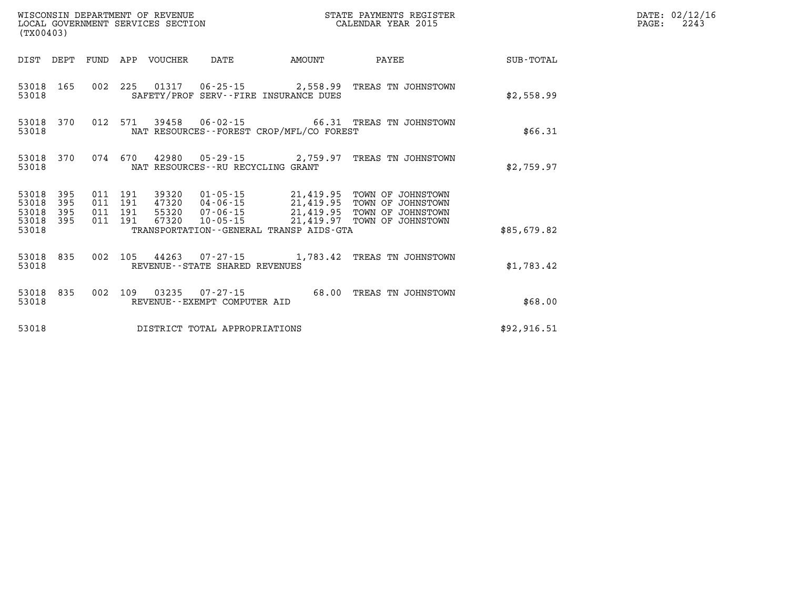| (TX00403)                            |                   |  |                                 |                                   |                                             |                                                                                                                                                                                                                                                                                                                                                           |             | DATE: 02/12/16<br>2243<br>$\mathtt{PAGE:}$ |
|--------------------------------------|-------------------|--|---------------------------------|-----------------------------------|---------------------------------------------|-----------------------------------------------------------------------------------------------------------------------------------------------------------------------------------------------------------------------------------------------------------------------------------------------------------------------------------------------------------|-------------|--------------------------------------------|
|                                      |                   |  | DIST DEPT FUND APP VOUCHER DATE |                                   | AMOUNT                                      | <b>PAYEE</b>                                                                                                                                                                                                                                                                                                                                              | SUB-TOTAL   |                                            |
| 53018                                |                   |  |                                 |                                   | SAFETY/PROF SERV--FIRE INSURANCE DUES       | 53018 165 002 225 01317 06-25-15 2,558.99 TREAS TN JOHNSTOWN                                                                                                                                                                                                                                                                                              | \$2,558.99  |                                            |
| 53018                                |                   |  |                                 |                                   | NAT RESOURCES - - FOREST CROP/MFL/CO FOREST | 53018 370 012 571 39458 06-02-15 66.31 TREAS TN JOHNSTOWN                                                                                                                                                                                                                                                                                                 | \$66.31     |                                            |
| 53018                                |                   |  |                                 | NAT RESOURCES--RU RECYCLING GRANT |                                             | 53018 370 074 670 42980 05-29-15 2,759.97 TREAS TN JOHNSTOWN                                                                                                                                                                                                                                                                                              | \$2,759.97  |                                            |
| 53018<br>53018<br>53018<br>53018 395 | 395<br>395<br>395 |  |                                 |                                   |                                             | $\begin{array}{cccc} 011 & 191 & 39320 & 01\cdot 05\cdot 15 & 21,419.95 & \text{TOWN OF JOHNSTOWN} \\ 011 & 191 & 47320 & 04\cdot 06\cdot 15 & 21,419.95 & \text{TOWN OF JOHNSTOWN} \\ 011 & 191 & 55320 & 07\cdot 06\cdot 15 & 21,419.95 & \text{TOWN OF JOHNSTOWN} \\ 011 & 191 & 67320 & 10\cdot 05\cdot 15 & 21,419.97 & \text{TOWN OF JOHNSTOWN} \\$ |             |                                            |
| 53018                                |                   |  |                                 |                                   | TRANSPORTATION--GENERAL TRANSP AIDS-GTA     |                                                                                                                                                                                                                                                                                                                                                           | \$85,679.82 |                                            |
| 53018                                |                   |  |                                 | REVENUE--STATE SHARED REVENUES    |                                             | 53018 835 002 105 44263 07-27-15 1,783.42 TREAS TN JOHNSTOWN                                                                                                                                                                                                                                                                                              | \$1,783.42  |                                            |
| 53018                                |                   |  |                                 | REVENUE--EXEMPT COMPUTER AID      |                                             | 53018 835 002 109 03235 07-27-15 68.00 TREAS TN JOHNSTOWN                                                                                                                                                                                                                                                                                                 | \$68.00     |                                            |
| 53018                                |                   |  |                                 | DISTRICT TOTAL APPROPRIATIONS     |                                             |                                                                                                                                                                                                                                                                                                                                                           | \$92,916.51 |                                            |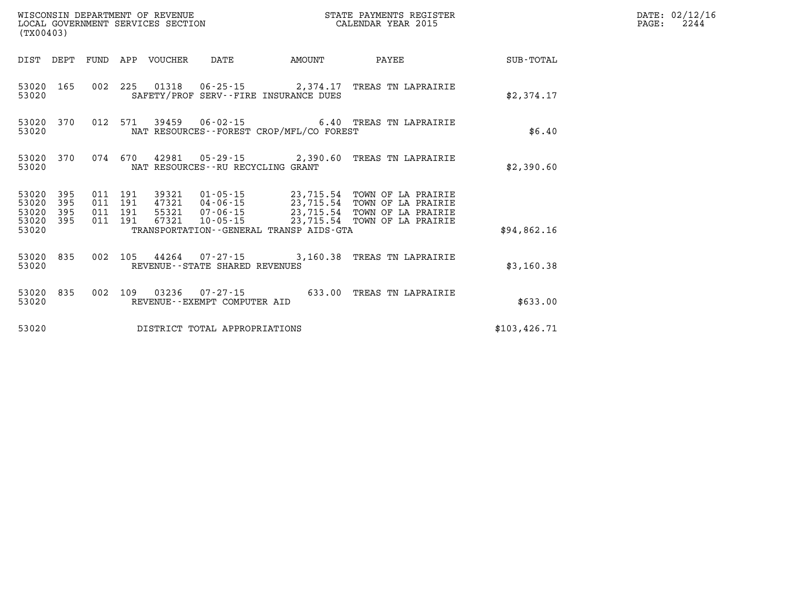| (TX00403)                                    |  |                       |                                   |                                             | STATE PAYMENTS REGISTER                                                                                                                                                |               | DATE: 02/12/16<br>$\mathtt{PAGE:}$<br>2244 |
|----------------------------------------------|--|-----------------------|-----------------------------------|---------------------------------------------|------------------------------------------------------------------------------------------------------------------------------------------------------------------------|---------------|--------------------------------------------|
| DIST DEPT                                    |  | FUND APP VOUCHER DATE |                                   | AMOUNT                                      | PAYEE                                                                                                                                                                  | SUB-TOTAL     |                                            |
| 53020 165<br>53020                           |  |                       |                                   | SAFETY/PROF SERV--FIRE INSURANCE DUES       | 002 225 01318 06-25-15 2,374.17 TREAS TN LAPRAIRIE                                                                                                                     | \$2,374.17    |                                            |
| 53020 370<br>53020                           |  |                       |                                   | NAT RESOURCES - - FOREST CROP/MFL/CO FOREST | 012 571 39459 06-02-15 6.40 TREAS TN LAPRAIRIE                                                                                                                         | \$6.40        |                                            |
| 53020<br>370<br>53020                        |  |                       | NAT RESOURCES--RU RECYCLING GRANT |                                             | 074  670  42981  05-29-15  2,390.60  TREAS TN LAPRAIRIE                                                                                                                | \$2,390.60    |                                            |
| 53020<br>395<br>53020<br>395<br>53020<br>395 |  |                       |                                   |                                             | 011  191  39321  01-05-15  23,715.54  TOWN OF LA PRAIRIE<br>011 191 47321 04-06-15 23,715.54 TOWN OF LA PRAIRIE<br>011 191 55321 07-06-15 23,715.54 TOWN OF LA PRAIRIE |               |                                            |
| 53020<br>395<br>53020                        |  | 011 191 67321         | $10 - 05 - 15$                    | TRANSPORTATION--GENERAL TRANSP AIDS-GTA     | 23,715.54 TOWN OF LA PRAIRIE                                                                                                                                           | \$94,862.16   |                                            |
| 53020 835<br>53020                           |  |                       | REVENUE--STATE SHARED REVENUES    |                                             | 002 105 44264 07-27-15 3,160.38 TREAS TN LAPRAIRIE                                                                                                                     | \$3,160.38    |                                            |
| 53020 835<br>53020                           |  |                       | REVENUE--EXEMPT COMPUTER AID      |                                             | 002 109 03236 07-27-15 633.00 TREAS TN LAPRAIRIE                                                                                                                       | \$633.00      |                                            |
| 53020                                        |  |                       | DISTRICT TOTAL APPROPRIATIONS     |                                             |                                                                                                                                                                        | \$103, 426.71 |                                            |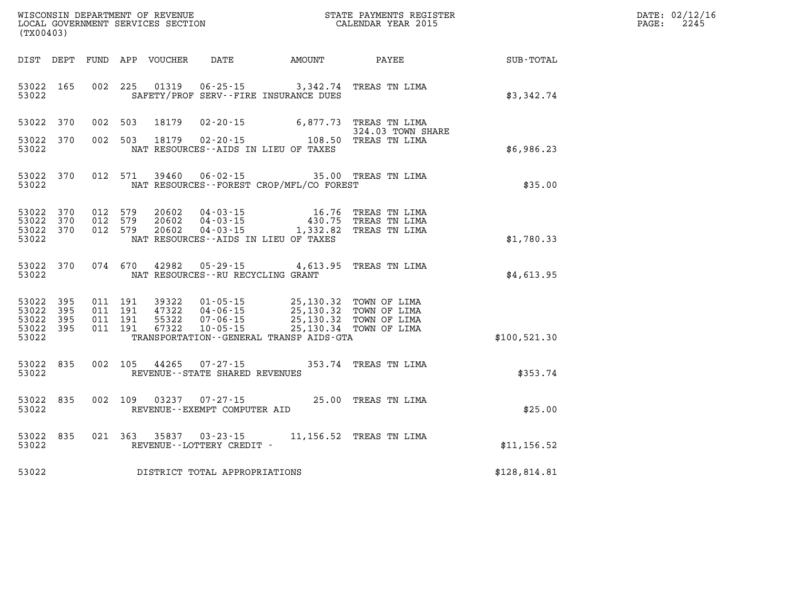| DATE: | 02/12/16 |
|-------|----------|
| PAGE: | 2245     |

| (TX00403)                                                 |  |  |                                                                       |                                                                                                                                                                                                                                                |                      | $\mathbb{R}^n$                                               | DATE: 02/12/1<br>PAGE:<br>2245 |
|-----------------------------------------------------------|--|--|-----------------------------------------------------------------------|------------------------------------------------------------------------------------------------------------------------------------------------------------------------------------------------------------------------------------------------|----------------------|--------------------------------------------------------------|--------------------------------|
|                                                           |  |  |                                                                       |                                                                                                                                                                                                                                                |                      | DIST DEPT FUND APP VOUCHER DATE AMOUNT PAYEE PAYEE SUB-TOTAL |                                |
| 53022 165<br>53022                                        |  |  |                                                                       | 002 225 01319 06-25-15 3,342.74 TREAS TN LIMA<br>SAFETY/PROF SERV--FIRE INSURANCE DUES                                                                                                                                                         |                      | \$3,342.74                                                   |                                |
| 53022 370                                                 |  |  |                                                                       | 002 503 18179 02-20-15 6,877.73 TREAS TN LIMA                                                                                                                                                                                                  | 324.03 TOWN SHARE    |                                                              |                                |
| 53022 370<br>53022                                        |  |  |                                                                       | 324.03 TOWN SH<br>108.50 TREAS TN LIMA (2002 503 ) 18179 (2012)<br>NAT RESOURCES--AIDS IN LIEU OF TAXES                                                                                                                                        |                      | \$6,986.23                                                   |                                |
|                                                           |  |  |                                                                       | 53022 370 012 571 39460 06-02-15 35.00 TREAS TN LIMA<br>53022 MAT RESOURCES--FOREST CROP/MFL/CO FOREST                                                                                                                                         |                      | \$35.00                                                      |                                |
| 53022 370<br>53022 370<br>53022 370<br>53022              |  |  |                                                                       | 012 579 20602 04-03-15 16.76 TREAS TN LIMA<br>012 579 20602 04-03-15 430.75 TREAS TN LIMA<br>012 579 20602 04-03-15 1,332.82 TREAS TN LIMA<br>NAT RESOURCES--AIDS IN LIEU OF TAXES                                                             |                      | \$1,780.33                                                   |                                |
| 53022 370<br>53022                                        |  |  |                                                                       | 074 670 42982 05-29-15 4,613.95 TREAS TN LIMA<br>NAT RESOURCES--RU RECYCLING GRANT                                                                                                                                                             |                      | \$4,613.95                                                   |                                |
| 53022 395<br>53022 395<br>53022 395<br>53022 395<br>53022 |  |  |                                                                       | 011 191 39322 01-05-15 25,130.32 TOWN OF LIMA<br>011 191 47322 04-06-15 25,130.32 TOWN OF LIMA<br>011 191 55322 07-06-15 25,130.32 TOWN OF LIMA<br>011 191 67322 10-05-15 25,130.34 TOWN OF LIMA<br>TRANSPORTATION - - GENERAL TRANSP AIDS-GTA |                      | \$100,521.30                                                 |                                |
| 53022                                                     |  |  | 53022 835 002 105 44265 07-27-15<br>REVENUE - - STATE SHARED REVENUES |                                                                                                                                                                                                                                                | 353.74 TREAS TN LIMA | \$353.74                                                     |                                |
| 53022 835<br>53022                                        |  |  | REVENUE--EXEMPT COMPUTER AID                                          | 002 109 03237 07-27-15 25.00 TREAS TN LIMA                                                                                                                                                                                                     |                      | \$25.00                                                      |                                |
| 53022 835<br>53022                                        |  |  | REVENUE--LOTTERY CREDIT -                                             | 021 363 35837 03-23-15 11,156.52 TREAS TN LIMA                                                                                                                                                                                                 |                      | \$11, 156.52                                                 |                                |
|                                                           |  |  | 53022 DISTRICT TOTAL APPROPRIATIONS                                   |                                                                                                                                                                                                                                                |                      | \$128,814.81                                                 |                                |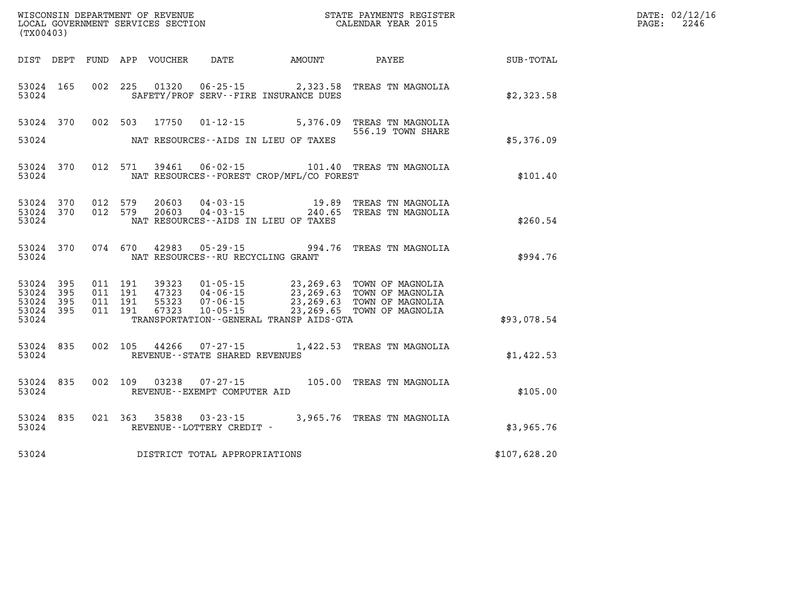| (TX00403)                                    |                        |         |         |                |                                     |                                              | WISCONSIN DEPARTMENT OF REVENUE<br>LOCAL GOVERNMENT SERVICES SECTION<br>(my00402)                                                                                                                                                                                                                                                                    |              | DATE: 02/12/16<br>$\mathtt{PAGE:}$<br>2246 |
|----------------------------------------------|------------------------|---------|---------|----------------|-------------------------------------|----------------------------------------------|------------------------------------------------------------------------------------------------------------------------------------------------------------------------------------------------------------------------------------------------------------------------------------------------------------------------------------------------------|--------------|--------------------------------------------|
|                                              |                        |         |         |                |                                     |                                              |                                                                                                                                                                                                                                                                                                                                                      |              |                                            |
| 53024                                        | 53024 165              |         |         |                |                                     | SAFETY/PROF SERV--FIRE INSURANCE DUES        | 002 225 01320 06-25-15 2,323.58 TREAS TN MAGNOLIA                                                                                                                                                                                                                                                                                                    | \$2,323.58   |                                            |
| 53024                                        |                        |         |         |                |                                     | NAT RESOURCES--AIDS IN LIEU OF TAXES         | 53024 370 002 503 17750 01-12-15 5,376.09 TREAS TN MAGNOLIA<br>556.19 TOWN SHARE                                                                                                                                                                                                                                                                     | \$5,376.09   |                                            |
| 53024                                        | 53024 370              |         |         |                |                                     | NAT RESOURCES--FOREST CROP/MFL/CO FOREST     | 012 571 39461 06-02-15 101.40 TREAS TN MAGNOLIA                                                                                                                                                                                                                                                                                                      | \$101.40     |                                            |
| 53024                                        | 53024 370<br>53024 370 | 012 579 | 012 579 | 20603<br>20603 |                                     | NAT RESOURCES--AIDS IN LIEU OF TAXES         | 04-03-15 19.89 TREAS TN MAGNOLIA<br>04-03-15 240.65 TREAS TN MAGNOLIA                                                                                                                                                                                                                                                                                | \$260.54     |                                            |
| 53024                                        | 53024 370              |         |         |                | NAT RESOURCES -- RU RECYCLING GRANT |                                              | 074 670 42983 05-29-15 994.76 TREAS TN MAGNOLIA                                                                                                                                                                                                                                                                                                      | \$994.76     |                                            |
| 53024 395<br>53024 395<br>53024 395<br>53024 | 53024 395              |         |         |                |                                     | TRANSPORTATION - - GENERAL TRANSP AIDS - GTA | $\begin{array}{cccc} 011 & 191 & 39323 & 01\cdot 05\cdot 15 & 23,269.63 & \text{TOWN OF MAGNOLIA} \\ 011 & 191 & 47323 & 04\cdot 06\cdot 15 & 23,269.63 & \text{TOWN OF MAGNOLIA} \\ 011 & 191 & 55323 & 07\cdot 06\cdot 15 & 23,269.63 & \text{TOWN OF MAGNOLIA} \\ 011 & 191 & 67323 & 10\cdot 05\cdot 15 & 23,269.65 & \text{TOWN OF MAGNOLIA} \$ | \$93,078.54  |                                            |
| 53024                                        | 53024 835              |         |         | 002 105 44266  | REVENUE--STATE SHARED REVENUES      |                                              | 07-27-15 1,422.53 TREAS TN MAGNOLIA                                                                                                                                                                                                                                                                                                                  | \$1,422.53   |                                            |
| 53024 835<br>53024                           |                        |         |         | 002 109 03238  | REVENUE--EXEMPT COMPUTER AID        |                                              | 07-27-15 105.00 TREAS TN MAGNOLIA                                                                                                                                                                                                                                                                                                                    | \$105.00     |                                            |
| 53024                                        | 53024 835              |         |         |                | REVENUE--LOTTERY CREDIT -           |                                              | 021 363 35838 03-23-15 3,965.76 TREAS TN MAGNOLIA                                                                                                                                                                                                                                                                                                    | \$3,965.76   |                                            |
| 53024                                        |                        |         |         |                | DISTRICT TOTAL APPROPRIATIONS       |                                              |                                                                                                                                                                                                                                                                                                                                                      | \$107,628.20 |                                            |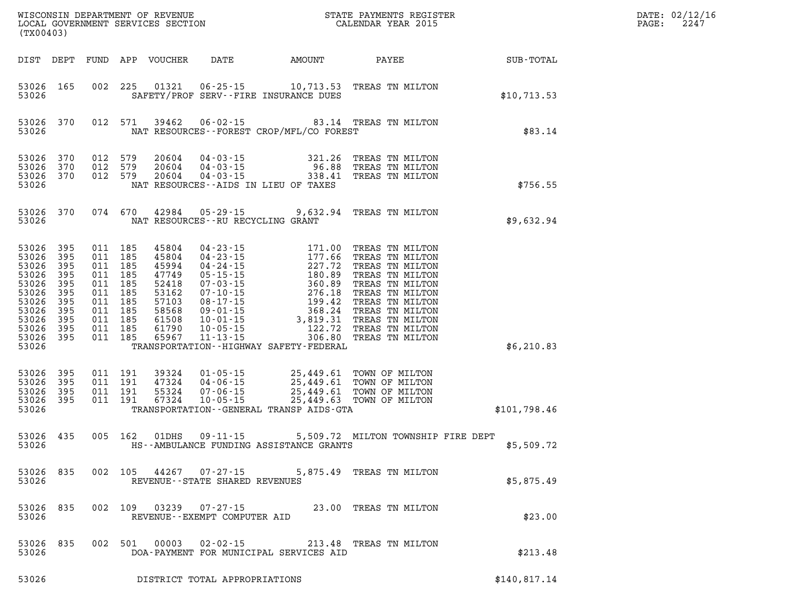| (TX00403)                                                                                       |                                                                                 |                                                                                                 |                                          |                                                                                                 |                                   |                                              | WISCONSIN DEPARTMENT OF REVENUE<br>LOCAL GOVERNMENT SERVICES SECTION CALENDAR YEAR 2015                                                                                                                                                                                    |              | DATE: 02/12/1<br>PAGE:<br>2247 |
|-------------------------------------------------------------------------------------------------|---------------------------------------------------------------------------------|-------------------------------------------------------------------------------------------------|------------------------------------------|-------------------------------------------------------------------------------------------------|-----------------------------------|----------------------------------------------|----------------------------------------------------------------------------------------------------------------------------------------------------------------------------------------------------------------------------------------------------------------------------|--------------|--------------------------------|
|                                                                                                 | DIST DEPT                                                                       |                                                                                                 |                                          |                                                                                                 |                                   |                                              |                                                                                                                                                                                                                                                                            |              |                                |
| 53026                                                                                           | 53026 165                                                                       |                                                                                                 |                                          |                                                                                                 |                                   | SAFETY/PROF SERV--FIRE INSURANCE DUES        | 002 225 01321 06-25-15 10,713.53 TREAS TN MILTON                                                                                                                                                                                                                           | \$10, 713.53 |                                |
| 53026                                                                                           | 53026 370                                                                       |                                                                                                 | 012 571                                  | 39462                                                                                           |                                   | NAT RESOURCES - - FOREST CROP/MFL/CO FOREST  | 06-02-15 83.14 TREAS TN MILTON                                                                                                                                                                                                                                             | \$83.14      |                                |
| 53026<br>53026<br>53026                                                                         | 370<br>370<br>53026 370                                                         |                                                                                                 | 012 579<br>012 579<br>012 579            | 20604<br>20604<br>20604                                                                         |                                   | NAT RESOURCES--AIDS IN LIEU OF TAXES         | 04-03-15 321.26 TREAS TN MILTON<br>04-03-15 96.88 TREAS TN MILTON<br>04-03-15 338.41 TREAS TN MILTON                                                                                                                                                                       | \$756.55     |                                |
| 53026                                                                                           | 53026 370                                                                       |                                                                                                 |                                          |                                                                                                 | NAT RESOURCES--RU RECYCLING GRANT |                                              | 074 670 42984 05-29-15 9,632.94 TREAS TN MILTON                                                                                                                                                                                                                            | \$9,632.94   |                                |
| 53026<br>53026<br>53026<br>53026<br>53026<br>53026<br>53026<br>53026<br>53026<br>53026<br>53026 | 395<br>395<br>395<br>395<br>395<br>395<br>395<br>395<br>395<br>395<br>53026 395 | 011 185<br>011 185<br>011 185<br>011 185<br>011 185<br>011 185<br>011 185<br>011 185<br>011 185 | 011 185<br>011 185                       | 45804<br>45804<br>45994<br>47749<br>52418<br>53162<br>57103<br>58568<br>61508<br>61790<br>65967 |                                   | TRANSPORTATION - - HIGHWAY SAFETY - FEDERAL  | 04-23-15<br>04-23-15<br>04-24-15<br>04-24-15<br>05-15-15<br>07-03-15<br>07-10-15<br>07-10-15<br>07-10-15<br>07-10-15<br>07-11-15<br>08-17-15<br>08-17-15<br>08-17-15<br>08-17-15<br>08-17-15<br>08-17-15<br>08-24<br>08-24<br>08-24<br>08-24<br>TREAS TN MILTON<br>09-01-1 | \$6,210.83   |                                |
| 53026<br>53026<br>53026<br>53026                                                                | 395<br>395<br>395<br>53026 395                                                  |                                                                                                 | 011 191<br>011 191<br>011 191<br>011 191 | 39324<br>47324<br>55324<br>67324                                                                | $04 - 06 - 15$                    | TRANSPORTATION - - GENERAL TRANSP AIDS - GTA | 01-05-15 25,449.61 TOWN OF MILTON<br>04-06-15 25,449.61 TOWN OF MILTON<br>07-06-15 25,449.61 TOWN OF MILTON<br>10-05-15 25,449.63 TOWN OF MILTON                                                                                                                           | \$101,798.46 |                                |
| 53026                                                                                           | 53026 435                                                                       |                                                                                                 | 005 162                                  | 01DHS                                                                                           | $09 - 11 - 15$                    | HS--AMBULANCE FUNDING ASSISTANCE GRANTS      | 5,509.72 MILTON TOWNSHIP FIRE DEPT                                                                                                                                                                                                                                         | \$5,509.72   |                                |
| 53026                                                                                           | 53026 835                                                                       |                                                                                                 |                                          |                                                                                                 | REVENUE--STATE SHARED REVENUES    |                                              | 002 105 44267 07-27-15 5,875.49 TREAS TN MILTON                                                                                                                                                                                                                            | \$5,875.49   |                                |
| 53026                                                                                           | 53026 835                                                                       |                                                                                                 |                                          |                                                                                                 | REVENUE--EXEMPT COMPUTER AID      |                                              | 002 109 03239 07-27-15 23.00 TREAS TN MILTON                                                                                                                                                                                                                               | \$23.00      |                                |
| 53026<br>53026                                                                                  | 835                                                                             |                                                                                                 | 002 501                                  |                                                                                                 |                                   | DOA-PAYMENT FOR MUNICIPAL SERVICES AID       | 00003  02-02-15  213.48  TREAS TN MILTON                                                                                                                                                                                                                                   | \$213.48     |                                |
| 5000c                                                                                           |                                                                                 |                                                                                                 |                                          | <b>DIAMBIAM</b>                                                                                 | ∩זי∩ דרח גדרת המתחר ג             |                                              |                                                                                                                                                                                                                                                                            | A11001771    |                                |

**53026 DISTRICT TOTAL APPROPRIATIONS \$140,817.14**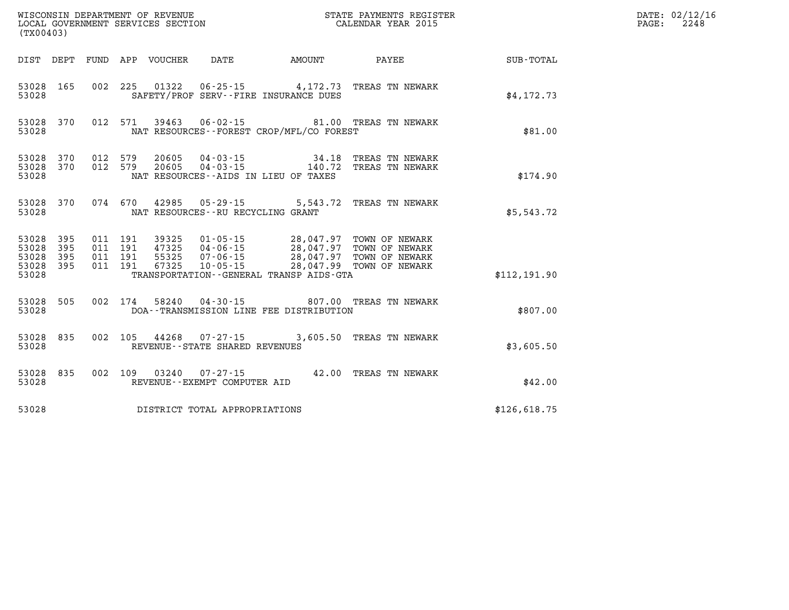| (TX00403)               |                                      |                               |         |                                 |                                                          |                                                                                                                                                                                                                                                                                                                                                                                                                 |                                                                                   |              | DATE: 02/12/16<br>PAGE:<br>2248 |
|-------------------------|--------------------------------------|-------------------------------|---------|---------------------------------|----------------------------------------------------------|-----------------------------------------------------------------------------------------------------------------------------------------------------------------------------------------------------------------------------------------------------------------------------------------------------------------------------------------------------------------------------------------------------------------|-----------------------------------------------------------------------------------|--------------|---------------------------------|
|                         |                                      |                               |         | DIST DEPT FUND APP VOUCHER DATE |                                                          | <b>AMOUNT</b>                                                                                                                                                                                                                                                                                                                                                                                                   | <b>PAYEE</b> PAYEE                                                                | SUB-TOTAL    |                                 |
| 53028                   | 53028 165                            |                               |         |                                 |                                                          | SAFETY/PROF SERV--FIRE INSURANCE DUES                                                                                                                                                                                                                                                                                                                                                                           | 002 225 01322 06-25-15 4,172.73 TREAS TN NEWARK                                   | \$4,172.73   |                                 |
| 53028                   | 53028 370                            |                               |         |                                 |                                                          | NAT RESOURCES - - FOREST CROP/MFL/CO FOREST                                                                                                                                                                                                                                                                                                                                                                     | 012 571 39463 06-02-15 81.00 TREAS TN NEWARK                                      | \$81.00      |                                 |
| 53028                   | 53028 370<br>53028 370               | 012 579                       | 012 579 |                                 |                                                          | NAT RESOURCES--AIDS IN LIEU OF TAXES                                                                                                                                                                                                                                                                                                                                                                            | 20605  04-03-15  34.18 TREAS TN NEWARK<br>20605  04-03-15  140.72 TREAS TN NEWARK | \$174.90     |                                 |
| 53028                   | 53028 370                            |                               |         |                                 |                                                          | NAT RESOURCES - - RU RECYCLING GRANT                                                                                                                                                                                                                                                                                                                                                                            | 074 670 42985 05-29-15 5,543.72 TREAS TN NEWARK                                   | \$5,543.72   |                                 |
| 53028<br>53028<br>53028 | 53028 395<br>395<br>395<br>53028 395 | 011 191<br>011 191<br>011 191 | 011 191 | 67325                           |                                                          | $\frac{1}{2}$ , $\frac{1}{2}$ , $\frac{1}{2}$ , $\frac{1}{2}$ , $\frac{1}{2}$ , $\frac{1}{2}$ , $\frac{1}{2}$ , $\frac{1}{2}$ , $\frac{1}{2}$ , $\frac{1}{2}$ , $\frac{1}{2}$ , $\frac{1}{2}$ , $\frac{1}{2}$ , $\frac{1}{2}$ , $\frac{1}{2}$ , $\frac{1}{2}$ , $\frac{1}{2}$ , $\frac{1}{2}$ , $\frac{1}{2}$ , $\frac{1}{2}$ ,<br>10-05-15 28,047.99 TOWN OF NEWARK<br>TRANSPORTATION--GENERAL TRANSP AIDS-GTA |                                                                                   | \$112,191.90 |                                 |
| 53028                   | 53028 505                            |                               |         |                                 |                                                          | DOA--TRANSMISSION LINE FEE DISTRIBUTION                                                                                                                                                                                                                                                                                                                                                                         | 002 174 58240 04-30-15 807.00 TREAS TN NEWARK                                     | \$807.00     |                                 |
| 53028                   | 53028 835                            |                               |         |                                 | 002 105 44268 07-27-15<br>REVENUE--STATE SHARED REVENUES |                                                                                                                                                                                                                                                                                                                                                                                                                 | 3,605.50 TREAS TN NEWARK                                                          | \$3,605.50   |                                 |
| 53028                   | 53028 835                            |                               |         |                                 | REVENUE--EXEMPT COMPUTER AID                             |                                                                                                                                                                                                                                                                                                                                                                                                                 | 002 109 03240 07-27-15 42.00 TREAS TN NEWARK                                      | \$42.00      |                                 |
| 53028                   |                                      |                               |         |                                 | DISTRICT TOTAL APPROPRIATIONS                            |                                                                                                                                                                                                                                                                                                                                                                                                                 |                                                                                   | \$126,618.75 |                                 |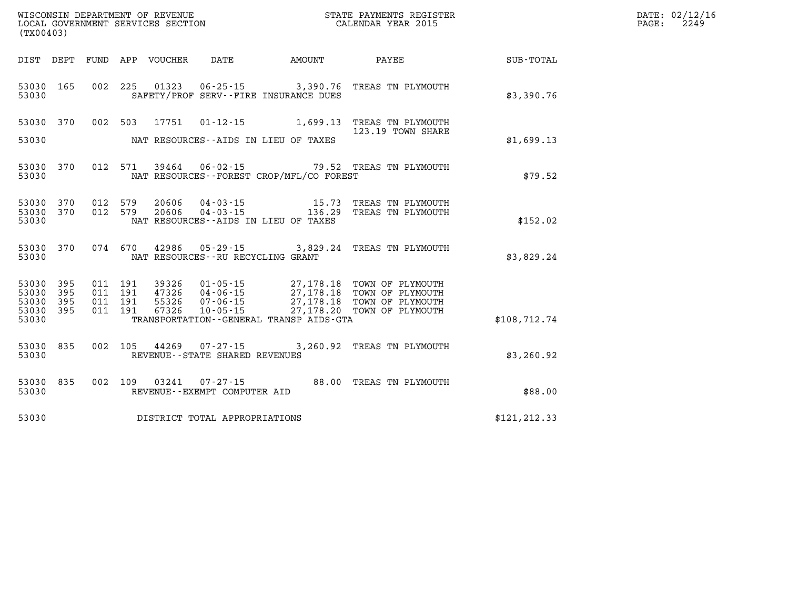| DATE: | 02/12/16 |
|-------|----------|
| PAGE: | 2249     |

| (TX00403)                                 |                          |                          |                          |                                  |                                                                      |                                                                                                   |                                                                              |                  |
|-------------------------------------------|--------------------------|--------------------------|--------------------------|----------------------------------|----------------------------------------------------------------------|---------------------------------------------------------------------------------------------------|------------------------------------------------------------------------------|------------------|
| DIST                                      | DEPT                     | FUND                     | APP                      | VOUCHER                          | DATE                                                                 | AMOUNT                                                                                            | PAYEE                                                                        | <b>SUB-TOTAL</b> |
| 53030<br>53030                            | 165                      | 002                      | 225                      | 01323                            |                                                                      | $06 - 25 - 15$ 3,390.76<br>SAFETY/PROF SERV--FIRE INSURANCE DUES                                  | TREAS TN PLYMOUTH                                                            | \$3,390.76       |
| 53030                                     | 370                      | 002                      | 503                      | 17751                            | $01 - 12 - 15$                                                       | 1,699.13                                                                                          | TREAS TN PLYMOUTH                                                            |                  |
| 53030                                     |                          |                          |                          |                                  |                                                                      | NAT RESOURCES--AIDS IN LIEU OF TAXES                                                              | 123.19 TOWN SHARE                                                            | \$1,699.13       |
| 53030<br>53030                            | 370                      | 012                      | 571                      | 39464                            | $06 - 02 - 15$                                                       | NAT RESOURCES - - FOREST CROP/MFL/CO FOREST                                                       | 79.52 TREAS TN PLYMOUTH                                                      | \$79.52          |
| 53030<br>53030<br>53030                   | 370<br>370               | 012<br>012               | 579<br>579               | 20606<br>20606                   | $04 - 03 - 15$<br>$04 - 03 - 15$                                     | 15.73<br>136.29<br>NAT RESOURCES -- AIDS IN LIEU OF TAXES                                         | TREAS TN PLYMOUTH<br>TREAS TN PLYMOUTH                                       | \$152.02         |
| 53030<br>53030                            | 370                      | 074                      | 670                      | 42986                            | $05 - 29 - 15$<br>NAT RESOURCES - - RU RECYCLING GRANT               | 3,829.24                                                                                          | TREAS TN PLYMOUTH                                                            | \$3,829.24       |
| 53030<br>53030<br>53030<br>53030<br>53030 | 395<br>395<br>395<br>395 | 011<br>011<br>011<br>011 | 191<br>191<br>191<br>191 | 39326<br>47326<br>55326<br>67326 | $01 - 05 - 15$<br>$04 - 06 - 15$<br>$07 - 06 - 15$<br>$10 - 05 - 15$ | 27,178.18<br>27, 178. 18<br>27, 178. 18<br>27, 178. 20<br>TRANSPORTATION--GENERAL TRANSP AIDS-GTA | TOWN OF PLYMOUTH<br>TOWN OF PLYMOUTH<br>TOWN OF PLYMOUTH<br>TOWN OF PLYMOUTH | \$108,712.74     |
| 53030<br>53030                            | 835                      | 002                      | 105                      | 44269                            | $07 - 27 - 15$<br>REVENUE - - STATE SHARED REVENUES                  | 3,260.92                                                                                          | TREAS TN PLYMOUTH                                                            | \$3,260.92       |
| 53030<br>53030                            | 835                      | 002                      | 109                      | 03241                            | $07 - 27 - 15$<br>REVENUE - - EXEMPT COMPUTER AID                    | 88.00                                                                                             | TREAS TN PLYMOUTH                                                            | \$88.00          |
| 53030                                     |                          |                          |                          |                                  | DISTRICT TOTAL APPROPRIATIONS                                        |                                                                                                   |                                                                              | \$121,212.33     |

WISCONSIN DEPARTMENT OF REVENUE **STATE PAYMENTS REGISTER**<br>LOCAL GOVERNMENT SERVICES SECTION

LOCAL GOVERNMENT SERVICES SECTION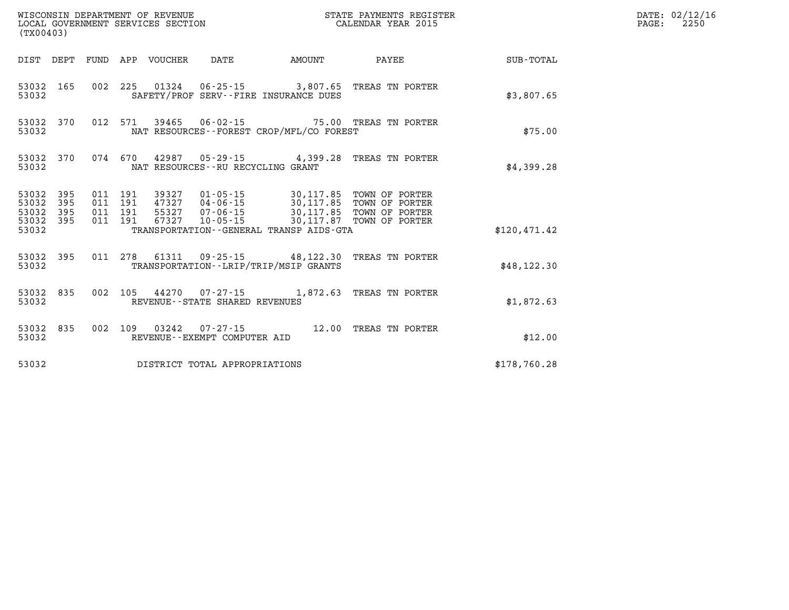| (TX00403) |                    |  |  |  |  |                                                  |                                                                                                                                                                                                                                        |              | DATE: 02/12/16<br>PAGE:<br>2250 |
|-----------|--------------------|--|--|--|--|--------------------------------------------------|----------------------------------------------------------------------------------------------------------------------------------------------------------------------------------------------------------------------------------------|--------------|---------------------------------|
|           |                    |  |  |  |  |                                                  | DIST DEPT FUND APP VOUCHER DATE AMOUNT PAYEE                                                                                                                                                                                           | SUB-TOTAL    |                                 |
|           | 53032              |  |  |  |  | SAFETY/PROF SERV--FIRE INSURANCE DUES            | 53032 165 002 225 01324 06-25-15 3,807.65 TREAS TN PORTER                                                                                                                                                                              | \$3,807.65   |                                 |
|           |                    |  |  |  |  | 53032 NAT RESOURCES--FOREST CROP/MFL/CO FOREST   | 53032 370 012 571 39465 06-02-15 75.00 TREAS TN PORTER                                                                                                                                                                                 | \$75.00      |                                 |
|           | 53032              |  |  |  |  | NAT RESOURCES--RU RECYCLING GRANT                | 53032 370 074 670 42987 05-29-15 4,399.28 TREAS TN PORTER                                                                                                                                                                              | \$4,399.28   |                                 |
|           |                    |  |  |  |  | 53032 TRANSPORTATION - GENERAL TRANSP AIDS - GTA | 53032 395 011 191 39327 01-05-15 30,117.85 TOWN OF PORTER<br>53032 395 011 191 47327 04-06-15 30,117.85 TOWN OF PORTER<br>53032 395 011 191 55327 07-06-15 30,117.85 TOWN OF PORTER<br>53032 395 011 191 67327 10-05-15 30,117.87 TOWN | \$120,471.42 |                                 |
|           |                    |  |  |  |  | 53032 TRANSPORTATION - - LRIP/TRIP/MSIP GRANTS   | 53032 395 011 278 61311 09-25-15 48,122.30 TREAS TN PORTER                                                                                                                                                                             | \$48,122.30  |                                 |
|           | 53032 835<br>53032 |  |  |  |  | REVENUE--STATE SHARED REVENUES                   | 002 105 44270 07-27-15 1,872.63 TREAS TN PORTER                                                                                                                                                                                        | \$1,872.63   |                                 |
|           | 53032              |  |  |  |  | REVENUE--EXEMPT COMPUTER AID                     | 53032 835 002 109 03242 07-27-15 12.00 TREAS TN PORTER                                                                                                                                                                                 | \$12.00      |                                 |
|           |                    |  |  |  |  | 53032 DISTRICT TOTAL APPROPRIATIONS              |                                                                                                                                                                                                                                        | \$178,760.28 |                                 |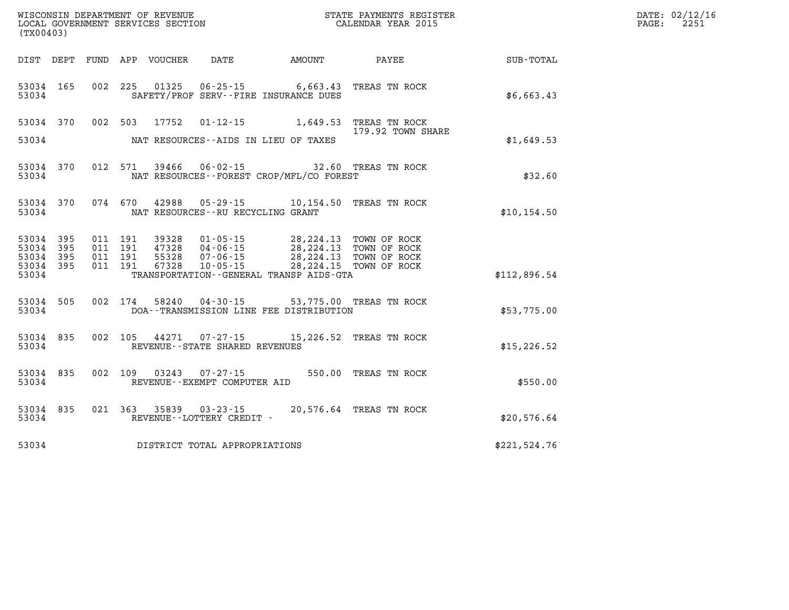| (TX00403)                                 |                          |                               |         | WISCONSIN DEPARTMENT OF REVENUE<br>LOCAL GOVERNMENT SERVICES SECTION |                                                        |                                                                                                                                                                         | STATE PAYMENTS REGISTER<br>CALENDAR YEAR 2015   |              | DATE: 02/12/16<br>2251<br>$\mathtt{PAGE}$ : |
|-------------------------------------------|--------------------------|-------------------------------|---------|----------------------------------------------------------------------|--------------------------------------------------------|-------------------------------------------------------------------------------------------------------------------------------------------------------------------------|-------------------------------------------------|--------------|---------------------------------------------|
|                                           |                          |                               |         | DIST DEPT FUND APP VOUCHER                                           | DATE                                                   | AMOUNT                                                                                                                                                                  | PAYEE                                           | SUB-TOTAL    |                                             |
| 53034 165<br>53034                        |                          |                               |         |                                                                      |                                                        | SAFETY/PROF SERV--FIRE INSURANCE DUES                                                                                                                                   | 002 225 01325 06-25-15 6,663.43 TREAS TN ROCK   | \$6,663.43   |                                             |
| 53034 370<br>53034                        |                          |                               |         | 002 503 17752                                                        | NAT RESOURCES--AIDS IN LIEU OF TAXES                   |                                                                                                                                                                         | 179.92 TOWN SHARE                               | \$1,649.53   |                                             |
| 53034 370<br>53034                        |                          |                               |         |                                                                      |                                                        | NAT RESOURCES--FOREST CROP/MFL/CO FOREST                                                                                                                                | 012 571 39466 06-02-15 32.60 TREAS TN ROCK      | \$32.60      |                                             |
| 53034                                     | 53034 370                |                               |         |                                                                      | NAT RESOURCES--RU RECYCLING GRANT                      |                                                                                                                                                                         | 074 670 42988 05-29-15 10,154.50 TREAS TN ROCK  | \$10, 154.50 |                                             |
| 53034<br>53034<br>53034<br>53034<br>53034 | 395<br>395<br>395<br>395 | 011 191<br>011 191<br>011 191 | 011 191 | 39328<br>67328                                                       | $10 - 05 - 15$                                         | 01-05-15 28,224.13 TOWN OF ROCK<br>47328  04-06-15  28,224.13  TOWN OF ROCK<br>55328  07-06-15  28,224.13  TOWN OF ROCK<br>TRANSPORTATION - - GENERAL TRANSP AIDS - GTA | 28, 224.15 TOWN OF ROCK                         | \$112,896.54 |                                             |
| 53034 505<br>53034                        |                          |                               |         |                                                                      |                                                        | DOA--TRANSMISSION LINE FEE DISTRIBUTION                                                                                                                                 | 002 174 58240 04-30-15 53,775.00 TREAS TN ROCK  | \$53,775.00  |                                             |
| 53034 835<br>53034                        |                          |                               |         |                                                                      | REVENUE - - STATE SHARED REVENUES                      |                                                                                                                                                                         | 002 105 44271 07-27-15 15, 226.52 TREAS TN ROCK | \$15, 226.52 |                                             |
| 53034 835<br>53034                        |                          |                               |         |                                                                      | 002 109 03243 07-27-15<br>REVENUE--EXEMPT COMPUTER AID |                                                                                                                                                                         | 550.00 TREAS TN ROCK                            | \$550.00     |                                             |
| 53034                                     | 53034 835                |                               |         |                                                                      | REVENUE--LOTTERY CREDIT -                              |                                                                                                                                                                         | 021 363 35839 03-23-15 20,576.64 TREAS TN ROCK  | \$20,576.64  |                                             |
| 53034                                     |                          |                               |         |                                                                      | DISTRICT TOTAL APPROPRIATIONS                          |                                                                                                                                                                         |                                                 | \$221,524.76 |                                             |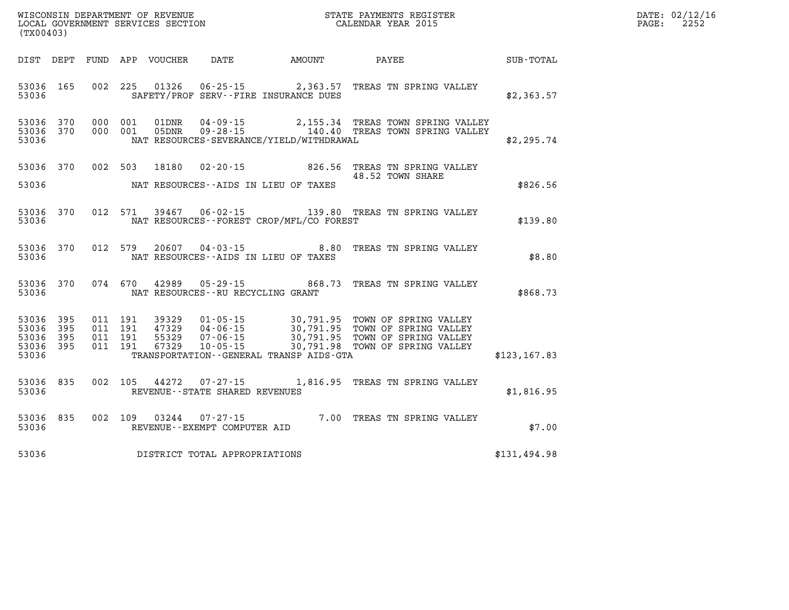| WISCONSIN DEPARTMENT OF REVENUE<br>LOCAL GOVERNMENT SERVICES SECTION<br>(WYOO403)<br>(TX00403) |  |  |  |  |                                     |                                                |                                                                                                                                                                                                                                         |                                                        | DATE: 02/12/16<br>PAGE: 2252 |
|------------------------------------------------------------------------------------------------|--|--|--|--|-------------------------------------|------------------------------------------------|-----------------------------------------------------------------------------------------------------------------------------------------------------------------------------------------------------------------------------------------|--------------------------------------------------------|------------------------------|
|                                                                                                |  |  |  |  |                                     |                                                | DIST DEPT FUND APP VOUCHER DATE AMOUNT PAYEE PAYEE                                                                                                                                                                                      |                                                        |                              |
|                                                                                                |  |  |  |  |                                     |                                                | 53036 165 002 225 01326 06-25-15 2,363.57 TREAS TN SPRING VALLEY<br>$53036$ $100$ $102$ $225$ $01320$ $00$ - $25$ -15<br>53036 SAFETY/PROF SERV--FIRE INSURANCE DUES \$2,363.57                                                         |                                                        |                              |
|                                                                                                |  |  |  |  |                                     |                                                | 53036 370 000 001 01DNR 04-09-15 2,155.34 TREAS TOWN SPRING VALLEY<br>53036 370 000 001 05DNR 09-28-15 140.40 TREAS TOWN SPRING VALLEY<br>53036 NAT RESOURCES-SEVERANCE/YIELD/WITHDRAWAL                                                | \$2,295.74                                             |                              |
|                                                                                                |  |  |  |  |                                     | 53036 NAT RESOURCES--AIDS IN LIEU OF TAXES     | 53036 370 002 503 18180 02-20-15 826.56 TREAS TN SPRING VALLEY                                                                                                                                                                          | \$826.56                                               |                              |
|                                                                                                |  |  |  |  |                                     | 53036 MAT RESOURCES--FOREST CROP/MFL/CO FOREST | 53036 370 012 571 39467 06-02-15 139.80 TREAS TN SPRING VALLEY<br>\$139.80 \$139.80 \$139.80                                                                                                                                            |                                                        |                              |
|                                                                                                |  |  |  |  |                                     | 53036 MAT RESOURCES--AIDS IN LIEU OF TAXES     | 53036 370 012 579 20607 04-03-15<br>\$8.80 \$8.80 \$8.80 \$8.80 \$8.80 \$8.80 \$8.80 \$8.80                                                                                                                                             |                                                        |                              |
|                                                                                                |  |  |  |  |                                     | 53036 NAT RESOURCES--RU RECYCLING GRANT        |                                                                                                                                                                                                                                         |                                                        |                              |
|                                                                                                |  |  |  |  |                                     |                                                | 53036 395 011 191 39329 01-05-15 30,791.95 TOWN OF SPRING VALLEY<br>53036 395 011 191 47329 04-06-15 30,791.95 TOWN OF SPRING VALLEY<br>53036 395 011 191 55329 07-06-15 30,791.95 TOWN OF SPRING VALLEY<br>53036 395 011 191 67329 10- |                                                        |                              |
|                                                                                                |  |  |  |  |                                     | 53036 REVENUE - STATE SHARED REVENUES          | 53036 835 002 105 44272 07-27-15 1,816.95 TREAS TN SPRING VALLEY                                                                                                                                                                        | $\begin{array}{cc} 7 & \text{\$1,816.95}\ \end{array}$ |                              |
|                                                                                                |  |  |  |  |                                     |                                                |                                                                                                                                                                                                                                         | \$7.00                                                 |                              |
|                                                                                                |  |  |  |  | 53036 DISTRICT TOTAL APPROPRIATIONS |                                                |                                                                                                                                                                                                                                         | \$131,494.98                                           |                              |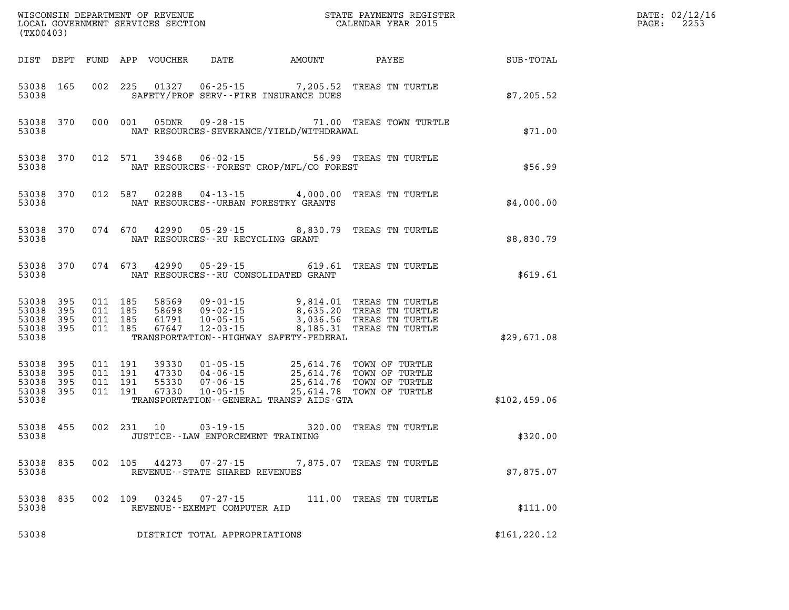| (TX00403)                                     |                   |                                          |            |                                  |                                                                                                      |                                                                                 |                                                                                                                                                  |               | DATE: 02/12/16<br>2253<br>PAGE: |
|-----------------------------------------------|-------------------|------------------------------------------|------------|----------------------------------|------------------------------------------------------------------------------------------------------|---------------------------------------------------------------------------------|--------------------------------------------------------------------------------------------------------------------------------------------------|---------------|---------------------------------|
|                                               |                   |                                          |            | DIST DEPT FUND APP VOUCHER       | DATE                                                                                                 | AMOUNT                                                                          | PAYEE                                                                                                                                            | SUB-TOTAL     |                                 |
| 53038 165<br>53038                            |                   |                                          | 002 225    | 01327                            |                                                                                                      | $06 - 25 - 15$ 7, 205.52<br>SAFETY/PROF SERV--FIRE INSURANCE DUES               | TREAS TN TURTLE                                                                                                                                  | \$7,205.52    |                                 |
| 53038 370<br>53038                            |                   |                                          | 000 001    | 05DNR                            |                                                                                                      | NAT RESOURCES-SEVERANCE/YIELD/WITHDRAWAL                                        | 09-28-15 71.00 TREAS TOWN TURTLE                                                                                                                 | \$71.00       |                                 |
| 53038 370<br>53038                            |                   |                                          | 012 571    | 39468                            |                                                                                                      | NAT RESOURCES - - FOREST CROP/MFL/CO FOREST                                     | 06-02-15 56.99 TREAS TN TURTLE                                                                                                                   | \$56.99       |                                 |
| 53038 370<br>53038                            |                   |                                          | 012 587    | 02288                            |                                                                                                      | NAT RESOURCES--URBAN FORESTRY GRANTS                                            | 04-13-15 4,000.00 TREAS TN TURTLE                                                                                                                | \$4,000.00    |                                 |
| 53038 370<br>53038                            |                   |                                          | 074 670    | 42990                            | NAT RESOURCES - - RU RECYCLING GRANT                                                                 |                                                                                 | 05-29-15 8,830.79 TREAS TN TURTLE                                                                                                                | \$8,830.79    |                                 |
| 53038 370<br>53038                            |                   |                                          | 074 673    | 42990                            |                                                                                                      | NAT RESOURCES - - RU CONSOLIDATED GRANT                                         | 05-29-15 619.61 TREAS TN TURTLE                                                                                                                  | \$619.61      |                                 |
| 53038<br>53038<br>53038<br>53038 395<br>53038 | 395<br>395<br>395 | 011 185<br>011 185<br>011 185<br>011 185 |            | 58569<br>61791<br>67647          | $09 - 01 - 15$<br>09 - 02 - 15<br>10 - 05 - 15<br>58698 09-02-15<br>$10 - 05 - 15$<br>$12 - 03 - 15$ | 9,814.01<br>8,635.20<br>8,185.31<br>TRANSPORTATION - - HIGHWAY SAFETY - FEDERAL | TREAS TN TURTLE<br>TREAS TN TURTLE<br>3,036.56 TREAS TN TURTLE<br>TREAS TN TURTLE                                                                | \$29,671.08   |                                 |
| 53038<br>53038<br>53038<br>53038 395<br>53038 | 395<br>395<br>395 | 011 191<br>011 191<br>011 191<br>011 191 |            | 39330<br>47330<br>55330<br>67330 |                                                                                                      | TRANSPORTATION--GENERAL TRANSP AIDS-GTA                                         | 01-05-15 25,614.76 TOWN OF TURTLE<br>04-06-15 25,614.76 TOWN OF TURTLE<br>07-06-15 25,614.76 TOWN OF TURTLE<br>10-05-15 25,614.78 TOWN OF TURTLE | \$102,459.06  |                                 |
| 53038 455<br>53038                            |                   |                                          | 002 231 10 |                                  | $03 - 19 - 15$<br>JUSTICE--LAW ENFORCEMENT TRAINING                                                  |                                                                                 | 320.00 TREAS TN TURTLE                                                                                                                           | \$320.00      |                                 |
| 53038 835<br>53038                            |                   |                                          | 002 105    |                                  | 44273 07-27-15<br>REVENUE - - STATE SHARED REVENUES                                                  |                                                                                 | 7,875.07 TREAS TN TURTLE                                                                                                                         | \$7,875.07    |                                 |
| 53038<br>53038                                | 835               | 002 109                                  |            | 03245                            | 07-27-15<br>REVENUE--EXEMPT COMPUTER AID                                                             |                                                                                 | 111.00 TREAS TN TURTLE                                                                                                                           | \$111.00      |                                 |
| 53038                                         |                   |                                          |            |                                  | DISTRICT TOTAL APPROPRIATIONS                                                                        |                                                                                 |                                                                                                                                                  | \$161, 220.12 |                                 |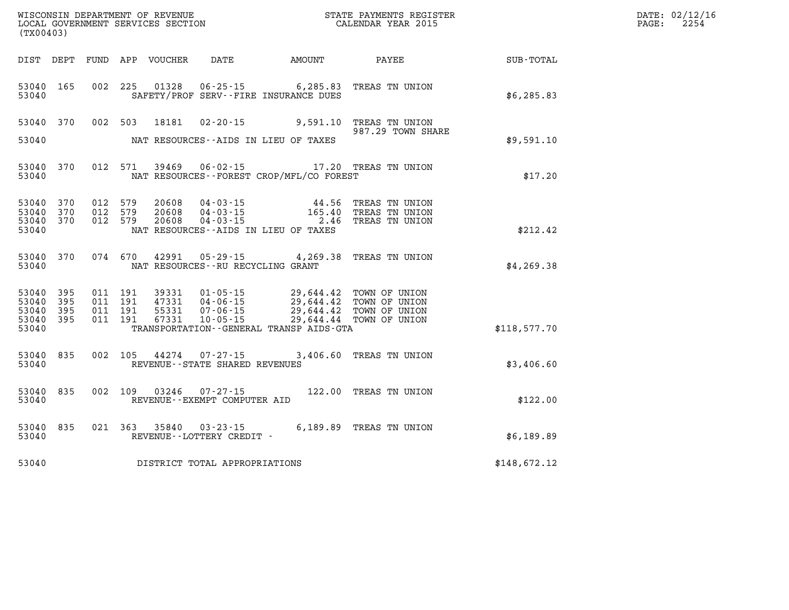| (TX00403)                                     |                      |                                          |         | WISCONSIN DEPARTMENT OF REVENUE<br>LOCAL GOVERNMENT SERVICES SECTION |                                                        |                                                                                                                                                                                                         | STATE PAYMENTS REGISTER<br>CALENDAR YEAR 2015                       |              | DATE: 02/12/16<br>$\mathtt{PAGE}$ :<br>2254 |
|-----------------------------------------------|----------------------|------------------------------------------|---------|----------------------------------------------------------------------|--------------------------------------------------------|---------------------------------------------------------------------------------------------------------------------------------------------------------------------------------------------------------|---------------------------------------------------------------------|--------------|---------------------------------------------|
|                                               |                      |                                          |         | DIST DEPT FUND APP VOUCHER                                           | DATE                                                   | AMOUNT                                                                                                                                                                                                  | PAYEE                                                               | SUB-TOTAL    |                                             |
| 53040 165<br>53040                            |                      | 002 225                                  |         |                                                                      |                                                        | 01328  06-25-15    6,285.83<br>SAFETY/PROF SERV--FIRE INSURANCE DUES                                                                                                                                    | TREAS TN UNION                                                      | \$6,285.83   |                                             |
|                                               | 53040 370            |                                          |         |                                                                      |                                                        |                                                                                                                                                                                                         | 002 503 18181 02-20-15 9,591.10 TREAS TN UNION<br>987.29 TOWN SHARE |              |                                             |
| 53040                                         |                      |                                          |         |                                                                      |                                                        | NAT RESOURCES--AIDS IN LIEU OF TAXES                                                                                                                                                                    |                                                                     | \$9,591.10   |                                             |
| 53040                                         | 53040 370            | 012 571                                  |         | 39469                                                                |                                                        | NAT RESOURCES--FOREST CROP/MFL/CO FOREST                                                                                                                                                                | 06-02-15 17.20 TREAS TN UNION                                       | \$17.20      |                                             |
| 53040 370<br>53040<br>53040<br>53040          | 370<br>370           | 012 579<br>012 579<br>012 579            |         | 20608<br>20608                                                       |                                                        | $\begin{array}{cccc} 20608 & 04\cdot 03\cdot 15 & 44\cdot 56 \\ 20608 & 04\cdot 03\cdot 15 & 165\cdot 40 \\ 20608 & 04\cdot 03\cdot 15 & 2\cdot 46 \end{array}$<br>NAT RESOURCES--AIDS IN LIEU OF TAXES | TREAS TN UNION<br>TREAS TN UNION<br>TREAS TN UNION                  | \$212.42     |                                             |
| 53040                                         | 53040 370            |                                          | 074 670 |                                                                      | NAT RESOURCES -- RU RECYCLING GRANT                    | 42991 05-29-15 4,269.38                                                                                                                                                                                 | TREAS TN UNION                                                      | \$4,269.38   |                                             |
| 53040 395<br>53040<br>53040<br>53040<br>53040 | -395<br>395<br>- 395 | 011 191<br>011 191<br>011 191<br>011 191 |         | 39331<br>47331<br>55331<br>67331                                     |                                                        | 01-05-15 29,644.42 TOWN OF UNION<br>04-06-15 29,644.42 TOWN OF UNION<br>07-06-15<br>10-05-15<br>29,644.44 TOWN OF UNION<br>TRANSPORTATION - - GENERAL TRANSP AIDS - GTA                                 |                                                                     | \$118,577.70 |                                             |
| 53040 835<br>53040                            |                      | 002 105                                  |         |                                                                      | 44274 07-27-15<br>REVENUE--STATE SHARED REVENUES       |                                                                                                                                                                                                         | 3,406.60 TREAS TN UNION                                             | \$3,406.60   |                                             |
| 53040 835<br>53040                            |                      |                                          |         |                                                                      | 002 109 03246 07-27-15<br>REVENUE--EXEMPT COMPUTER AID |                                                                                                                                                                                                         | 122.00 TREAS TN UNION                                               | \$122.00     |                                             |
| 53040                                         | 53040 835            |                                          |         |                                                                      | REVENUE--LOTTERY CREDIT -                              |                                                                                                                                                                                                         | 021  363  35840  03-23-15  6,189.89  TREAS TN UNION                 | \$6,189.89   |                                             |
| 53040                                         |                      |                                          |         |                                                                      | DISTRICT TOTAL APPROPRIATIONS                          |                                                                                                                                                                                                         |                                                                     | \$148,672.12 |                                             |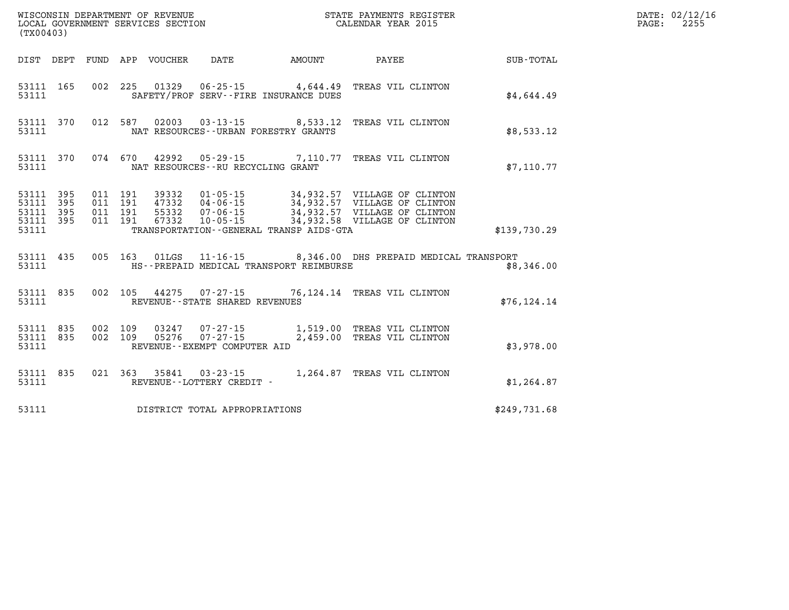| (TX00403)          |                                     |  |                                        |                                         |                                                                                                                                                                                                                                                                                                                                                  |              | DATE: 02/12/16<br>2255<br>$\mathtt{PAGE}$ : |
|--------------------|-------------------------------------|--|----------------------------------------|-----------------------------------------|--------------------------------------------------------------------------------------------------------------------------------------------------------------------------------------------------------------------------------------------------------------------------------------------------------------------------------------------------|--------------|---------------------------------------------|
|                    |                                     |  | DIST DEPT FUND APP VOUCHER DATE AMOUNT |                                         | <b>PAYEE</b>                                                                                                                                                                                                                                                                                                                                     | SUB-TOTAL    |                                             |
| 53111              | 53111 165                           |  |                                        | SAFETY/PROF SERV--FIRE INSURANCE DUES   | 002 225 01329 06-25-15 4,644.49 TREAS VIL CLINTON                                                                                                                                                                                                                                                                                                | \$4,644.49   |                                             |
| 53111              | 53111 370                           |  |                                        | NAT RESOURCES - - URBAN FORESTRY GRANTS | 012 587 02003 03-13-15 8,533.12 TREAS VIL CLINTON                                                                                                                                                                                                                                                                                                | \$8,533.12   |                                             |
| 53111              |                                     |  | NAT RESOURCES--RU RECYCLING GRANT      |                                         | 53111 370 074 670 42992 05-29-15 7,110.77 TREAS VIL CLINTON                                                                                                                                                                                                                                                                                      | \$7,110.77   |                                             |
| 53111 395<br>53111 | 53111 395<br>53111 395<br>53111 395 |  |                                        | TRANSPORTATION--GENERAL TRANSP AIDS-GTA | $\begin{array}{cccc} 011 & 191 & 39332 & 01\cdot 05\cdot 15 & 34\,, 932\,.57 & \text{VILLAGE OF CLINTON} \\ 011 & 191 & 47332 & 04\cdot 06\cdot 15 & 34\,, 932\,.57 & \text{VILLAGE OF CLINTON} \\ 011 & 191 & 55332 & 07\cdot 06\cdot 15 & 34\,, 932\,.57 & \text{VILLAGE OF CLINTON} \\ 011 & 191 & 67332 & 10\cdot 05\cdot 15 & 34\,, 932\,.$ | \$139,730.29 |                                             |
| 53111              |                                     |  |                                        | HS--PREPAID MEDICAL TRANSPORT REIMBURSE | 53111 435 005 163 01LGS 11-16-15 8,346.00 DHS PREPAID MEDICAL TRANSPORT                                                                                                                                                                                                                                                                          | \$8,346.00   |                                             |
| 53111              |                                     |  | REVENUE--STATE SHARED REVENUES         |                                         | 53111 835 002 105 44275 07-27-15 76,124.14 TREAS VIL CLINTON                                                                                                                                                                                                                                                                                     | \$76, 124.14 |                                             |
|                    | 53111                               |  | REVENUE--EXEMPT COMPUTER AID           |                                         | 53111 835 002 109 03247 07-27-15 1,519.00 TREAS VIL CLINTON<br>53111 835 002 109 05276 07-27-15 2,459.00 TREAS VIL CLINTON                                                                                                                                                                                                                       | \$3,978.00   |                                             |
| 53111              | 53111 835                           |  | REVENUE - - LOTTERY CREDIT -           |                                         | 021 363 35841 03-23-15 1,264.87 TREAS VIL CLINTON                                                                                                                                                                                                                                                                                                | \$1,264.87   |                                             |
| 53111              |                                     |  | DISTRICT TOTAL APPROPRIATIONS          |                                         |                                                                                                                                                                                                                                                                                                                                                  | \$249,731.68 |                                             |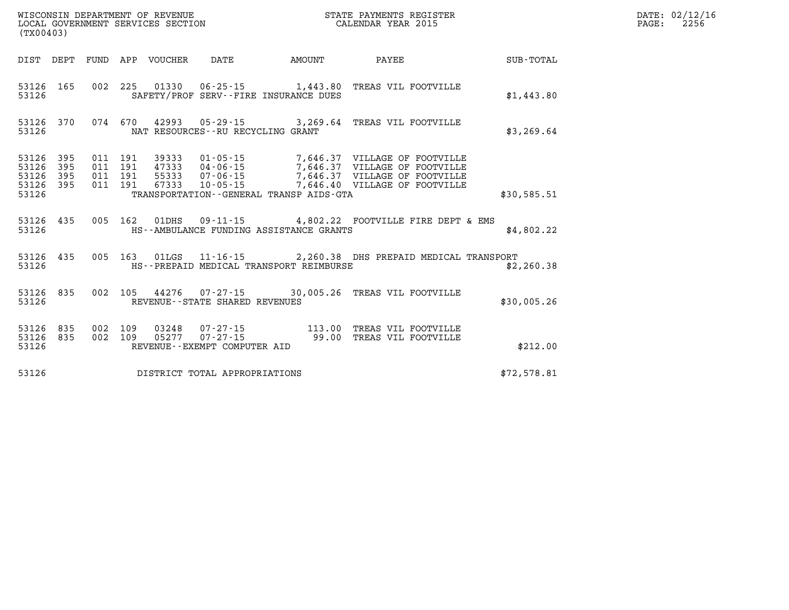| (TX00403)                                 |                          |                          |                          | LOCAL GOVERNMENT SERVICES SECTION |                                     |                                         | CALENDAR YEAR 2015                                                                                                                                                                  |             |
|-------------------------------------------|--------------------------|--------------------------|--------------------------|-----------------------------------|-------------------------------------|-----------------------------------------|-------------------------------------------------------------------------------------------------------------------------------------------------------------------------------------|-------------|
| DIST                                      | DEPT                     | FUND                     |                          | APP VOUCHER                       | DATE                                | <b>EXAMPLE THE PROPERTY OF AMOUNT</b>   | PAYEE                                                                                                                                                                               | SUB-TOTAL   |
| 53126<br>53126                            | 165                      | 002                      | 225                      |                                   |                                     | SAFETY/PROF SERV--FIRE INSURANCE DUES   | 01330  06-25-15  1,443.80  TREAS VIL FOOTVILLE                                                                                                                                      | \$1,443.80  |
| 53126<br>53126                            |                          | 370 074 670              |                          |                                   | NAT RESOURCES -- RU RECYCLING GRANT |                                         | 42993 05-29-15 3,269.64 TREAS VIL FOOTVILLE                                                                                                                                         | \$3, 269.64 |
| 53126<br>53126<br>53126<br>53126<br>53126 | 395<br>395<br>395<br>395 | 011<br>011<br>011<br>011 | 191<br>191<br>191<br>191 | 67333                             | 55333 07-06-15                      | TRANSPORTATION--GENERAL TRANSP AIDS-GTA | 39333  01-05-15  7,646.37  VILLAGE OF FOOTVILLE<br>47333  04-06-15  7,646.37  VILLAGE OF FOOTVILLE<br>7,646.37 VILLAGE OF FOOTVILLE<br>$10 - 05 - 15$ 7,646.40 VILLAGE OF FOOTVILLE | \$30,585.51 |
| 53126 435<br>53126                        |                          | 005                      | 162                      |                                   |                                     | HS--AMBULANCE FUNDING ASSISTANCE GRANTS | 01DHS 09-11-15 4,802.22 FOOTVILLE FIRE DEPT & EMS                                                                                                                                   | \$4,802.22  |
| 53126<br>53126                            | 435                      | 005                      | 163                      |                                   |                                     | HS--PREPAID MEDICAL TRANSPORT REIMBURSE | 01LGS 11-16-15 2,260.38 DHS PREPAID MEDICAL TRANSPORT                                                                                                                               | \$2,260.38  |
| 53126                                     | 53126 835                | 002                      |                          |                                   | REVENUE - - STATE SHARED REVENUES   |                                         | 105 44276 07-27-15 30,005.26 TREAS VIL FOOTVILLE                                                                                                                                    | \$30,005.26 |
| 53126<br>53126<br>53126                   | 835<br>835               | 002<br>002               | 109<br>109               |                                   | REVENUE--EXEMPT COMPUTER AID        |                                         |                                                                                                                                                                                     | \$212.00    |
| 53126                                     |                          |                          |                          |                                   | DISTRICT TOTAL APPROPRIATIONS       |                                         |                                                                                                                                                                                     | \$72,578.81 |

WISCONSIN DEPARTMENT OF REVENUE **STATE PAYMENTS REGISTER**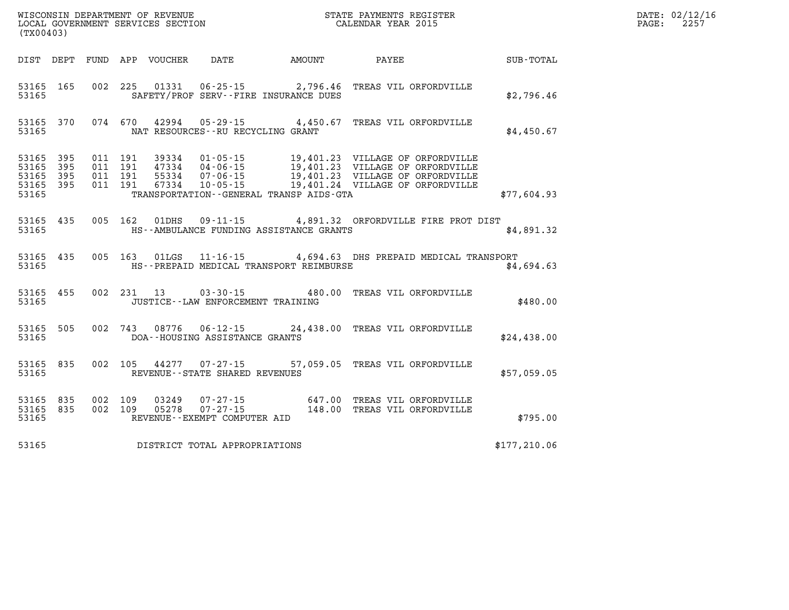| (TX00403) |  |  |                                          |                                                  |                                                                                                                                                                      |              | DATE: 02/12/16<br>$\mathtt{PAGE:}$<br>2257 |
|-----------|--|--|------------------------------------------|--------------------------------------------------|----------------------------------------------------------------------------------------------------------------------------------------------------------------------|--------------|--------------------------------------------|
|           |  |  |                                          |                                                  | DIST DEPT FUND APP VOUCHER DATE AMOUNT PAYEE PAYER SUB-TOTAL                                                                                                         |              |                                            |
|           |  |  |                                          | 53165 SAFETY/PROF SERV--FIRE INSURANCE DUES      | 53165 165 002 225 01331 06-25-15 2,796.46 TREAS VIL ORFORDVILLE                                                                                                      | \$2,796.46   |                                            |
|           |  |  | 53165 NAT RESOURCES--RU RECYCLING GRANT  |                                                  | 53165 370 074 670 42994 05-29-15 4,450.67 TREAS VIL ORFORDVILLE                                                                                                      | \$4,450.67   |                                            |
|           |  |  |                                          | 53165 TRANSPORTATION - GENERAL TRANSP AIDS - GTA |                                                                                                                                                                      | \$77,604.93  |                                            |
|           |  |  |                                          | 53165 HS--AMBULANCE FUNDING ASSISTANCE GRANTS    | 53165 435 005 162 01DHS 09-11-15 4,891.32 ORFORDVILLE FIRE PROT DIST                                                                                                 | \$4,891.32   |                                            |
|           |  |  |                                          | 53165 HS--PREPAID MEDICAL TRANSPORT REIMBURSE    | 53165 435 005 163 01LGS 11-16-15 4,694.63 DHS PREPAID MEDICAL TRANSPORT                                                                                              | \$4,694.63   |                                            |
|           |  |  | 53165 JUSTICE - LAW ENFORCEMENT TRAINING |                                                  | 53165 455 002 231 13 03-30-15 480.00 TREAS VIL ORFORDVILLE                                                                                                           | \$480.00     |                                            |
|           |  |  | 53165 DOA--HOUSING ASSISTANCE GRANTS     |                                                  | 53165 505 002 743 08776 06-12-15 24,438.00 TREAS VIL ORFORDVILLE                                                                                                     | \$24,438.00  |                                            |
|           |  |  | 53165 REVENUE - STATE SHARED REVENUES    |                                                  | 53165 835 002 105 44277 07-27-15 57,059.05 TREAS VIL ORFORDVILLE                                                                                                     | \$57,059.05  |                                            |
|           |  |  |                                          |                                                  | 53165 835 002 109 03249 07-27-15 647.00 TREAS VIL ORFORDVILLE<br>53165 835 002 109 05278 07-27-15 148.00 TREAS VIL ORFORDVILLE<br>53165 REVENUE--EXEMPT COMPUTER AID | \$795.00     |                                            |
| 53165     |  |  | DISTRICT TOTAL APPROPRIATIONS            |                                                  |                                                                                                                                                                      | \$177,210.06 |                                            |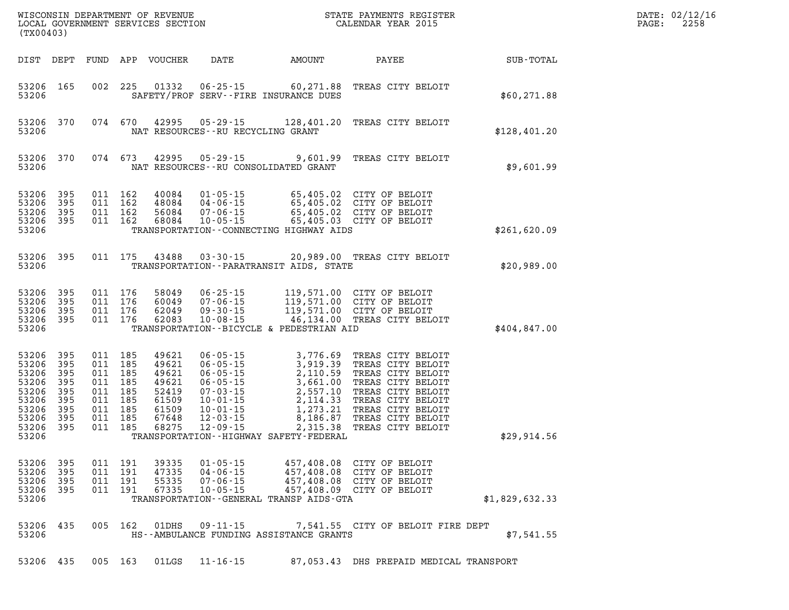|                                                             | (TX00403)                                                                     |                                                                                                 | WISCONSIN DEPARTMENT OF REVENUE<br>LOCAL GOVERNMENT SERVICES SECTION          |                                                                      |                                                                                                                                                                                                                                                                                                      | STATE PAYMENTS REGISTER<br>CALENDAR YEAR 2015                                                                                                                                                      |                | DATE: 02/12/16<br>2258<br>PAGE: |
|-------------------------------------------------------------|-------------------------------------------------------------------------------|-------------------------------------------------------------------------------------------------|-------------------------------------------------------------------------------|----------------------------------------------------------------------|------------------------------------------------------------------------------------------------------------------------------------------------------------------------------------------------------------------------------------------------------------------------------------------------------|----------------------------------------------------------------------------------------------------------------------------------------------------------------------------------------------------|----------------|---------------------------------|
|                                                             | DIST DEPT                                                                     |                                                                                                 | FUND APP VOUCHER                                                              | DATE                                                                 | AMOUNT                                                                                                                                                                                                                                                                                               | PAYEE                                                                                                                                                                                              | SUB-TOTAL      |                                 |
| 53206                                                       | 53206 165                                                                     | 002 225                                                                                         | 01332                                                                         |                                                                      | $06 - 25 - 15$ 60,271.88<br>SAFETY/PROF SERV--FIRE INSURANCE DUES                                                                                                                                                                                                                                    | TREAS CITY BELOIT                                                                                                                                                                                  | \$60, 271.88   |                                 |
| 53206<br>53206                                              | 370                                                                           | 074 670                                                                                         | 42995                                                                         | NAT RESOURCES -- RU RECYCLING GRANT                                  |                                                                                                                                                                                                                                                                                                      | 05-29-15 128,401.20 TREAS CITY BELOIT                                                                                                                                                              | \$128,401.20   |                                 |
| 53206<br>53206                                              | 370                                                                           | 074 673                                                                                         | 42995                                                                         |                                                                      | NAT RESOURCES - - RU CONSOLIDATED GRANT                                                                                                                                                                                                                                                              | 05-29-15 9,601.99 TREAS CITY BELOIT                                                                                                                                                                | \$9,601.99     |                                 |
| 53206<br>53206<br>53206<br>53206                            | 53206 395<br>395<br>395<br>395                                                | 011 162<br>011 162<br>011 162<br>011 162                                                        | 40084<br>48084<br>56084<br>68084                                              | $07 - 06 - 15$                                                       | TRANSPORTATION--CONNECTING HIGHWAY AIDS                                                                                                                                                                                                                                                              | 01-05-15<br>04-06-15<br>05,405.02 CITY OF BELOIT<br>07-06-15<br>05,405.02 CITY OF BELOIT<br>10-05-15<br>05,405.03 CITY OF BELOIT                                                                   | \$261,620.09   |                                 |
| 53206                                                       | 53206<br>395                                                                  | 011 175                                                                                         | 43488                                                                         | $03 - 30 - 15$                                                       | TRANSPORTATION - - PARATRANSIT AIDS, STATE                                                                                                                                                                                                                                                           | 20,989.00 TREAS CITY BELOIT                                                                                                                                                                        | \$20,989.00    |                                 |
| 53206<br>53206                                              | 53206 395<br>53206 395<br>395<br>53206 395                                    | 011 176<br>011 176<br>011 176<br>011 176                                                        | 58049<br>60049<br>62049<br>62083                                              | $06 - 25 - 15$<br>$07 - 06 - 15$<br>$09 - 30 - 15$<br>$10 - 08 - 15$ | TRANSPORTATION--BICYCLE & PEDESTRIAN AID                                                                                                                                                                                                                                                             | 119,571.00 CITY OF BELOIT<br>119,571.00 CITY OF BELOIT<br>119,571.00 CITY OF BELOIT<br>46,134.00 TREAS CITY BELOIT                                                                                 | \$404,847.00   |                                 |
| 53206<br>53206<br>53206<br>53206<br>53206<br>53206<br>53206 | 53206 395<br>395<br>395<br>395<br>395<br>395<br>53206 395<br>395<br>53206 395 | 011 185<br>011 185<br>011 185<br>011 185<br>011 185<br>011 185<br>011 185<br>011 185<br>011 185 | 49621<br>49621<br>49621<br>49621<br>52419<br>61509<br>61509<br>67648<br>68275 | $06 - 05 - 15$                                                       | 06-05-15<br>06-05-15<br>06-05-15<br>06-05-15<br>2,110.59<br>06-05-15<br>2,110.59<br>2,557.10<br>07-03-15<br>2,557.10<br>10-01-15<br>2,114.33<br>10-01-15<br>2,114.33<br>10-01-15<br>2,114.33<br>12-03-15<br>8,186.87<br>2,15.38<br>2,15.38<br>2,35.38<br>TRANSPORTATION - - HIGHWAY SAFETY - FEDERAL | 3,776.69 TREAS CITY BELOIT<br>TREAS CITY BELOIT<br>TREAS CITY BELOIT<br>TREAS CITY BELOIT<br>TREAS CITY BELOIT<br>TREAS CITY BELOIT<br>TREAS CITY BELOIT<br>TREAS CITY BELOIT<br>TREAS CITY BELOIT | \$29,914.56    |                                 |
| 53206<br>53206<br>53206<br>53206                            | 53206 395<br>395<br>395<br>-395                                               | 011 191<br>011 191<br>011 191<br>011 191                                                        | 39335<br>47335<br>55335<br>67335                                              | $01 - 05 - 15$<br>$04 - 06 - 15$<br>$07 - 06 - 15$<br>$10 - 05 - 15$ | 457,408.08<br>TRANSPORTATION--GENERAL TRANSP AIDS-GTA                                                                                                                                                                                                                                                | 457,408.08 CITY OF BELOIT<br>CITY OF BELOIT<br>457,408.08 CITY OF BELOIT<br>457,408.09 CITY OF BELOIT                                                                                              | \$1,829,632.33 |                                 |
| 53206                                                       | 53206 435                                                                     | 005 162                                                                                         | 01DHS                                                                         | $09 - 11 - 15$                                                       | HS--AMBULANCE FUNDING ASSISTANCE GRANTS                                                                                                                                                                                                                                                              | 7,541.55 CITY OF BELOIT FIRE DEPT                                                                                                                                                                  | \$7,541.55     |                                 |
|                                                             | 53206 435                                                                     | 005 163                                                                                         |                                                                               | 01LGS 11-16-15                                                       |                                                                                                                                                                                                                                                                                                      | 87,053.43 DHS PREPAID MEDICAL TRANSPORT                                                                                                                                                            |                |                                 |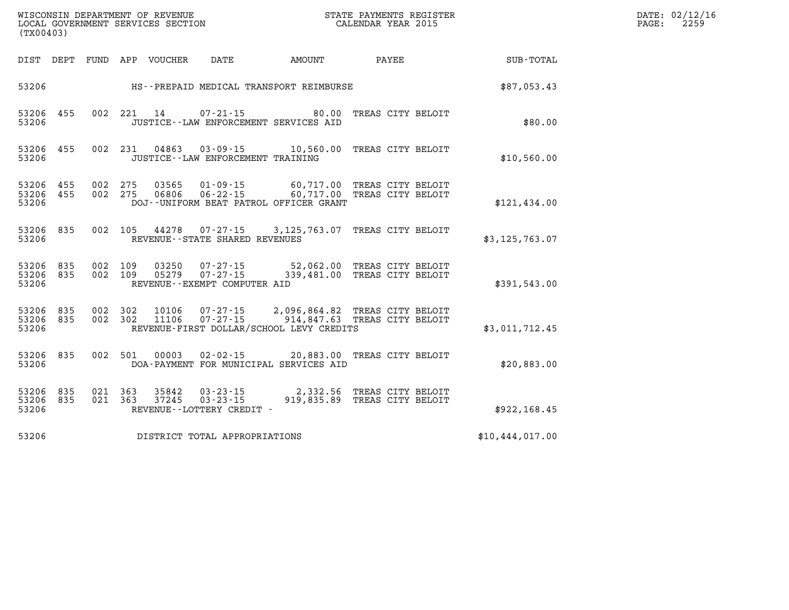| (TX00403)          |                        |                    | WISCONSIN DEPARTMENT OF REVENUE<br>LOCAL GOVERNMENT SERVICES SECTION |                                             |                                          | STATE PAYMENTS REGISTER<br>CALENDAR YEAR 2015                                                       |                 | DATE: 02/12/16<br>PAGE: 2259 |
|--------------------|------------------------|--------------------|----------------------------------------------------------------------|---------------------------------------------|------------------------------------------|-----------------------------------------------------------------------------------------------------|-----------------|------------------------------|
|                    |                        |                    | DIST DEPT FUND APP VOUCHER DATE                                      |                                             |                                          |                                                                                                     |                 |                              |
| 53206              |                        |                    |                                                                      |                                             | HS--PREPAID MEDICAL TRANSPORT REIMBURSE  |                                                                                                     | \$87,053.43     |                              |
| 53206              | 53206 455              |                    |                                                                      |                                             | JUSTICE -- LAW ENFORCEMENT SERVICES AID  | 002 221 14 07-21-15 80.00 TREAS CITY BELOIT                                                         | \$80.00         |                              |
| 53206              | 53206 455              |                    |                                                                      | JUSTICE--LAW ENFORCEMENT TRAINING           |                                          | 002 231 04863 03-09-15 10,560.00 TREAS CITY BELOIT                                                  | \$10,560.00     |                              |
| 53206              | 53206 455<br>53206 455 | 002 275            |                                                                      |                                             | DOJ--UNIFORM BEAT PATROL OFFICER GRANT   | 03565  01-09-15  60,717.00 TREAS CITY BELOIT<br>002 275 06806 06-22-15 60,717.00 TREAS CITY BELOIT  | \$121,434.00    |                              |
| 53206              | 53206 835              |                    |                                                                      | REVENUE--STATE SHARED REVENUES              |                                          | 002 105 44278 07-27-15 3,125,763.07 TREAS CITY BELOIT                                               | \$3,125,763.07  |                              |
| 53206              | 53206 835<br>53206 835 | 002 109            |                                                                      | REVENUE--EXEMPT COMPUTER AID                |                                          | 03250  07-27-15  52,062.00 TREAS CITY BELOIT<br>002 109 05279 07-27-15 339,481.00 TREAS CITY BELOIT | \$391,543.00    |                              |
| 53206              | 53206 835<br>53206 835 | 002 302<br>002 302 |                                                                      |                                             | REVENUE-FIRST DOLLAR/SCHOOL LEVY CREDITS | 10106  07-27-15  2,096,864.82  TREAS CITY BELOIT<br>11106  07-27-15  914,847.63  TREAS CITY BELOIT  | \$3,011,712.45  |                              |
| 53206              | 53206 835              |                    |                                                                      |                                             | DOA-PAYMENT FOR MUNICIPAL SERVICES AID   | 002 501 00003 02-02-15 20,883.00 TREAS CITY BELOIT                                                  | \$20,883.00     |                              |
| 53206 835<br>53206 | 53206 835              | 021 363<br>021 363 |                                                                      | 37245 03-23-15<br>REVENUE--LOTTERY CREDIT - |                                          | 35842  03-23-15  2,332.56  TREAS CITY BELOIT<br>37245  03-23-15  919,835.89  TREAS CITY BELOIT      | \$922,168.45    |                              |
| 53206              |                        |                    |                                                                      | DISTRICT TOTAL APPROPRIATIONS               |                                          |                                                                                                     | \$10,444,017.00 |                              |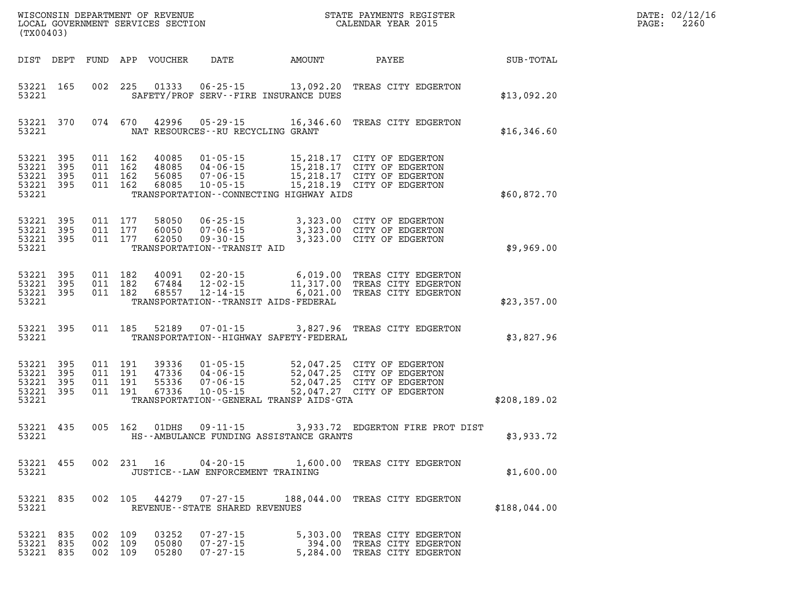| DATE: | 02/12/16 |
|-------|----------|
| PAGE: | 2260     |

| (TX00403)                                                 |     |                                          |                                  |                                                                                  | WISCONSIN DEPARTMENT OF REVENUE<br>LOCAL GOVERNMENT SERVICES SECTION | STATE PAYMENTS REGISTER<br>CALENDAR YEAR 2015                                                                                                                                       |              | DATE: 02/12/1<br>2260<br>PAGE: |
|-----------------------------------------------------------|-----|------------------------------------------|----------------------------------|----------------------------------------------------------------------------------|----------------------------------------------------------------------|-------------------------------------------------------------------------------------------------------------------------------------------------------------------------------------|--------------|--------------------------------|
| DIST DEPT                                                 |     |                                          | FUND APP VOUCHER                 | DATE                                                                             | AMOUNT                                                               | PAYEE                                                                                                                                                                               | SUB-TOTAL    |                                |
| 53221 165<br>53221                                        |     |                                          |                                  |                                                                                  | SAFETY/PROF SERV--FIRE INSURANCE DUES                                | 002 225 01333 06-25-15 13,092.20 TREAS CITY EDGERTON                                                                                                                                | \$13,092.20  |                                |
| 53221 370<br>53221                                        |     |                                          |                                  | 074 670 42996 05-29-15                                                           | NAT RESOURCES - - RU RECYCLING GRANT                                 | 16,346.60 TREAS CITY EDGERTON                                                                                                                                                       | \$16,346.60  |                                |
| 53221 395<br>53221<br>53221 395<br>53221 395<br>53221     | 395 | 011 162<br>011 162<br>011 162<br>011 162 |                                  |                                                                                  | TRANSPORTATION--CONNECTING HIGHWAY AIDS                              | 40085  01-05-15  15,218.17  CITY OF EDGERTON<br>40085 04-06-15 15,218.17 CITY OF EDGERTON<br>56085 07-06-15 15,218.17 CITY OF EDGERTON<br>68085 10-05-15 15,218.19 CITY OF EDGERTON | \$60,872.70  |                                |
| 53221 395<br>53221 395<br>53221 395<br>53221              |     | 011 177<br>011 177<br>011 177            | 58050<br>62050                   | 60050 07-06-15<br>$09 - 30 - 15$<br>TRANSPORTATION - - TRANSIT AID               |                                                                      | 06-25-15 3,323.00 CITY OF EDGERTON<br>3,323.00 CITY OF EDGERTON<br>3,323.00 CITY OF EDGERTON                                                                                        | \$9,969.00   |                                |
| 53221 395<br>53221 395<br>53221 395<br>53221              |     | 011 182<br>011 182<br>011 182            | 67484<br>68557                   | $12 - 02 - 15$<br>$12 - 14 - 15$                                                 | TRANSPORTATION - - TRANSIT AIDS - FEDERAL                            | 40091  02-20-15   6,019.00   TREAS CITY EDGERTON<br>11,317.00 TREAS CITY EDGERTON<br>6,021.00 TREAS CITY EDGERTON                                                                   | \$23,357.00  |                                |
| 53221 395<br>53221                                        |     | 011 185                                  | 52189                            | $07 - 01 - 15$                                                                   | TRANSPORTATION - - HIGHWAY SAFETY - FEDERAL                          | 3,827.96 TREAS CITY EDGERTON                                                                                                                                                        | \$3,827.96   |                                |
| 53221 395<br>53221 395<br>53221 395<br>53221 395<br>53221 |     | 011 191<br>011 191<br>011 191<br>011 191 | 39336<br>47336<br>55336<br>67336 | 01 - 05 - 15<br>04 - 06 - 15<br>07 - 06 - 15<br>$04 - 06 - 15$<br>$10 - 05 - 15$ | TRANSPORTATION--GENERAL TRANSP AIDS-GTA                              | 52,047.25 CITY OF EDGERTON<br>52,047.25 CITY OF EDGERTON<br>52,047.25 CITY OF EDGERTON<br>52,047.27 CITY OF EDGERTON                                                                | \$208,189.02 |                                |
| 53221 435<br>53221                                        |     | 005 162                                  | 01DHS                            |                                                                                  | HS--AMBULANCE FUNDING ASSISTANCE GRANTS                              | 09-11-15 3,933.72 EDGERTON FIRE PROT DIST                                                                                                                                           | \$3,933.72   |                                |
| 53221 455<br>53221                                        |     |                                          | 002 231 16                       |                                                                                  | JUSTICE - - LAW ENFORCEMENT TRAINING                                 | 04-20-15 1,600.00 TREAS CITY EDGERTON                                                                                                                                               | \$1,600.00   |                                |
| 53221 835<br>53221                                        |     |                                          |                                  | REVENUE - - STATE SHARED REVENUES                                                |                                                                      | 002 105 44279 07-27-15 188,044.00 TREAS CITY EDGERTON                                                                                                                               | \$188,044.00 |                                |
| 53221 835<br>53221 835<br>53221 835                       |     | 002 109<br>002 109<br>002 109            | 03252<br>05080<br>05280          | $07 - 27 - 15$<br>$07 - 27 - 15$<br>$07 - 27 - 15$                               |                                                                      | 5,303.00 TREAS CITY EDGERTON<br>394.00 TREAS CITY EDGERTON<br>5,284.00 TREAS CITY EDGERTON                                                                                          |              |                                |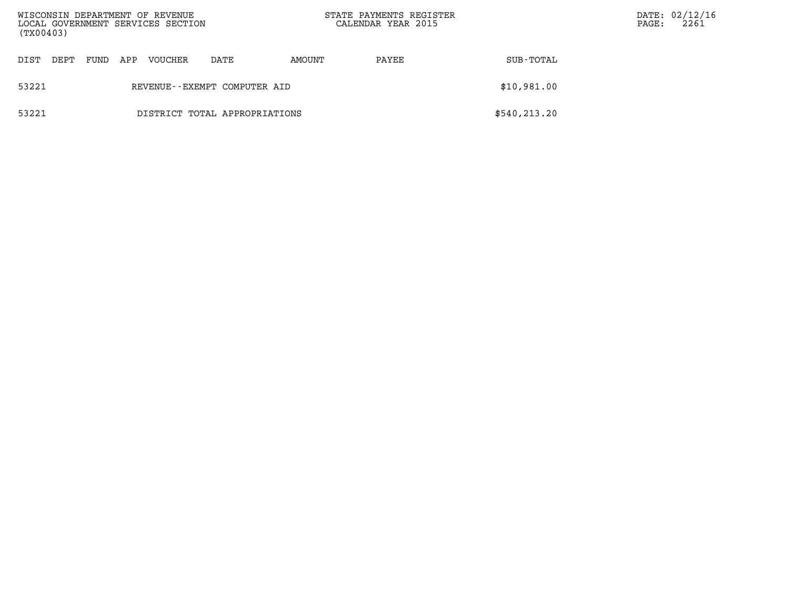| (TX00403)                              |      |     | WISCONSIN DEPARTMENT OF REVENUE<br>LOCAL GOVERNMENT SERVICES SECTION |                              | STATE PAYMENTS REGISTER<br>CALENDAR YEAR 2015 |       | PAGE:         | DATE: 02/12/16<br>2261 |  |
|----------------------------------------|------|-----|----------------------------------------------------------------------|------------------------------|-----------------------------------------------|-------|---------------|------------------------|--|
| DIST<br>DEPT                           | FUND | APP | <b>VOUCHER</b>                                                       | DATE                         | AMOUNT                                        | PAYEE | SUB-TOTAL     |                        |  |
| 53221                                  |      |     |                                                                      | REVENUE--EXEMPT COMPUTER AID |                                               |       | \$10,981.00   |                        |  |
| 53221<br>DISTRICT TOTAL APPROPRIATIONS |      |     |                                                                      |                              |                                               |       | \$540, 213.20 |                        |  |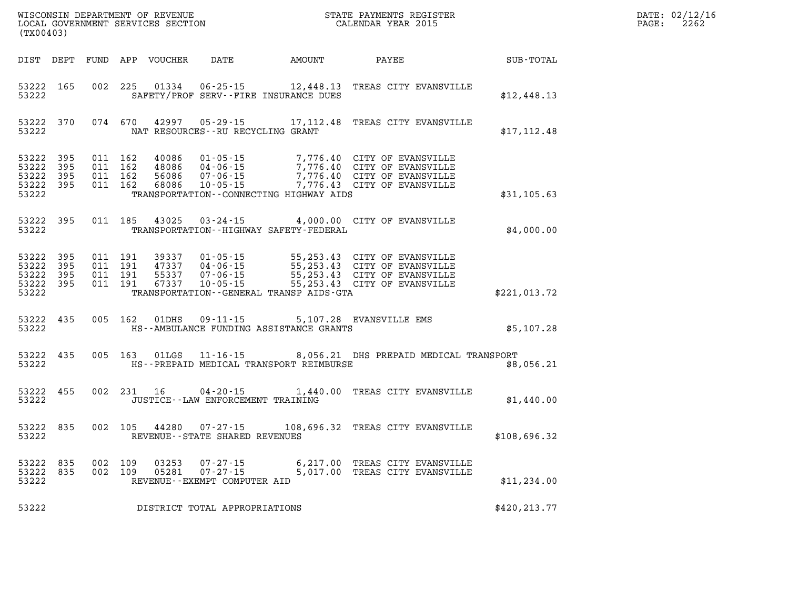| DATE: | 02/12/16 |
|-------|----------|
| PAGE: | 2262     |

| (TX00403)                                             |     |                    |                | WISCONSIN DEPARTMENT OF REVENUE<br>LOCAL GOVERNMENT SERVICES SECTION |                                              | STATE PAYMENTS REGISTER<br>CALENDAR YEAR 2015                                                                                                                                                                                                  | DATE: 02/12/1<br>2262<br>PAGE: |  |  |
|-------------------------------------------------------|-----|--------------------|----------------|----------------------------------------------------------------------|----------------------------------------------|------------------------------------------------------------------------------------------------------------------------------------------------------------------------------------------------------------------------------------------------|--------------------------------|--|--|
|                                                       |     |                    |                |                                                                      | DIST DEPT FUND APP VOUCHER DATE AMOUNT PAYEE |                                                                                                                                                                                                                                                | SUB-TOTAL                      |  |  |
| 53222 165<br>53222                                    |     | 002 225            | 01334          |                                                                      | SAFETY/PROF SERV--FIRE INSURANCE DUES        | 06-25-15 12,448.13 TREAS CITY EVANSVILLE                                                                                                                                                                                                       | \$12,448.13                    |  |  |
| 53222 370<br>53222                                    |     |                    |                | NAT RESOURCES--RU RECYCLING GRANT                                    |                                              | 074 670 42997 05-29-15 17,112.48 TREAS CITY EVANSVILLE                                                                                                                                                                                         | \$17, 112.48                   |  |  |
| 53222 395<br>53222<br>53222 395<br>53222 395<br>53222 | 395 | 011 162            | 68086          |                                                                      | TRANSPORTATION--CONNECTING HIGHWAY AIDS      | 011 162 40086 01-05-15 7,776.40 CITY OF EVANSVILLE<br>011 162 48086 04-06-15 7,776.40 CITY OF EVANSVILLE<br>011 162 56086 07-06-15 7,776.40 CITY OF EVANSVILLE<br>07-06-15 7,776.40 CITY OF EVANSVILLE<br>10-05-15 7,776.43 CITY OF EVANSVILLE | \$31,105.63                    |  |  |
| 53222 395<br>53222                                    |     |                    | 011 185 43025  |                                                                      | TRANSPORTATION - - HIGHWAY SAFETY - FEDERAL  | 03-24-15 4,000.00 CITY OF EVANSVILLE                                                                                                                                                                                                           | \$4,000.00                     |  |  |
| 53222 395<br>53222<br>53222 395<br>53222 395<br>53222 | 395 |                    |                |                                                                      | TRANSPORTATION--GENERAL TRANSP AIDS-GTA      |                                                                                                                                                                                                                                                | \$221,013.72                   |  |  |
| 53222 435<br>53222                                    |     |                    | 005 162 01DHS  |                                                                      | HS--AMBULANCE FUNDING ASSISTANCE GRANTS      | 09-11-15 5,107.28 EVANSVILLE EMS                                                                                                                                                                                                               | \$5,107.28                     |  |  |
| 53222 435<br>53222                                    |     |                    |                |                                                                      | HS--PREPAID MEDICAL TRANSPORT REIMBURSE      | 005 163 01LGS 11-16-15 8,056.21 DHS PREPAID MEDICAL TRANSPORT                                                                                                                                                                                  | \$8,056.21                     |  |  |
| 53222<br>53222                                        | 455 |                    |                | JUSTICE - - LAW ENFORCEMENT TRAINING                                 |                                              | 002 231 16 04-20-15 1,440.00 TREAS CITY EVANSVILLE                                                                                                                                                                                             | \$1,440.00                     |  |  |
| 53222 835<br>53222                                    |     |                    |                | REVENUE - - STATE SHARED REVENUES                                    |                                              | 002 105 44280 07-27-15 108,696.32 TREAS CITY EVANSVILLE                                                                                                                                                                                        | \$108,696.32                   |  |  |
| 53222 835<br>53222 835<br>53222                       |     | 002 109<br>002 109 | 03253<br>05281 | REVENUE--EXEMPT COMPUTER AID                                         |                                              | 07-27-15 6,217.00 TREAS CITY EVANSVILLE<br>07-27-15 5,017.00 TREAS CITY EVANSVILLE<br>5,017.00 TREAS CITY EVANSVILLE                                                                                                                           | \$11, 234.00                   |  |  |
| 53222                                                 |     |                    |                | DISTRICT TOTAL APPROPRIATIONS                                        |                                              |                                                                                                                                                                                                                                                | \$420,213.77                   |  |  |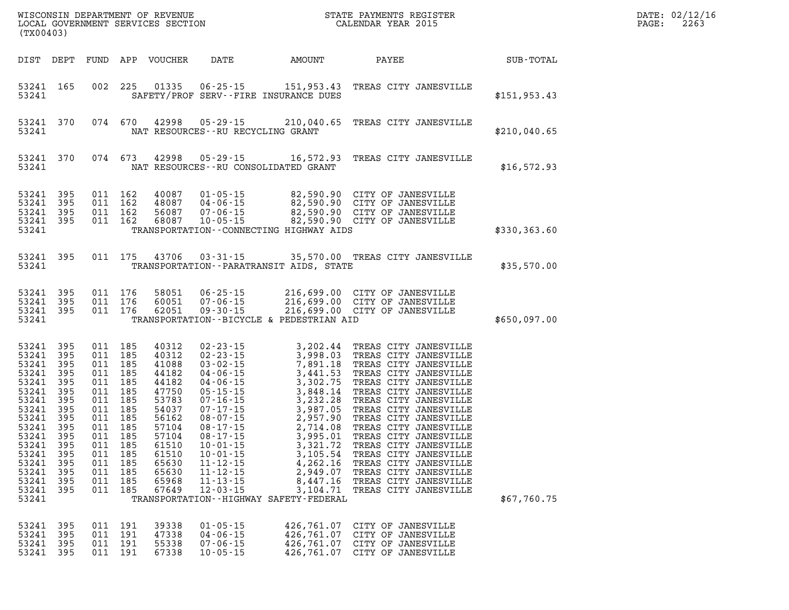| WISCONSIN DEPARTMENT OF REVENUE<br>LOCAL GOVERNMENT SERVICES SECTION<br>(TX00403)                                                                              |                                                                                                                     |                                                                                                                     |                                                                                                                     |                                                                                                                                                       |                                                                                                                                                                                                                                                                                                                |                                                                                                                                                                                                                                                    |                                                                                                                                                                                                                                                                                                                                                                                                                                       |              |
|----------------------------------------------------------------------------------------------------------------------------------------------------------------|---------------------------------------------------------------------------------------------------------------------|---------------------------------------------------------------------------------------------------------------------|---------------------------------------------------------------------------------------------------------------------|-------------------------------------------------------------------------------------------------------------------------------------------------------|----------------------------------------------------------------------------------------------------------------------------------------------------------------------------------------------------------------------------------------------------------------------------------------------------------------|----------------------------------------------------------------------------------------------------------------------------------------------------------------------------------------------------------------------------------------------------|---------------------------------------------------------------------------------------------------------------------------------------------------------------------------------------------------------------------------------------------------------------------------------------------------------------------------------------------------------------------------------------------------------------------------------------|--------------|
| DIST                                                                                                                                                           | DEPT                                                                                                                | FUND                                                                                                                | APP                                                                                                                 | VOUCHER                                                                                                                                               | DATE                                                                                                                                                                                                                                                                                                           | AMOUNT                                                                                                                                                                                                                                             | PAYEE                                                                                                                                                                                                                                                                                                                                                                                                                                 | SUB-TOTAL    |
| 53241<br>53241                                                                                                                                                 | 165                                                                                                                 | 002                                                                                                                 | 225                                                                                                                 | 01335                                                                                                                                                 | $06 - 25 - 15$                                                                                                                                                                                                                                                                                                 | 151,953.43<br>SAFETY/PROF SERV--FIRE INSURANCE DUES                                                                                                                                                                                                | TREAS CITY JANESVILLE                                                                                                                                                                                                                                                                                                                                                                                                                 | \$151,953.43 |
| 53241<br>53241                                                                                                                                                 | 370                                                                                                                 | 074                                                                                                                 | 670                                                                                                                 | 42998                                                                                                                                                 | $05 - 29 - 15$<br>NAT RESOURCES--RU RECYCLING GRANT                                                                                                                                                                                                                                                            | 210,040.65                                                                                                                                                                                                                                         | TREAS CITY JANESVILLE                                                                                                                                                                                                                                                                                                                                                                                                                 | \$210,040.65 |
| 53241<br>53241                                                                                                                                                 | 370                                                                                                                 | 074                                                                                                                 | 673                                                                                                                 | 42998                                                                                                                                                 | $05 - 29 - 15$                                                                                                                                                                                                                                                                                                 | 16,572.93<br>NAT RESOURCES--RU CONSOLIDATED GRANT                                                                                                                                                                                                  | TREAS CITY JANESVILLE                                                                                                                                                                                                                                                                                                                                                                                                                 | \$16,572.93  |
| 53241<br>53241<br>53241<br>53241<br>53241                                                                                                                      | 395<br>395<br>395<br>395                                                                                            | 011<br>011<br>011<br>011                                                                                            | 162<br>162<br>162<br>162                                                                                            | 40087<br>48087<br>56087<br>68087                                                                                                                      | $01 - 05 - 15$<br>04-06-15<br>$07 - 06 - 15$<br>$10 - 05 - 15$                                                                                                                                                                                                                                                 | 82,590.90<br>82,590.90<br>82,590.90<br>82,590.90<br>TRANSPORTATION--CONNECTING HIGHWAY AIDS                                                                                                                                                        | CITY OF JANESVILLE<br>CITY OF JANESVILLE<br>CITY OF JANESVILLE<br>CITY OF JANESVILLE                                                                                                                                                                                                                                                                                                                                                  | \$330,363.60 |
| 53241<br>53241                                                                                                                                                 | 395                                                                                                                 | 011                                                                                                                 | 175                                                                                                                 | 43706                                                                                                                                                 | $03 - 31 - 15$                                                                                                                                                                                                                                                                                                 | TRANSPORTATION -- PARATRANSIT AIDS, STATE                                                                                                                                                                                                          | 35,570.00 TREAS CITY JANESVILLE                                                                                                                                                                                                                                                                                                                                                                                                       | \$35,570.00  |
| 53241<br>53241<br>53241<br>53241                                                                                                                               | 395<br>395<br>395                                                                                                   | 011<br>011<br>011                                                                                                   | 176<br>176<br>176                                                                                                   | 58051<br>60051<br>62051                                                                                                                               | $06 - 25 - 15$<br>$07 - 06 - 15$<br>$09 - 30 - 15$                                                                                                                                                                                                                                                             | 216,699.00<br>TRANSPORTATION--BICYCLE & PEDESTRIAN AID                                                                                                                                                                                             | 216,699.00 CITY OF JANESVILLE<br>216,699.00 CITY OF JANESVILLE<br>CITY OF JANESVILLE                                                                                                                                                                                                                                                                                                                                                  | \$650,097.00 |
| 53241<br>53241<br>53241<br>53241<br>53241<br>53241<br>53241<br>53241<br>53241<br>53241<br>53241<br>53241<br>53241<br>53241<br>53241<br>53241<br>53241<br>53241 | 395<br>395<br>395<br>395<br>395<br>395<br>395<br>395<br>395<br>395<br>395<br>395<br>395<br>395<br>395<br>395<br>395 | 011<br>011<br>011<br>011<br>011<br>011<br>011<br>011<br>011<br>011<br>011<br>011<br>011<br>011<br>011<br>011<br>011 | 185<br>185<br>185<br>185<br>185<br>185<br>185<br>185<br>185<br>185<br>185<br>185<br>185<br>185<br>185<br>185<br>185 | 40312<br>40312<br>41088<br>44182<br>44182<br>47750<br>53783<br>54037<br>56162<br>57104<br>57104<br>61510<br>61510<br>65630<br>65630<br>65968<br>67649 | $02 - 23 - 15$<br>$02 - 23 - 15$<br>$03 - 02 - 15$<br>$04 - 06 - 15$<br>$04 - 06 - 15$<br>$05 - 15 - 15$<br>$07 - 16 - 15$<br>$07 - 17 - 15$<br>$08 - 07 - 15$<br>$08 - 17 - 15$<br>$08 - 17 - 15$<br>$10 - 01 - 15$<br>$10 - 01 - 15$<br>$11 - 12 - 15$<br>$11 - 12 - 15$<br>$11 - 13 - 15$<br>$12 - 03 - 15$ | 3,202.44<br>3,998.03<br>7,891.18<br>3,441.53<br>3,302.75<br>3,848.14<br>3,232.28<br>3,987.05<br>2,957.90<br>2,714.08<br>3,995.01<br>3,321.72<br>3,105.54<br>4,262.16<br>2,949.07<br>8,447.16<br>3,104.71<br>TRANSPORTATION--HIGHWAY SAFETY-FEDERAL | TREAS CITY JANESVILLE<br>TREAS CITY JANESVILLE<br>TREAS CITY JANESVILLE<br>TREAS CITY JANESVILLE<br>TREAS CITY JANESVILLE<br>TREAS CITY JANESVILLE<br>TREAS CITY JANESVILLE<br>TREAS CITY JANESVILLE<br>TREAS CITY JANESVILLE<br>TREAS CITY JANESVILLE<br>TREAS CITY JANESVILLE<br>TREAS CITY JANESVILLE<br>TREAS CITY JANESVILLE<br>TREAS CITY JANESVILLE<br>TREAS CITY JANESVILLE<br>TREAS CITY JANESVILLE<br>TREAS CITY JANESVILLE | \$67,760.75  |
| 53241<br>53241<br>53241<br>53241                                                                                                                               | 395<br>395<br>395<br>395                                                                                            | 011<br>011<br>011<br>011                                                                                            | 191<br>191<br>191<br>191                                                                                            | 39338<br>47338<br>55338<br>67338                                                                                                                      | $01 - 05 - 15$<br>$04 - 06 - 15$<br>$07 - 06 - 15$<br>$10 - 05 - 15$                                                                                                                                                                                                                                           | 426,761.07<br>426,761.07<br>426,761.07<br>426,761.07                                                                                                                                                                                               | CITY OF JANESVILLE<br>CITY OF JANESVILLE<br>CITY OF JANESVILLE<br>CITY OF JANESVILLE                                                                                                                                                                                                                                                                                                                                                  |              |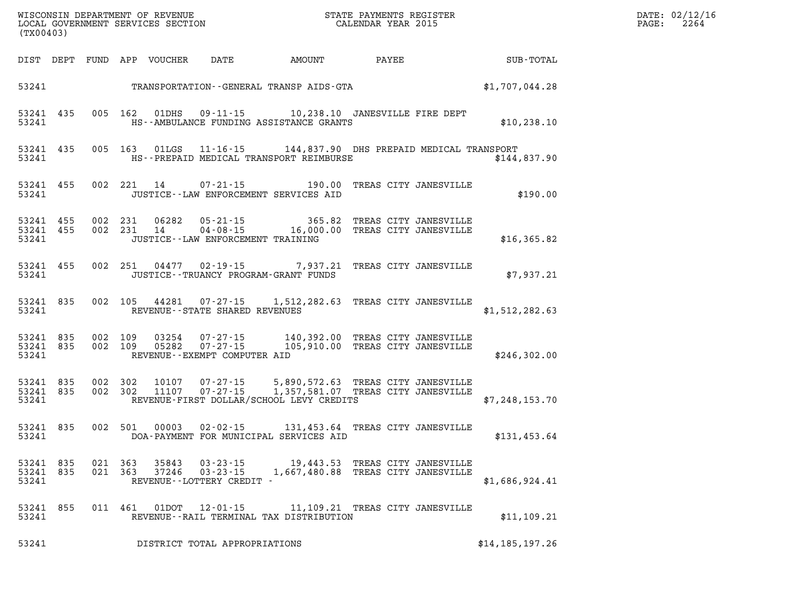| WISCONSIN DEPARTMENT OF REVENUE      | PAYMENTS REGISTER<br>3TATE | DATE: | 02/12/16 |
|--------------------------------------|----------------------------|-------|----------|
| GOVERNMENT SERVICES SECTION<br>LOCAL | CALENDAR YEAR 2015         | PAGE  | 2264     |

| (TX00403)          |                                 |         | LOCAL GOVERNMENT SERVICES SECTION |                                                                       | CALENDAR YEAR 2015                                                                                                                                                 |                                 |                   | PAGE: | 2264 |
|--------------------|---------------------------------|---------|-----------------------------------|-----------------------------------------------------------------------|--------------------------------------------------------------------------------------------------------------------------------------------------------------------|---------------------------------|-------------------|-------|------|
|                    |                                 |         |                                   |                                                                       | DIST DEPT FUND APP VOUCHER DATE AMOUNT PAYEE PATE SUB-TOTAL                                                                                                        |                                 |                   |       |      |
|                    |                                 |         |                                   |                                                                       | 53241 TRANSPORTATION - GENERAL TRANSP AIDS - GTA $$1,707,044.28$                                                                                                   |                                 |                   |       |      |
| 53241              | 53241 435                       |         | 005 162 01DHS                     |                                                                       | 09-11-15    10,238.10    JANESVILLE FIRE DEPT<br>HS--AMBULANCE FUNDING ASSISTANCE GRANTS                                                                           |                                 | \$10, 238.10      |       |      |
| 53241              | 53241 435                       |         |                                   |                                                                       | 005 163 01LGS 11-16-15 144,837.90 DHS PREPAID MEDICAL TRANSPORT<br>HS--PREPAID MEDICAL TRANSPORT REIMBURSE                                                         |                                 | \$144,837.90      |       |      |
| 53241              | 53241 455                       |         | 002 221 14                        |                                                                       | 07-21-15 190.00 TREAS CITY JANESVILLE<br>JUSTICE -- LAW ENFORCEMENT SERVICES AID                                                                                   |                                 | \$190.00          |       |      |
| 53241              | 53241 455<br>53241 455          |         |                                   | JUSTICE--LAW ENFORCEMENT TRAINING                                     | 002 231 06282 05-21-15 365.82 TREAS CITY JANESVILLE<br>002 231 14 04-08-15 16,000.00 TREAS CITY JANESVILLE                                                         |                                 | \$16,365.82       |       |      |
| 53241              | 53241 455                       |         |                                   |                                                                       | 002 251 04477 02-19-15 7,937.21 TREAS CITY JANESVILLE<br>JUSTICE - - TRUANCY PROGRAM - GRANT FUNDS                                                                 |                                 | \$7,937.21        |       |      |
| 53241              | 53241 835                       |         |                                   | REVENUE--STATE SHARED REVENUES                                        | 002 105 44281 07-27-15 1,512,282.63 TREAS CITY JANESVILLE                                                                                                          |                                 | \$1,512,282.63    |       |      |
|                    | 53241 835<br>53241 835<br>53241 |         |                                   | REVENUE--EXEMPT COMPUTER AID                                          | 002 109 03254 07-27-15 140,392.00 TREAS CITY JANESVILLE<br>002 109 05282 07-27-15 105,910.00 TREAS CITY JANESVILLE                                                 |                                 | \$246,302.00      |       |      |
|                    | 53241 835<br>53241 835<br>53241 |         |                                   |                                                                       | 002 302 10107 07-27-15 5,890,572.63 TREAS CITY JANESVILLE<br>002 302 11107 07-27-15 1,357,581.07 TREAS CITY JANESVILLE<br>REVENUE-FIRST DOLLAR/SCHOOL LEVY CREDITS |                                 | \$7,248,153.70    |       |      |
|                    | 53241 835                       |         |                                   |                                                                       | 002 501 00003 02-02-15 131,453.64 TREAS CITY JANESVILLE<br>53241 DOA-PAYMENT FOR MUNICIPAL SERVICES AID                                                            |                                 | \$131,453.64      |       |      |
| 53241 835<br>53241 | 53241 835                       |         | 021 363 35843                     | $03 - 23 - 15$<br>021 363 37246 03-23-15<br>REVENUE--LOTTERY CREDIT - | 1,667,480.88 TREAS CITY JANESVILLE                                                                                                                                 | 19,443.53 TREAS CITY JANESVILLE | \$1,686,924.41    |       |      |
| 53241 855<br>53241 |                                 | 011 461 |                                   |                                                                       | 01DOT  12-01-15   11,109.21 TREAS CITY JANESVILLE<br>REVENUE--RAIL TERMINAL TAX DISTRIBUTION                                                                       |                                 | \$11,109.21       |       |      |
| 53241              |                                 |         |                                   | DISTRICT TOTAL APPROPRIATIONS                                         |                                                                                                                                                                    |                                 | \$14, 185, 197.26 |       |      |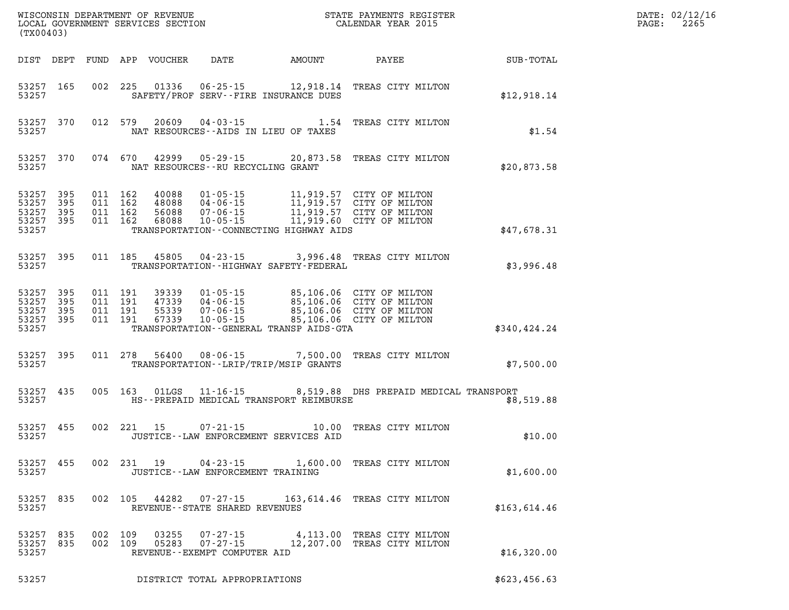| (TX00403)                                             |            |                    |               |                                                        |                                             | WISCONSIN DEPARTMENT OF REVENUE<br>LOCAL GOVERNMENT SERVICES SECTION FOR THE STATE PAYMENTS REGISTER<br>(TWO 0403)                                                                                       |              | DATE: 02/12/16<br>$\mathtt{PAGE:}$<br>2265 |
|-------------------------------------------------------|------------|--------------------|---------------|--------------------------------------------------------|---------------------------------------------|----------------------------------------------------------------------------------------------------------------------------------------------------------------------------------------------------------|--------------|--------------------------------------------|
|                                                       |            |                    |               |                                                        |                                             | DIST DEPT FUND APP VOUCHER DATE AMOUNT PAYEE SUB-TOTAL                                                                                                                                                   |              |                                            |
| 53257 165<br>53257                                    |            |                    |               | SAFETY/PROF SERV--FIRE INSURANCE DUES                  |                                             | 002 225 01336 06-25-15 12,918.14 TREAS CITY MILTON                                                                                                                                                       | \$12,918.14  |                                            |
| 53257 370<br>53257                                    |            |                    |               | NAT RESOURCES -- AIDS IN LIEU OF TAXES                 |                                             | 012 579 20609 04-03-15 1.54 TREAS CITY MILTON                                                                                                                                                            | \$1.54       |                                            |
| 53257 370<br>53257                                    |            |                    |               | NAT RESOURCES--RU RECYCLING GRANT                      |                                             | 074 670 42999 05-29-15 20,873.58 TREAS CITY MILTON                                                                                                                                                       | \$20,873.58  |                                            |
| 53257 395<br>53257<br>53257 395<br>53257 395<br>53257 | 395        |                    |               |                                                        | TRANSPORTATION -- CONNECTING HIGHWAY AIDS   |                                                                                                                                                                                                          | \$47,678.31  |                                            |
| 53257 395<br>53257                                    |            |                    | 011 185 45805 |                                                        | TRANSPORTATION - - HIGHWAY SAFETY - FEDERAL | 04-23-15 3,996.48 TREAS CITY MILTON                                                                                                                                                                      | \$3,996.48   |                                            |
| 53257 395<br>53257<br>53257 395<br>53257 395<br>53257 | 395        |                    |               |                                                        | TRANSPORTATION - GENERAL TRANSP AIDS - GTA  | 011 191 39339 01-05-15 85,106.06 CITY OF MILTON<br>011 191 47339 04-06-15 85,106.06 CITY OF MILTON<br>011 191 55339 07-06-15 85,106.06 CITY OF MILTON<br>011 191 67339 10-05-15 85,106.06 CITY OF MILTON | \$340,424.24 |                                            |
| 53257 395<br>53257                                    |            |                    |               | TRANSPORTATION--LRIP/TRIP/MSIP GRANTS                  |                                             | 011 278 56400 08-06-15 7,500.00 TREAS CITY MILTON                                                                                                                                                        | \$7,500.00   |                                            |
| 53257 435<br>53257                                    |            |                    |               |                                                        | HS--PREPAID MEDICAL TRANSPORT REIMBURSE     | 005 163 01LGS 11-16-15 8,519.88 DHS PREPAID MEDICAL TRANSPORT                                                                                                                                            | \$8,519.88   |                                            |
| 53257 455<br>53257                                    |            |                    |               | JUSTICE -- LAW ENFORCEMENT SERVICES AID                |                                             | 002 221 15 07-21-15 10.00 TREAS CITY MILTON                                                                                                                                                              | \$10.00      |                                            |
| 53257 455<br>53257                                    |            |                    | 002 231 19    | $04 - 23 - 15$<br>JUSTICE - - LAW ENFORCEMENT TRAINING |                                             | 1,600.00 TREAS CITY MILTON                                                                                                                                                                               | \$1,600.00   |                                            |
| 53257 835<br>53257                                    |            |                    |               | REVENUE - - STATE SHARED REVENUES                      |                                             | 002 105 44282 07-27-15 163,614.46 TREAS CITY MILTON                                                                                                                                                      | \$163,614.46 |                                            |
| 53257<br>53257<br>53257                               | 835<br>835 | 002 109<br>002 109 |               | REVENUE--EXEMPT COMPUTER AID                           |                                             | 03255   07-27-15   4,113.00 TREAS CITY MILTON<br>05283   07-27-15   12,207.00 TREAS CITY MILTON                                                                                                          | \$16,320.00  |                                            |
| 53257                                                 |            |                    |               | DISTRICT TOTAL APPROPRIATIONS                          |                                             |                                                                                                                                                                                                          | \$623,456.63 |                                            |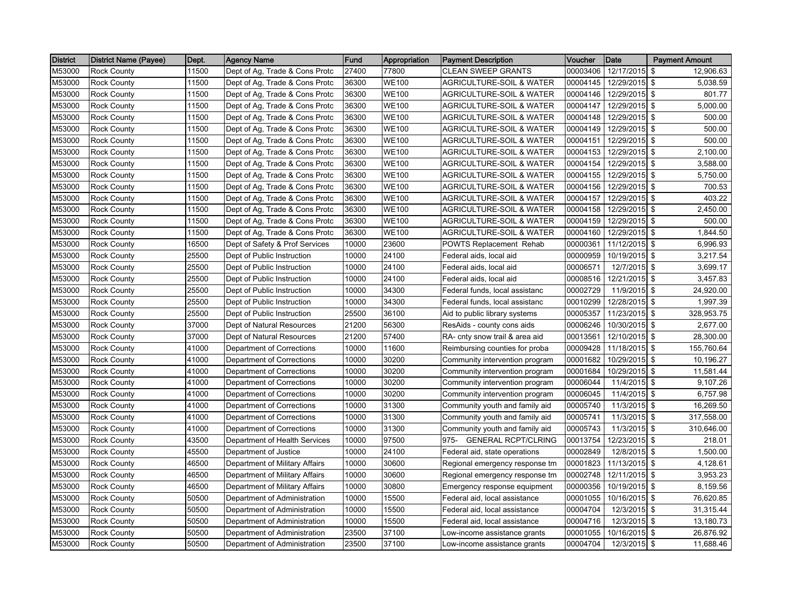| <b>District</b> | <b>District Name (Payee)</b> | Dept. | <b>Agency Name</b>             | Fund  | Appropriation | <b>Payment Description</b>          | Voucher  | Date            | <b>Payment Amount</b> |
|-----------------|------------------------------|-------|--------------------------------|-------|---------------|-------------------------------------|----------|-----------------|-----------------------|
| M53000          | <b>Rock County</b>           | 11500 | Dept of Ag, Trade & Cons Protc | 27400 | 77800         | <b>CLEAN SWEEP GRANTS</b>           | 00003406 | 12/17/2015      | \$<br>12,906.63       |
| M53000          | <b>Rock County</b>           | 11500 | Dept of Ag, Trade & Cons Protc | 36300 | WE100         | <b>AGRICULTURE-SOIL &amp; WATER</b> | 00004145 | 12/29/2015 \$   | 5,038.59              |
| M53000          | <b>Rock County</b>           | 11500 | Dept of Ag, Trade & Cons Protc | 36300 | WE100         | <b>AGRICULTURE-SOIL &amp; WATER</b> | 00004146 | 12/29/2015 \$   | 801.77                |
| M53000          | <b>Rock County</b>           | 11500 | Dept of Ag, Trade & Cons Protc | 36300 | <b>WE100</b>  | AGRICULTURE-SOIL & WATER            | 00004147 | 12/29/2015 \$   | 5,000.00              |
| M53000          | <b>Rock County</b>           | 11500 | Dept of Ag, Trade & Cons Protc | 36300 | <b>WE100</b>  | <b>AGRICULTURE-SOIL &amp; WATER</b> | 00004148 | 12/29/2015 \$   | 500.00                |
| M53000          | <b>Rock County</b>           | 11500 | Dept of Ag, Trade & Cons Protc | 36300 | WE100         | <b>AGRICULTURE-SOIL &amp; WATER</b> | 00004149 | 12/29/2015 \$   | 500.00                |
| M53000          | <b>Rock County</b>           | 11500 | Dept of Ag, Trade & Cons Protc | 36300 | WE100         | <b>AGRICULTURE-SOIL &amp; WATER</b> | 00004151 | 12/29/2015 \$   | 500.00                |
| M53000          | <b>Rock County</b>           | 11500 | Dept of Ag, Trade & Cons Protc | 36300 | <b>WE100</b>  | <b>AGRICULTURE-SOIL &amp; WATER</b> | 00004153 | 12/29/2015 \$   | 2,100.00              |
| M53000          | <b>Rock County</b>           | 11500 | Dept of Ag, Trade & Cons Protc | 36300 | WE100         | <b>AGRICULTURE-SOIL &amp; WATER</b> | 00004154 | 12/29/2015 \$   | 3,588.00              |
| M53000          | <b>Rock County</b>           | 11500 | Dept of Ag, Trade & Cons Protc | 36300 | WE100         | <b>AGRICULTURE-SOIL &amp; WATER</b> | 00004155 | 12/29/2015 \$   | 5,750.00              |
| M53000          | <b>Rock County</b>           | 11500 | Dept of Ag, Trade & Cons Protc | 36300 | <b>WE100</b>  | <b>AGRICULTURE-SOIL &amp; WATER</b> | 00004156 | 12/29/2015 \$   | 700.53                |
| M53000          | <b>Rock County</b>           | 11500 | Dept of Ag, Trade & Cons Protc | 36300 | <b>WE100</b>  | AGRICULTURE-SOIL & WATER            | 00004157 | 12/29/2015 \$   | 403.22                |
| M53000          | <b>Rock County</b>           | 11500 | Dept of Ag, Trade & Cons Protc | 36300 | WE100         | <b>AGRICULTURE-SOIL &amp; WATER</b> | 00004158 | 12/29/2015 \$   | 2,450.00              |
| M53000          | <b>Rock County</b>           | 11500 | Dept of Ag, Trade & Cons Protc | 36300 | WE100         | <b>AGRICULTURE-SOIL &amp; WATER</b> | 00004159 | 12/29/2015 \$   | 500.00                |
| M53000          | Rock County                  | 11500 | Dept of Ag, Trade & Cons Protc | 36300 | WE100         | <b>AGRICULTURE-SOIL &amp; WATER</b> | 00004160 | 12/29/2015 \$   | 1,844.50              |
| M53000          | <b>Rock County</b>           | 16500 | Dept of Safety & Prof Services | 10000 | 23600         | POWTS Replacement Rehab             | 00000361 | $11/12/2015$ \$ | 6,996.93              |
| M53000          | <b>Rock County</b>           | 25500 | Dept of Public Instruction     | 10000 | 24100         | Federal aids, local aid             | 00000959 | 10/19/2015 \$   | 3,217.54              |
| M53000          | <b>Rock County</b>           | 25500 | Dept of Public Instruction     | 10000 | 24100         | Federal aids, local aid             | 00006571 | 12/7/2015 \$    | 3,699.17              |
| M53000          | <b>Rock County</b>           | 25500 | Dept of Public Instruction     | 10000 | 24100         | Federal aids, local aid             | 00008516 | 12/21/2015 \$   | 3,457.83              |
| M53000          | <b>Rock County</b>           | 25500 | Dept of Public Instruction     | 10000 | 34300         | Federal funds, local assistanc      | 00002729 | 11/9/2015 \$    | 24,920.00             |
| M53000          | <b>Rock County</b>           | 25500 | Dept of Public Instruction     | 10000 | 34300         | Federal funds, local assistanc      | 00010299 | 12/28/2015 \$   | 1,997.39              |
| M53000          | <b>Rock County</b>           | 25500 | Dept of Public Instruction     | 25500 | 36100         | Aid to public library systems       | 00005357 | 11/23/2015 \$   | 328,953.75            |
| M53000          | <b>Rock County</b>           | 37000 | Dept of Natural Resources      | 21200 | 56300         | ResAids - county cons aids          | 00006246 | 10/30/2015 \$   | 2,677.00              |
| M53000          | <b>Rock County</b>           | 37000 | Dept of Natural Resources      | 21200 | 57400         | RA- cnty snow trail & area aid      | 00013561 | 12/10/2015 \$   | 28,300.00             |
| M53000          | <b>Rock County</b>           | 41000 | Department of Corrections      | 10000 | 11600         | Reimbursing counties for proba      | 00009428 | 11/18/2015 \$   | 155,760.64            |
| M53000          | <b>Rock County</b>           | 41000 | Department of Corrections      | 10000 | 30200         | Community intervention program      | 00001682 | 10/29/2015 \$   | 10,196.27             |
| M53000          | <b>Rock County</b>           | 41000 | Department of Corrections      | 10000 | 30200         | Community intervention program      | 00001684 | 10/29/2015 \$   | 11,581.44             |
| M53000          | <b>Rock County</b>           | 41000 | Department of Corrections      | 10000 | 30200         | Community intervention program      | 00006044 | 11/4/2015 \$    | 9,107.26              |
| M53000          | <b>Rock County</b>           | 41000 | Department of Corrections      | 10000 | 30200         | Community intervention program      | 00006045 | 11/4/2015 \$    | 6,757.98              |
| M53000          | Rock County                  | 41000 | Department of Corrections      | 10000 | 31300         | Community youth and family aid      | 00005740 | 11/3/2015 \$    | 16,269.50             |
| M53000          | <b>Rock County</b>           | 41000 | Department of Corrections      | 10000 | 31300         | Community youth and family aid      | 00005741 | 11/3/2015 \$    | 317,558.00            |
| M53000          | <b>Rock County</b>           | 41000 | Department of Corrections      | 10000 | 31300         | Community youth and family aid      | 00005743 | 11/3/2015 \$    | 310,646.00            |
| M53000          | <b>Rock County</b>           | 43500 | Department of Health Services  | 10000 | 97500         | 975- GENERAL RCPT/CLRING            | 00013754 | 12/23/2015 \$   | 218.01                |
| M53000          | <b>Rock County</b>           | 45500 | Department of Justice          | 10000 | 24100         | Federal aid, state operations       | 00002849 | 12/8/2015 \$    | 1,500.00              |
| M53000          | <b>Rock County</b>           | 46500 | Department of Military Affairs | 10000 | 30600         | Regional emergency response tm      | 00001823 | 11/13/2015 \$   | 4,128.61              |
| M53000          | <b>Rock County</b>           | 46500 | Department of Military Affairs | 10000 | 30600         | Regional emergency response tm      | 00002748 | 12/11/2015 \$   | 3,953.23              |
| M53000          | <b>Rock County</b>           | 46500 | Department of Military Affairs | 10000 | 30800         | Emergency response equipment        | 00000356 | 10/19/2015 \$   | 8,159.56              |
| M53000          | <b>Rock County</b>           | 50500 | Department of Administration   | 10000 | 15500         | Federal aid, local assistance       | 00001055 | 10/16/2015 \$   | 76,620.85             |
| M53000          | <b>Rock County</b>           | 50500 | Department of Administration   | 10000 | 15500         | Federal aid, local assistance       | 00004704 | 12/3/2015 \$    | 31,315.44             |
| M53000          | <b>Rock County</b>           | 50500 | Department of Administration   | 10000 | 15500         | Federal aid, local assistance       | 00004716 | 12/3/2015 \$    | 13,180.73             |
| M53000          | <b>Rock County</b>           | 50500 | Department of Administration   | 23500 | 37100         | Low-income assistance grants        | 00001055 | 10/16/2015 \$   | 26,876.92             |
| M53000          | <b>Rock County</b>           | 50500 | Department of Administration   | 23500 | 37100         | Low-income assistance grants        | 00004704 | $12/3/2015$ \$  | 11,688.46             |